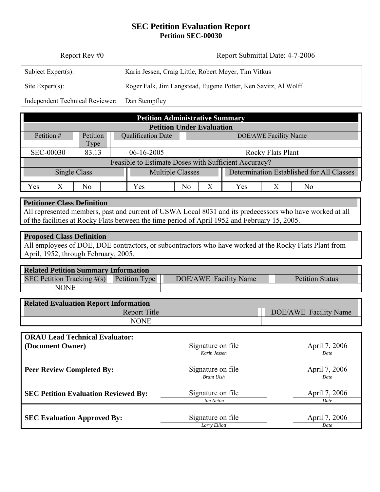### **SEC Petition Evaluation Report Petition SEC-00030**

| Report Rev #0                   | Report Submittal Date: 4-7-2006                                |
|---------------------------------|----------------------------------------------------------------|
| Subject Expert $(s)$ :          | Karin Jessen, Craig Little, Robert Meyer, Tim Vitkus           |
| Site Expert(s):                 | Roger Falk, Jim Langstead, Eugene Potter, Ken Savitz, Al Wolff |
| Independent Technical Reviewer: | Dan Stempfley                                                  |

|              | <b>Petition Administrative Summary</b>                                              |    |  |                                                                      |  |    |   |                                                      |   |    |  |
|--------------|-------------------------------------------------------------------------------------|----|--|----------------------------------------------------------------------|--|----|---|------------------------------------------------------|---|----|--|
|              | <b>Petition Under Evaluation</b>                                                    |    |  |                                                                      |  |    |   |                                                      |   |    |  |
|              | Petition<br>Petition #<br><b>Qualification Date</b><br><b>DOE/AWE Facility Name</b> |    |  |                                                                      |  |    |   |                                                      |   |    |  |
|              | Type                                                                                |    |  |                                                                      |  |    |   |                                                      |   |    |  |
|              | <b>SEC-00030</b><br>$06-16-2005$<br>83.13<br>Rocky Flats Plant                      |    |  |                                                                      |  |    |   |                                                      |   |    |  |
|              |                                                                                     |    |  |                                                                      |  |    |   | Feasible to Estimate Doses with Sufficient Accuracy? |   |    |  |
| Single Class |                                                                                     |    |  | Determination Established for All Classes<br><b>Multiple Classes</b> |  |    |   |                                                      |   |    |  |
| Yes          | Χ                                                                                   | No |  | Yes                                                                  |  | No | Χ | Yes                                                  | X | No |  |

#### **Petitioner Class Definition**

All represented members, past and current of USWA Local 8031 and its predecessors who have worked at all of the facilities at Rocky Flats between the time period of April 1952 and February 15, 2005.

#### **Proposed Class Definition**

All employees of DOE, DOE contractors, or subcontractors who have worked at the Rocky Flats Plant from April, 1952, through February, 2005.

| <b>Related Petition Summary Information</b> |  |                       |                        |  |  |  |
|---------------------------------------------|--|-----------------------|------------------------|--|--|--|
| SEC Petition Tracking $\#(s)$ Petition Type |  | DOE/AWE Facility Name | <b>Petition Status</b> |  |  |  |
| NONE                                        |  |                       |                        |  |  |  |

## **Related Evaluation Report Information**

| Title<br>Report | <b>The state of the United States</b><br>$\mathbf{v}$<br>$\mathbf{r}$<br>DOE<br>DE.<br>Facility<br>Name<br>$\Lambda$<br>W) |
|-----------------|----------------------------------------------------------------------------------------------------------------------------|
| <b>NONE</b>     |                                                                                                                            |

| <b>ORAU Lead Technical Evaluator:</b>       |                   |               |
|---------------------------------------------|-------------------|---------------|
| (Document Owner)                            | Signature on file | April 7, 2006 |
|                                             | Karin Jessen      | Date          |
|                                             |                   |               |
| <b>Peer Review Completed By:</b>            | Signature on file | April 7, 2006 |
|                                             | <b>Brant Ulsh</b> | Date          |
|                                             |                   |               |
| <b>SEC Petition Evaluation Reviewed By:</b> | Signature on file | April 7, 2006 |
|                                             | Jim Neton         | Date          |
|                                             |                   |               |
| <b>SEC Evaluation Approved By:</b>          | Signature on file | April 7, 2006 |
|                                             | Larry Elliott     | Date          |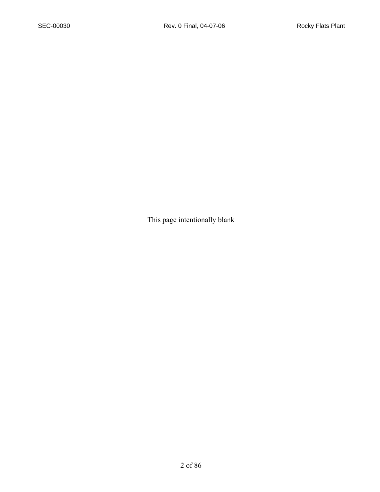This page intentionally blank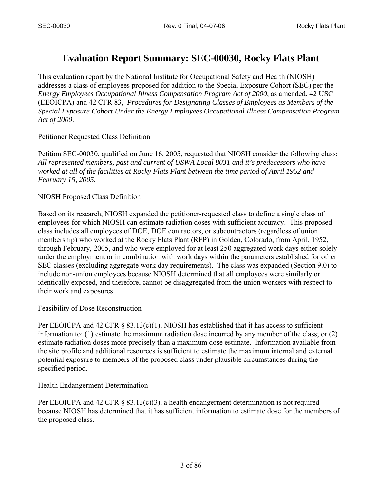## **Evaluation Report Summary: SEC-00030, Rocky Flats Plant**

This evaluation report by the National Institute for Occupational Safety and Health (NIOSH) addresses a class of employees proposed for addition to the Special Exposure Cohort (SEC) per the *Energy Employees Occupational Illness Compensation Program Act of 2000*, as amended, 42 USC (EEOICPA) and 42 CFR 83, *Procedures for Designating Classes of Employees as Members of the Special Exposure Cohort Under the Energy Employees Occupational Illness Compensation Program Act of 2000*.

#### Petitioner Requested Class Definition

Petition SEC-00030, qualified on June 16, 2005, requested that NIOSH consider the following class: *All represented members, past and current of USWA Local 8031 and it's predecessors who have worked at all of the facilities at Rocky Flats Plant between the time period of April 1952 and February 15, 2005.* 

#### NIOSH Proposed Class Definition

Based on its research, NIOSH expanded the petitioner-requested class to define a single class of employees for which NIOSH can estimate radiation doses with sufficient accuracy. This proposed class includes all employees of DOE, DOE contractors, or subcontractors (regardless of union membership) who worked at the Rocky Flats Plant (RFP) in Golden, Colorado, from April, 1952, through February, 2005, and who were employed for at least 250 aggregated work days either solely under the employment or in combination with work days within the parameters established for other SEC classes (excluding aggregate work day requirements). The class was expanded (Section 9.0) to include non-union employees because NIOSH determined that all employees were similarly or identically exposed, and therefore, cannot be disaggregated from the union workers with respect to their work and exposures.

#### Feasibility of Dose Reconstruction

Per EEOICPA and 42 CFR  $\S$  83.13(c)(1), NIOSH has established that it has access to sufficient information to: (1) estimate the maximum radiation dose incurred by any member of the class; or (2) estimate radiation doses more precisely than a maximum dose estimate. Information available from the site profile and additional resources is sufficient to estimate the maximum internal and external potential exposure to members of the proposed class under plausible circumstances during the specified period.

#### Health Endangerment Determination

Per EEOICPA and 42 CFR  $\S$  83.13(c)(3), a health endangerment determination is not required because NIOSH has determined that it has sufficient information to estimate dose for the members of the proposed class.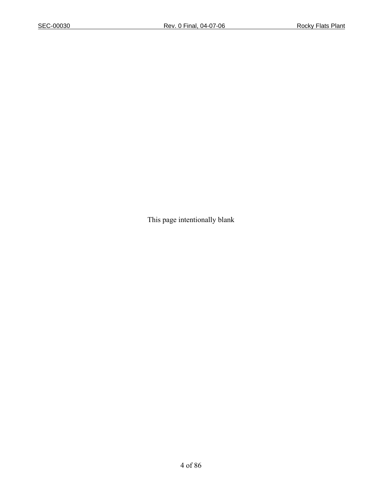This page intentionally blank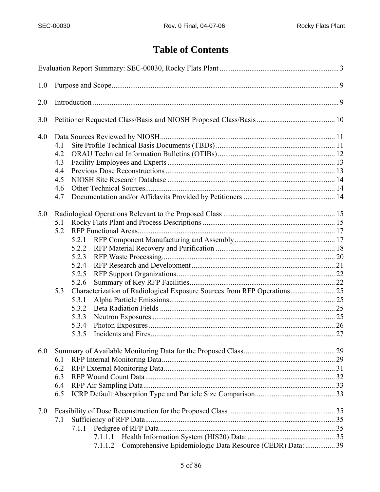# **Table of Contents**

| 1.0 |                                                                                 |  |
|-----|---------------------------------------------------------------------------------|--|
| 2.0 |                                                                                 |  |
| 3.0 |                                                                                 |  |
| 4.0 |                                                                                 |  |
|     | 4.1                                                                             |  |
|     | 4.2                                                                             |  |
|     | 4.3                                                                             |  |
|     | 4.4                                                                             |  |
|     | 4.5                                                                             |  |
|     | 4.6                                                                             |  |
|     | 4.7                                                                             |  |
| 5.0 |                                                                                 |  |
|     | 5.1                                                                             |  |
|     | 5.2                                                                             |  |
|     | 5.2.1                                                                           |  |
|     | 5.2.2                                                                           |  |
|     | 5.2.3                                                                           |  |
|     | 5.2.4                                                                           |  |
|     | 5.2.5                                                                           |  |
|     | 5.2.6                                                                           |  |
|     | Characterization of Radiological Exposure Sources from RFP Operations 25<br>5.3 |  |
|     | 5.3.1                                                                           |  |
|     | 5.3.2                                                                           |  |
|     | 5.3.3                                                                           |  |
|     | 5.3.4                                                                           |  |
|     | 5.3.5                                                                           |  |
| 6.0 |                                                                                 |  |
|     | 6.1                                                                             |  |
|     | 6.2                                                                             |  |
|     | 6.3                                                                             |  |
|     | 6.4                                                                             |  |
|     | 6.5                                                                             |  |
| 7.0 |                                                                                 |  |
|     | 7.1                                                                             |  |
|     | 7.1.1                                                                           |  |
|     | 7.1.1.1                                                                         |  |
|     | Comprehensive Epidemiologic Data Resource (CEDR) Data:  39<br>7.1.1.2           |  |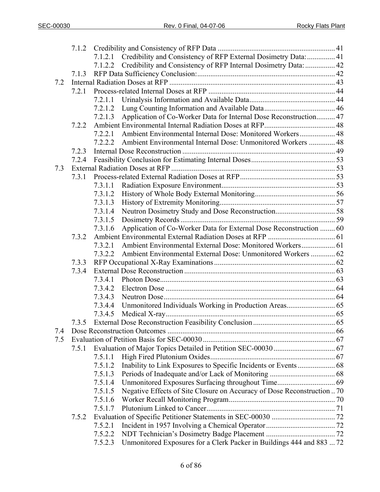|     |       | 7.1.2.1 | Credibility and Consistency of RFP External Dosimetry Data:  41           |  |
|-----|-------|---------|---------------------------------------------------------------------------|--|
|     |       |         | 7.1.2.2 Credibility and Consistency of RFP Internal Dosimetry Data:  42   |  |
|     | 7.1.3 |         |                                                                           |  |
| 7.2 |       |         |                                                                           |  |
|     | 7.2.1 |         |                                                                           |  |
|     |       |         |                                                                           |  |
|     |       | 7.2.1.2 |                                                                           |  |
|     |       |         | 7.2.1.3 Application of Co-Worker Data for Internal Dose Reconstruction 47 |  |
|     | 7.2.2 |         |                                                                           |  |
|     |       |         | 7.2.2.1 Ambient Environmental Internal Dose: Monitored Workers 48         |  |
|     |       | 7.2.2.2 | Ambient Environmental Internal Dose: Unmonitored Workers  48              |  |
|     | 7.2.3 |         |                                                                           |  |
|     | 7.2.4 |         |                                                                           |  |
| 7.3 |       |         |                                                                           |  |
|     | 7.3.1 |         |                                                                           |  |
|     |       |         |                                                                           |  |
|     |       | 7.3.1.2 |                                                                           |  |
|     |       | 7.3.1.3 |                                                                           |  |
|     |       | 7.3.1.4 |                                                                           |  |
|     |       | 7.3.1.5 |                                                                           |  |
|     |       | 7.3.1.6 | Application of Co-Worker Data for External Dose Reconstruction  60        |  |
|     | 7.3.2 |         |                                                                           |  |
|     |       |         | 7.3.2.1 Ambient Environmental External Dose: Monitored Workers 61         |  |
|     |       | 7.3.2.2 | Ambient Environmental External Dose: Unmonitored Workers  62              |  |
|     | 7.3.3 |         |                                                                           |  |
|     | 7.3.4 |         |                                                                           |  |
|     |       | 7.3.4.1 |                                                                           |  |
|     |       | 7.3.4.2 |                                                                           |  |
|     |       | 7.3.4.3 |                                                                           |  |
|     |       | 7.3.4.4 |                                                                           |  |
|     |       | 7.3.4.5 |                                                                           |  |
|     | 7.3.5 |         |                                                                           |  |
| 7.4 |       |         |                                                                           |  |
| 7.5 |       |         |                                                                           |  |
|     | 7.5.1 |         |                                                                           |  |
|     |       | 7.5.1.1 |                                                                           |  |
|     |       | 7.5.1.2 |                                                                           |  |
|     |       | 7.5.1.3 |                                                                           |  |
|     |       | 7.5.1.4 |                                                                           |  |
|     |       | 7.5.1.5 | Negative Effects of Site Closure on Accuracy of Dose Reconstruction  70   |  |
|     |       | 7.5.1.6 |                                                                           |  |
|     |       | 7.5.1.7 |                                                                           |  |
|     | 7.5.2 |         |                                                                           |  |
|     |       | 7.5.2.1 |                                                                           |  |
|     |       | 7.5.2.2 |                                                                           |  |
|     |       | 7.5.2.3 | Unmonitored Exposures for a Clerk Packer in Buildings 444 and 883  72     |  |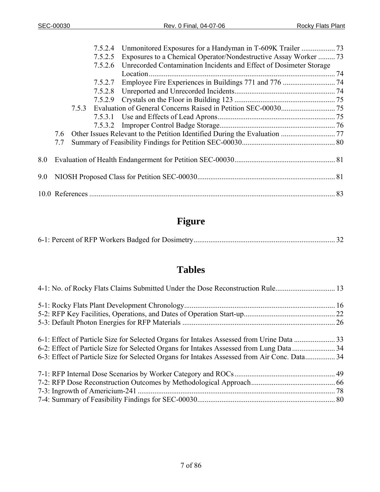|     |     |  | 7.5.2.4 |                                                                    |  |  |
|-----|-----|--|---------|--------------------------------------------------------------------|--|--|
|     |     |  | 7.5.2.5 | Exposures to a Chemical Operator/Nondestructive Assay Worker  73   |  |  |
|     |     |  | 7.5.2.6 | Unrecorded Contamination Incidents and Effect of Dosimeter Storage |  |  |
|     |     |  |         |                                                                    |  |  |
|     |     |  |         |                                                                    |  |  |
|     |     |  |         |                                                                    |  |  |
|     |     |  | 7.5.2.9 |                                                                    |  |  |
|     |     |  |         |                                                                    |  |  |
|     |     |  |         |                                                                    |  |  |
|     |     |  |         |                                                                    |  |  |
|     | 7.6 |  |         |                                                                    |  |  |
|     | 7.7 |  |         |                                                                    |  |  |
|     |     |  |         |                                                                    |  |  |
| 8.0 |     |  |         |                                                                    |  |  |
|     |     |  |         |                                                                    |  |  |
| 9.0 |     |  |         |                                                                    |  |  |
|     |     |  |         |                                                                    |  |  |
|     | .83 |  |         |                                                                    |  |  |
|     |     |  |         |                                                                    |  |  |

# **Figure**

|--|--|

# **Tables**

| 4-1: No. of Rocky Flats Claims Submitted Under the Dose Reconstruction Rule 13               |  |
|----------------------------------------------------------------------------------------------|--|
|                                                                                              |  |
|                                                                                              |  |
|                                                                                              |  |
|                                                                                              |  |
|                                                                                              |  |
| 6-3: Effect of Particle Size for Selected Organs for Intakes Assessed from Air Conc. Data 34 |  |
|                                                                                              |  |
|                                                                                              |  |
|                                                                                              |  |
|                                                                                              |  |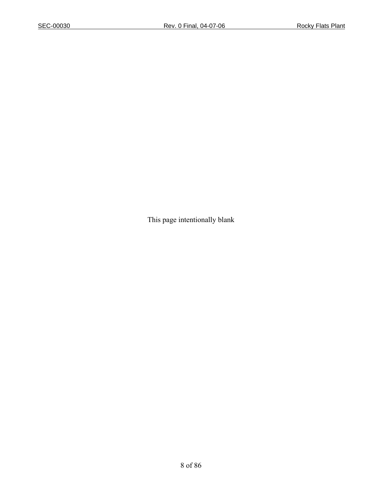This page intentionally blank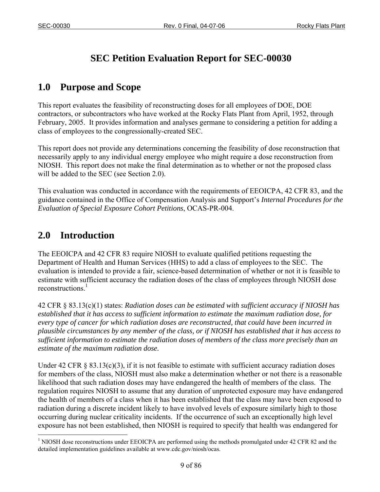## **SEC Petition Evaluation Report for SEC-00030**

## **1.0 Purpose and Scope**

This report evaluates the feasibility of reconstructing doses for all employees of DOE, DOE contractors, or subcontractors who have worked at the Rocky Flats Plant from April, 1952, through February, 2005. It provides information and analyses germane to considering a petition for adding a class of employees to the congressionally-created SEC.

This report does not provide any determinations concerning the feasibility of dose reconstruction that necessarily apply to any individual energy employee who might require a dose reconstruction from NIOSH. This report does not make the final determination as to whether or not the proposed class will be added to the SEC (see Section 2.0).

This evaluation was conducted in accordance with the requirements of EEOICPA, 42 CFR 83, and the guidance contained in the Office of Compensation Analysis and Support's *Internal Procedures for the Evaluation of Special Exposure Cohort Petitions*, OCAS-PR-004.

## **2.0 Introduction**

The EEOICPA and 42 CFR 83 require NIOSH to evaluate qualified petitions requesting the Department of Health and Human Services (HHS) to add a class of employees to the SEC. The evaluation is intended to provide a fair, science-based determination of whether or not it is feasible to estimate with sufficient accuracy the radiation doses of the class of employees through NIOSH dose reconstructions.<sup>1</sup>

42 CFR § 83.13(c)(1) states: *Radiation doses can be estimated with sufficient accuracy if NIOSH has established that it has access to sufficient information to estimate the maximum radiation dose, for every type of cancer for which radiation doses are reconstructed, that could have been incurred in plausible circumstances by any member of the class, or if NIOSH has established that it has access to sufficient information to estimate the radiation doses of members of the class more precisely than an estimate of the maximum radiation dose.* 

Under 42 CFR  $\S$  83.13(c)(3), if it is not feasible to estimate with sufficient accuracy radiation doses for members of the class, NIOSH must also make a determination whether or not there is a reasonable likelihood that such radiation doses may have endangered the health of members of the class. The regulation requires NIOSH to assume that any duration of unprotected exposure may have endangered the health of members of a class when it has been established that the class may have been exposed to radiation during a discrete incident likely to have involved levels of exposure similarly high to those occurring during nuclear criticality incidents. If the occurrence of such an exceptionally high level exposure has not been established, then NIOSH is required to specify that health was endangered for

 $\overline{a}$ <sup>1</sup> NIOSH dose reconstructions under EEOICPA are performed using the methods promulgated under 42 CFR 82 and the detailed implementation guidelines available at www.cdc.gov/niosh/ocas.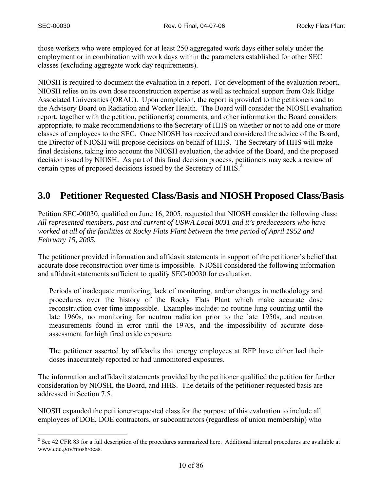$\overline{a}$ 

those workers who were employed for at least 250 aggregated work days either solely under the employment or in combination with work days within the parameters established for other SEC classes (excluding aggregate work day requirements).

certain types of proposed decisions issued by the Secretary of HHS.<sup>2</sup> NIOSH is required to document the evaluation in a report. For development of the evaluation report, NIOSH relies on its own dose reconstruction expertise as well as technical support from Oak Ridge Associated Universities (ORAU). Upon completion, the report is provided to the petitioners and to the Advisory Board on Radiation and Worker Health. The Board will consider the NIOSH evaluation report, together with the petition, petitioner(s) comments, and other information the Board considers appropriate, to make recommendations to the Secretary of HHS on whether or not to add one or more classes of employees to the SEC. Once NIOSH has received and considered the advice of the Board, the Director of NIOSH will propose decisions on behalf of HHS. The Secretary of HHS will make final decisions, taking into account the NIOSH evaluation, the advice of the Board, and the proposed decision issued by NIOSH. As part of this final decision process, petitioners may seek a review of

## **3.0 Petitioner Requested Class/Basis and NIOSH Proposed Class/Basis**

Petition SEC-00030, qualified on June 16, 2005, requested that NIOSH consider the following class: *All represented members, past and current of USWA Local 8031 and it's predecessors who have worked at all of the facilities at Rocky Flats Plant between the time period of April 1952 and February 15, 2005.* 

The petitioner provided information and affidavit statements in support of the petitioner's belief that accurate dose reconstruction over time is impossible. NIOSH considered the following information and affidavit statements sufficient to qualify SEC-00030 for evaluation.

Periods of inadequate monitoring, lack of monitoring, and/or changes in methodology and procedures over the history of the Rocky Flats Plant which make accurate dose reconstruction over time impossible. Examples include: no routine lung counting until the late 1960s, no monitoring for neutron radiation prior to the late 1950s, and neutron measurements found in error until the 1970s, and the impossibility of accurate dose assessment for high fired oxide exposure.

The petitioner asserted by affidavits that energy employees at RFP have either had their doses inaccurately reported or had unmonitored exposures.

The information and affidavit statements provided by the petitioner qualified the petition for further consideration by NIOSH, the Board, and HHS. The details of the petitioner-requested basis are addressed in Section 7.5.

NIOSH expanded the petitioner-requested class for the purpose of this evaluation to include all employees of DOE, DOE contractors, or subcontractors (regardless of union membership) who

 $2^2$  See 42 CFR 83 for a full description of the procedures summarized here. Additional internal procedures are available at www.cdc.gov/niosh/ocas.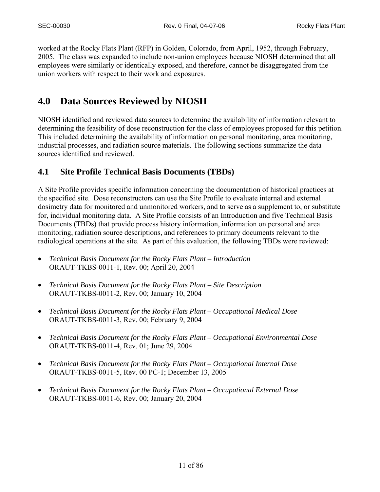worked at the Rocky Flats Plant (RFP) in Golden, Colorado, from April, 1952, through February, 2005. The class was expanded to include non-union employees because NIOSH determined that all employees were similarly or identically exposed, and therefore, cannot be disaggregated from the union workers with respect to their work and exposures.

## **4.0 Data Sources Reviewed by NIOSH**

NIOSH identified and reviewed data sources to determine the availability of information relevant to determining the feasibility of dose reconstruction for the class of employees proposed for this petition. This included determining the availability of information on personal monitoring, area monitoring, industrial processes, and radiation source materials. The following sections summarize the data sources identified and reviewed.

## **4.1 Site Profile Technical Basis Documents (TBDs)**

A Site Profile provides specific information concerning the documentation of historical practices at the specified site. Dose reconstructors can use the Site Profile to evaluate internal and external dosimetry data for monitored and unmonitored workers, and to serve as a supplement to, or substitute for, individual monitoring data. A Site Profile consists of an Introduction and five Technical Basis Documents (TBDs) that provide process history information, information on personal and area monitoring, radiation source descriptions, and references to primary documents relevant to the radiological operations at the site. As part of this evaluation, the following TBDs were reviewed:

- *Technical Basis Document for the Rocky Flats Plant Introduction*  ORAUT-TKBS-0011-1, Rev. 00; April 20, 2004
- *Technical Basis Document for the Rocky Flats Plant Site Description*  ORAUT-TKBS-0011-2, Rev. 00; January 10, 2004
- *Technical Basis Document for the Rocky Flats Plant Occupational Medical Dose*  ORAUT-TKBS-0011-3, Rev. 00; February 9, 2004
- *Technical Basis Document for the Rocky Flats Plant Occupational Environmental Dose*  ORAUT-TKBS-0011-4, Rev. 01; June 29, 2004
- *Technical Basis Document for the Rocky Flats Plant Occupational Internal Dose*  ORAUT-TKBS-0011-5, Rev. 00 PC-1; December 13, 2005
- *Technical Basis Document for the Rocky Flats Plant Occupational External Dose*  ORAUT-TKBS-0011-6, Rev. 00; January 20, 2004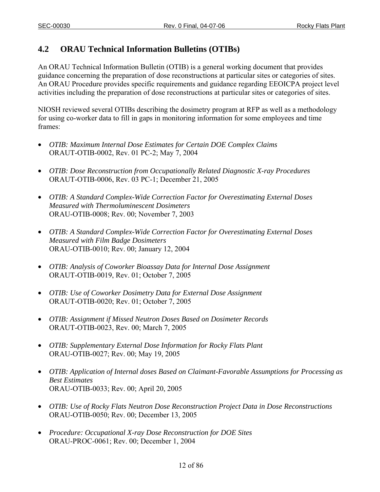## **4.2 ORAU Technical Information Bulletins (OTIBs)**

guidance concerning the preparation of dose reconstructions at particular sites or categories of sites. An ORAU Technical Information Bulletin (OTIB) is a general working document that provides An ORAU Procedure provides specific requirements and guidance regarding EEOICPA project level activities including the preparation of dose reconstructions at particular sites or categories of sites.

NIOSH reviewed several OTIBs describing the dosimetry program at RFP as well as a methodology for using co-worker data to fill in gaps in monitoring information for some employees and time frames:

- • *OTIB: Maximum Internal Dose Estimates for Certain DOE Complex Claims*  ORAUT-OTIB-0002, Rev. 01 PC-2; May 7, 2004
- • *OTIB: Dose Reconstruction from Occupationally Related Diagnostic X-ray Procedures*  ORAUT-OTIB-0006, Rev. 03 PC-1; December 21, 2005
- • *OTIB: A Standard Complex-Wide Correction Factor for Overestimating External Doses Measured with Thermoluminescent Dosimeters*  ORAU-OTIB-0008; Rev. 00; November 7, 2003
- • *OTIB: A Standard Complex-Wide Correction Factor for Overestimating External Doses Measured with Film Badge Dosimeters*  ORAU-OTIB-0010; Rev. 00; January 12, 2004
- • *OTIB: Analysis of Coworker Bioassay Data for Internal Dose Assignment*  ORAUT-OTIB-0019, Rev. 01; October 7, 2005
- • *OTIB: Use of Coworker Dosimetry Data for External Dose Assignment*  ORAUT-OTIB-0020; Rev. 01; October 7, 2005
- • *OTIB: Assignment if Missed Neutron Doses Based on Dosimeter Records*  ORAUT-OTIB-0023, Rev. 00; March 7, 2005
- • *OTIB: Supplementary External Dose Information for Rocky Flats Plant*  ORAU-OTIB-0027; Rev. 00; May 19, 2005
- • *OTIB: Application of Internal doses Based on Claimant-Favorable Assumptions for Processing as Best Estimates*  ORAU-OTIB-0033; Rev. 00; April 20, 2005
- • *OTIB: Use of Rocky Flats Neutron Dose Reconstruction Project Data in Dose Reconstructions*  ORAU-OTIB-0050; Rev. 00; December 13, 2005
- • *Procedure: Occupational X-ray Dose Reconstruction for DOE Sites*  ORAU-PROC-0061; Rev. 00; December 1, 2004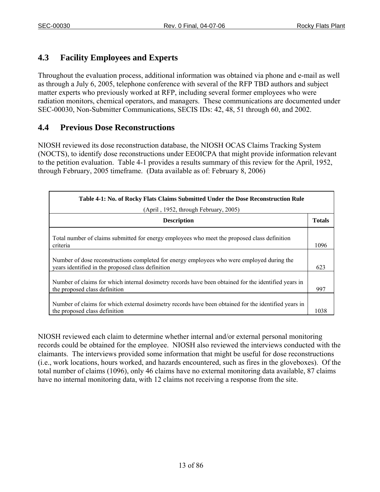## **4.3 Facility Employees and Experts**

Throughout the evaluation process, additional information was obtained via phone and e-mail as well as through a July 6, 2005, telephone conference with several of the RFP TBD authors and subject matter experts who previously worked at RFP, including several former employees who were radiation monitors, chemical operators, and managers. These communications are documented under SEC-00030, Non-Submitter Communications, SECIS IDs: 42, 48, 51 through 60, and 2002.

### **4.4 Previous Dose Reconstructions**

NIOSH reviewed its dose reconstruction database, the NIOSH OCAS Claims Tracking System (NOCTS), to identify dose reconstructions under EEOICPA that might provide information relevant to the petition evaluation. Table 4-1 provides a results summary of this review for the April, 1952, through February, 2005 timeframe. (Data available as of: February 8, 2006)

| Table 4-1: No. of Rocky Flats Claims Submitted Under the Dose Reconstruction Rule                                                               |               |  |  |  |
|-------------------------------------------------------------------------------------------------------------------------------------------------|---------------|--|--|--|
| (April, 1952, through February, 2005)                                                                                                           |               |  |  |  |
| <b>Description</b>                                                                                                                              | <b>Totals</b> |  |  |  |
| Total number of claims submitted for energy employees who meet the proposed class definition<br>criteria                                        | 1096          |  |  |  |
| Number of dose reconstructions completed for energy employees who were employed during the<br>years identified in the proposed class definition | 623           |  |  |  |
| Number of claims for which internal dosimetry records have been obtained for the identified years in<br>the proposed class definition           | 997           |  |  |  |
| Number of claims for which external dosimetry records have been obtained for the identified years in<br>the proposed class definition           | 1038          |  |  |  |

NIOSH reviewed each claim to determine whether internal and/or external personal monitoring records could be obtained for the employee. NIOSH also reviewed the interviews conducted with the claimants. The interviews provided some information that might be useful for dose reconstructions (i.e., work locations, hours worked, and hazards encountered, such as fires in the gloveboxes). Of the total number of claims (1096), only 46 claims have no external monitoring data available, 87 claims have no internal monitoring data, with 12 claims not receiving a response from the site.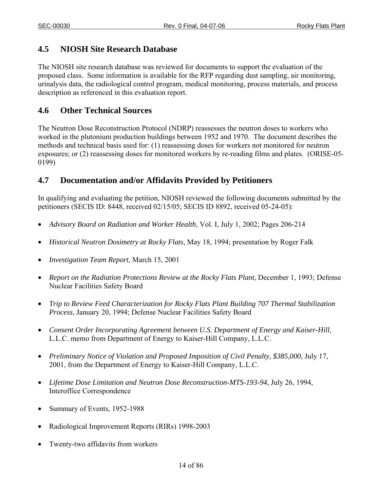### **4.5 NIOSH Site Research Database**

The NIOSH site research database was reviewed for documents to support the evaluation of the proposed class. Some information is available for the RFP regarding dust sampling, air monitoring, urinalysis data, the radiological control program, medical monitoring, process materials, and process description as referenced in this evaluation report.

### **4.6 Other Technical Sources**

The Neutron Dose Reconstruction Protocol (NDRP) reassesses the neutron doses to workers who worked in the plutonium production buildings between 1952 and 1970. The document describes the methods and technical basis used for: (1) reassessing doses for workers not monitored for neutron exposures; or (2) reassessing doses for monitored workers by re-reading films and plates. (ORISE-05 0199)

### **4.7 Documentation and/or Affidavits Provided by Petitioners**

In qualifying and evaluating the petition, NIOSH reviewed the following documents submitted by the petitioners (SECIS ID: 8448, received 02/15/05; SECIS ID 8892, received 05-24-05):

- *Advisory Board on Radiation and Worker Health*, Vol. I, July 1, 2002; Pages 206-214
- • *Historical Neutron Dosimetry at Rocky Flats*, May 18, 1994; presentation by Roger Falk
- • *Investigation Team Report*, March 15, 2001
- *Report on the Radiation Protections Review at the Rocky Flats Plant*, December 1, 1993; Defense Nuclear Facilities Safety Board
- • *Trip to Review Feed Characterization for Rocky Flats Plant Building 707 Thermal Stabilization Process*, January 20, 1994; Defense Nuclear Facilities Safety Board
- Consent Order Incorporating Agreement between U.S. Department of Energy and Kaiser-Hill, L.L.C. memo from Department of Energy to Kaiser-Hill Company, L.L.C.
- • *Preliminary Notice of Violation and Proposed Imposition of Civil Penalty, \$385,000*, July 17, 2001, from the Department of Energy to Kaiser-Hill Company, L.L.C.
- • *Lifetime Dose Limitation and Neutron Dose Reconstruction-MTS-193-94*, July 26, 1994, Interoffice Correspondence
- Summary of Events, 1952-1988
- Radiological Improvement Reports (RIRs) 1998-2003
- Twenty-two affidavits from workers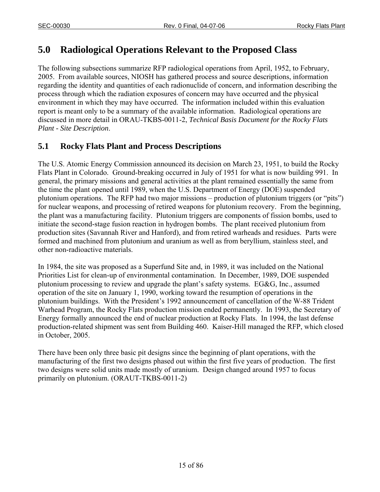## **5.0 Radiological Operations Relevant to the Proposed Class**

The following subsections summarize RFP radiological operations from April, 1952, to February, 2005. From available sources, NIOSH has gathered process and source descriptions, information regarding the identity and quantities of each radionuclide of concern, and information describing the process through which the radiation exposures of concern may have occurred and the physical environment in which they may have occurred. The information included within this evaluation report is meant only to be a summary of the available information. Radiological operations are discussed in more detail in ORAU-TKBS-0011-2, *Technical Basis Document for the Rocky Flats Plant - Site Description*.

## **5.1 Rocky Flats Plant and Process Descriptions**

 initiate the second-stage fusion reaction in hydrogen bombs. The plant received plutonium from The U.S. Atomic Energy Commission announced its decision on March 23, 1951, to build the Rocky Flats Plant in Colorado. Ground-breaking occurred in July of 1951 for what is now building 991. In general, the primary missions and general activities at the plant remained essentially the same from the time the plant opened until 1989, when the U.S. Department of Energy (DOE) suspended plutonium operations. The RFP had two major missions – production of plutonium triggers (or "pits") for nuclear weapons, and processing of retired weapons for plutonium recovery. From the beginning, the plant was a manufacturing facility. Plutonium triggers are components of fission bombs, used to production sites (Savannah River and Hanford), and from retired warheads and residues. Parts were formed and machined from plutonium and uranium as well as from beryllium, stainless steel, and other non-radioactive materials.

In 1984, the site was proposed as a Superfund Site and, in 1989, it was included on the National Priorities List for clean-up of environmental contamination. In December, 1989, DOE suspended plutonium processing to review and upgrade the plant's safety systems. EG&G, Inc., assumed operation of the site on January 1, 1990, working toward the resumption of operations in the plutonium buildings. With the President's 1992 announcement of cancellation of the W-88 Trident Warhead Program, the Rocky Flats production mission ended permanently. In 1993, the Secretary of Energy formally announced the end of nuclear production at Rocky Flats. In 1994, the last defense production-related shipment was sent from Building 460. Kaiser-Hill managed the RFP, which closed in October, 2005.

There have been only three basic pit designs since the beginning of plant operations, with the manufacturing of the first two designs phased out within the first five years of production. The first two designs were solid units made mostly of uranium. Design changed around 1957 to focus primarily on plutonium. (ORAUT-TKBS-0011-2)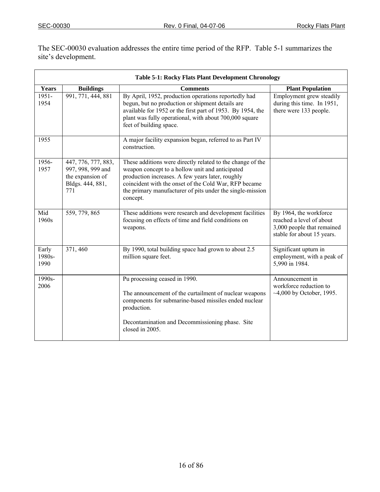| The SEC-00030 evaluation addresses the entire time period of the RFP. Table 5-1 summarizes the |  |  |
|------------------------------------------------------------------------------------------------|--|--|
| site's development.                                                                            |  |  |

| <b>Table 5-1: Rocky Flats Plant Development Chronology</b> |                                                                                         |                                                                                                                                                                                                                                                                                                     |                                                                                                                |  |  |
|------------------------------------------------------------|-----------------------------------------------------------------------------------------|-----------------------------------------------------------------------------------------------------------------------------------------------------------------------------------------------------------------------------------------------------------------------------------------------------|----------------------------------------------------------------------------------------------------------------|--|--|
| <b>Years</b>                                               | <b>Buildings</b>                                                                        | <b>Comments</b>                                                                                                                                                                                                                                                                                     | <b>Plant Population</b>                                                                                        |  |  |
| 1951-<br>1954                                              | 991, 771, 444, 881                                                                      | By April, 1952, production operations reportedly had<br>begun, but no production or shipment details are<br>available for 1952 or the first part of 1953. By 1954, the<br>plant was fully operational, with about 700,000 square<br>feet of building space.                                         | Employment grew steadily<br>during this time. In 1951,<br>there were 133 people.                               |  |  |
| 1955                                                       |                                                                                         | A major facility expansion began, referred to as Part IV<br>construction.                                                                                                                                                                                                                           |                                                                                                                |  |  |
| 1956-<br>1957                                              | 447, 776, 777, 883,<br>997, 998, 999 and<br>the expansion of<br>Bldgs. 444, 881,<br>771 | These additions were directly related to the change of the<br>weapon concept to a hollow unit and anticipated<br>production increases. A few years later, roughly<br>coincident with the onset of the Cold War, RFP became<br>the primary manufacturer of pits under the single-mission<br>concept. |                                                                                                                |  |  |
| Mid<br>1960s                                               | 559, 779, 865                                                                           | These additions were research and development facilities<br>focusing on effects of time and field conditions on<br>weapons.                                                                                                                                                                         | By 1964, the workforce<br>reached a level of about<br>3,000 people that remained<br>stable for about 15 years. |  |  |
| Early<br>1980s-<br>1990                                    | 371, 460                                                                                | By 1990, total building space had grown to about 2.5<br>million square feet.                                                                                                                                                                                                                        | Significant upturn in<br>employment, with a peak of<br>5,990 in 1984.                                          |  |  |
| 1990s-<br>2006                                             |                                                                                         | Pu processing ceased in 1990.<br>The announcement of the curtailment of nuclear weapons<br>components for submarine-based missiles ended nuclear<br>production.<br>Decontamination and Decommissioning phase. Site<br>closed in 2005.                                                               | Announcement in<br>workforce reduction to<br>$~1995$ .                                                         |  |  |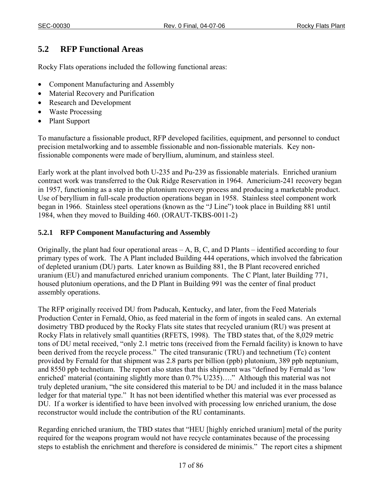## **5.2 RFP Functional Areas**

Rocky Flats operations included the following functional areas:

- Component Manufacturing and Assembly
- Material Recovery and Purification
- Research and Development
- Waste Processing
- Plant Support

To manufacture a fissionable product, RFP developed facilities, equipment, and personnel to conduct precision metalworking and to assemble fissionable and non-fissionable materials. Key nonfissionable components were made of beryllium, aluminum, and stainless steel.

Early work at the plant involved both U-235 and Pu-239 as fissionable materials. Enriched uranium contract work was transferred to the Oak Ridge Reservation in 1964. Americium-241 recovery began in 1957, functioning as a step in the plutonium recovery process and producing a marketable product. Use of beryllium in full-scale production operations began in 1958. Stainless steel component work began in 1966. Stainless steel operations (known as the "J Line") took place in Building 881 until 1984, when they moved to Building 460. (ORAUT-TKBS-0011-2)

#### **5.2.1 RFP Component Manufacturing and Assembly**

Originally, the plant had four operational areas – A, B, C, and D Plants – identified according to four primary types of work. The A Plant included Building 444 operations, which involved the fabrication of depleted uranium (DU) parts. Later known as Building 881, the B Plant recovered enriched uranium (EU) and manufactured enriched uranium components. The C Plant, later Building 771, housed plutonium operations, and the D Plant in Building 991 was the center of final product assembly operations.

The RFP originally received DU from Paducah, Kentucky, and later, from the Feed Materials Production Center in Fernald, Ohio, as feed material in the form of ingots in sealed cans. An external dosimetry TBD produced by the Rocky Flats site states that recycled uranium (RU) was present at Rocky Flats in relatively small quantities (RFETS, 1998). The TBD states that, of the 8,029 metric tons of DU metal received, "only 2.1 metric tons (received from the Fernald facility) is known to have been derived from the recycle process." The cited transuranic (TRU) and technetium (Tc) content provided by Fernald for that shipment was 2.8 parts per billion (ppb) plutonium, 389 ppb neptunium, and 8550 ppb technetium. The report also states that this shipment was "defined by Fernald as 'low enriched' material (containing slightly more than 0.7% U235)…." Although this material was not truly depleted uranium, "the site considered this material to be DU and included it in the mass balance ledger for that material type." It has not been identified whether this material was ever processed as DU. If a worker is identified to have been involved with processing low enriched uranium, the dose reconstructor would include the contribution of the RU contaminants.

Regarding enriched uranium, the TBD states that "HEU [highly enriched uranium] metal of the purity required for the weapons program would not have recycle contaminates because of the processing steps to establish the enrichment and therefore is considered de minimis." The report cites a shipment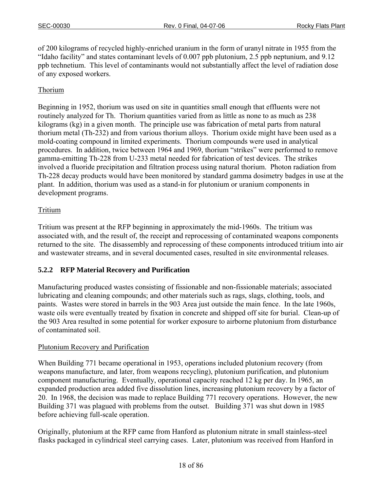of 200 kilograms of recycled highly-enriched uranium in the form of uranyl nitrate in 1955 from the "Idaho facility" and states contaminant levels of 0.007 ppb plutonium, 2.5 ppb neptunium, and 9.12 ppb technetium. This level of contaminants would not substantially affect the level of radiation dose of any exposed workers.

#### Thorium

Beginning in 1952, thorium was used on site in quantities small enough that effluents were not routinely analyzed for Th. Thorium quantities varied from as little as none to as much as 238 kilograms (kg) in a given month. The principle use was fabrication of metal parts from natural thorium metal (Th-232) and from various thorium alloys. Thorium oxide might have been used as a mold-coating compound in limited experiments. Thorium compounds were used in analytical procedures. In addition, twice between 1964 and 1969, thorium "strikes" were performed to remove gamma-emitting Th-228 from U-233 metal needed for fabrication of test devices. The strikes involved a fluoride precipitation and filtration process using natural thorium. Photon radiation from Th-228 decay products would have been monitored by standard gamma dosimetry badges in use at the plant. In addition, thorium was used as a stand-in for plutonium or uranium components in development programs.

#### Tritium

Tritium was present at the RFP beginning in approximately the mid-1960s. The tritium was associated with, and the result of, the receipt and reprocessing of contaminated weapons components returned to the site. The disassembly and reprocessing of these components introduced tritium into air and wastewater streams, and in several documented cases, resulted in site environmental releases.

#### **5.2.2 RFP Material Recovery and Purification**

Manufacturing produced wastes consisting of fissionable and non-fissionable materials; associated lubricating and cleaning compounds; and other materials such as rags, slags, clothing, tools, and paints. Wastes were stored in barrels in the 903 Area just outside the main fence. In the late 1960s, waste oils were eventually treated by fixation in concrete and shipped off site for burial. Clean-up of the 903 Area resulted in some potential for worker exposure to airborne plutonium from disturbance of contaminated soil.

#### Plutonium Recovery and Purification

When Building 771 became operational in 1953, operations included plutonium recovery (from weapons manufacture, and later, from weapons recycling), plutonium purification, and plutonium component manufacturing. Eventually, operational capacity reached 12 kg per day. In 1965, an expanded production area added five dissolution lines, increasing plutonium recovery by a factor of 20. In 1968, the decision was made to replace Building 771 recovery operations. However, the new Building 371 was plagued with problems from the outset. Building 371 was shut down in 1985 before achieving full-scale operation.

Originally, plutonium at the RFP came from Hanford as plutonium nitrate in small stainless-steel flasks packaged in cylindrical steel carrying cases. Later, plutonium was received from Hanford in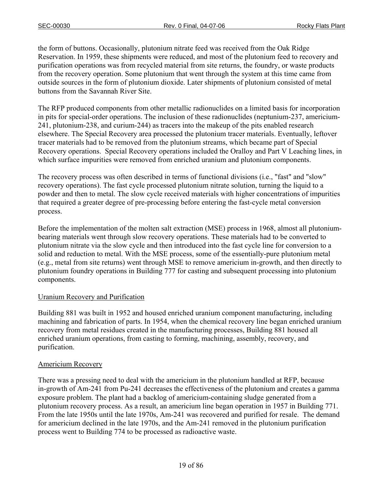the form of buttons. Occasionally, plutonium nitrate feed was received from the Oak Ridge Reservation. In 1959, these shipments were reduced, and most of the plutonium feed to recovery and purification operations was from recycled material from site returns, the foundry, or waste products from the recovery operation. Some plutonium that went through the system at this time came from outside sources in the form of plutonium dioxide. Later shipments of plutonium consisted of metal buttons from the Savannah River Site.

The RFP produced components from other metallic radionuclides on a limited basis for incorporation in pits for special-order operations. The inclusion of these radionuclides (neptunium-237, americium-241, plutonium-238, and curium-244) as tracers into the makeup of the pits enabled research elsewhere. The Special Recovery area processed the plutonium tracer materials. Eventually, leftover tracer materials had to be removed from the plutonium streams, which became part of Special Recovery operations. Special Recovery operations included the Oralloy and Part V Leaching lines, in which surface impurities were removed from enriched uranium and plutonium components.

The recovery process was often described in terms of functional divisions (i.e., "fast" and "slow" recovery operations). The fast cycle processed plutonium nitrate solution, turning the liquid to a powder and then to metal. The slow cycle received materials with higher concentrations of impurities that required a greater degree of pre-processing before entering the fast-cycle metal conversion process.

Before the implementation of the molten salt extraction (MSE) process in 1968, almost all plutoniumbearing materials went through slow recovery operations. These materials had to be converted to plutonium nitrate via the slow cycle and then introduced into the fast cycle line for conversion to a solid and reduction to metal. With the MSE process, some of the essentially-pure plutonium metal (e.g., metal from site returns) went through MSE to remove americium in-growth, and then directly to plutonium foundry operations in Building 777 for casting and subsequent processing into plutonium components.

#### Uranium Recovery and Purification

Building 881 was built in 1952 and housed enriched uranium component manufacturing, including machining and fabrication of parts. In 1954, when the chemical recovery line began enriched uranium recovery from metal residues created in the manufacturing processes, Building 881 housed all enriched uranium operations, from casting to forming, machining, assembly, recovery, and purification.

#### Americium Recovery

There was a pressing need to deal with the americium in the plutonium handled at RFP, because in-growth of Am-241 from Pu-241 decreases the effectiveness of the plutonium and creates a gamma exposure problem. The plant had a backlog of americium-containing sludge generated from a plutonium recovery process. As a result, an americium line began operation in 1957 in Building 771. From the late 1950s until the late 1970s, Am-241 was recovered and purified for resale. The demand for americium declined in the late 1970s, and the Am-241 removed in the plutonium purification process went to Building 774 to be processed as radioactive waste.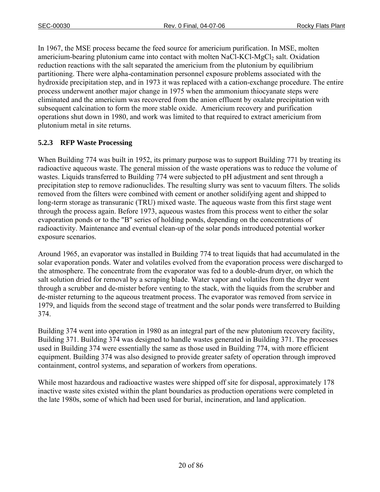In 1967, the MSE process became the feed source for americium purification. In MSE, molten americium-bearing plutonium came into contact with molten NaCl-KCl-MgCl<sub>2</sub> salt. Oxidation reduction reactions with the salt separated the americium from the plutonium by equilibrium partitioning. There were alpha-contamination personnel exposure problems associated with the hydroxide precipitation step, and in 1973 it was replaced with a cation-exchange procedure. The entire process underwent another major change in 1975 when the ammonium thiocyanate steps were eliminated and the americium was recovered from the anion effluent by oxalate precipitation with subsequent calcination to form the more stable oxide. Americium recovery and purification operations shut down in 1980, and work was limited to that required to extract americium from plutonium metal in site returns.

#### **5.2.3 RFP Waste Processing**

When Building 774 was built in 1952, its primary purpose was to support Building 771 by treating its radioactive aqueous waste. The general mission of the waste operations was to reduce the volume of wastes. Liquids transferred to Building 774 were subjected to pH adjustment and sent through a precipitation step to remove radionuclides. The resulting slurry was sent to vacuum filters. The solids removed from the filters were combined with cement or another solidifying agent and shipped to long-term storage as transuranic (TRU) mixed waste. The aqueous waste from this first stage went through the process again. Before 1973, aqueous wastes from this process went to either the solar evaporation ponds or to the "B" series of holding ponds, depending on the concentrations of radioactivity. Maintenance and eventual clean-up of the solar ponds introduced potential worker exposure scenarios.

Around 1965, an evaporator was installed in Building 774 to treat liquids that had accumulated in the solar evaporation ponds. Water and volatiles evolved from the evaporation process were discharged to the atmosphere. The concentrate from the evaporator was fed to a double-drum dryer, on which the salt solution dried for removal by a scraping blade. Water vapor and volatiles from the dryer went through a scrubber and de-mister before venting to the stack, with the liquids from the scrubber and de-mister returning to the aqueous treatment process. The evaporator was removed from service in 1979, and liquids from the second stage of treatment and the solar ponds were transferred to Building 374.

Building 374 went into operation in 1980 as an integral part of the new plutonium recovery facility, Building 371. Building 374 was designed to handle wastes generated in Building 371. The processes used in Building 374 were essentially the same as those used in Building 774, with more efficient equipment. Building 374 was also designed to provide greater safety of operation through improved containment, control systems, and separation of workers from operations.

While most hazardous and radioactive wastes were shipped off site for disposal, approximately 178 inactive waste sites existed within the plant boundaries as production operations were completed in the late 1980s, some of which had been used for burial, incineration, and land application.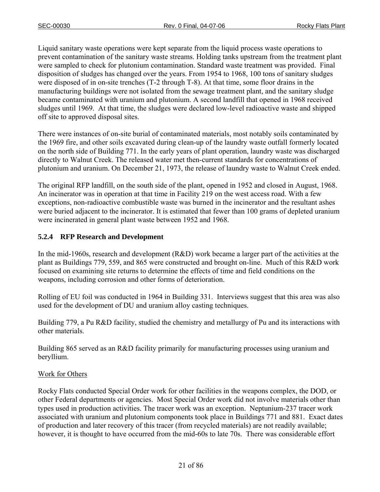Liquid sanitary waste operations were kept separate from the liquid process waste operations to prevent contamination of the sanitary waste streams. Holding tanks upstream from the treatment plant were sampled to check for plutonium contamination. Standard waste treatment was provided. Final disposition of sludges has changed over the years. From 1954 to 1968, 100 tons of sanitary sludges were disposed of in on-site trenches (T-2 through T-8). At that time, some floor drains in the manufacturing buildings were not isolated from the sewage treatment plant, and the sanitary sludge became contaminated with uranium and plutonium. A second landfill that opened in 1968 received sludges until 1969. At that time, the sludges were declared low-level radioactive waste and shipped off site to approved disposal sites.

There were instances of on-site burial of contaminated materials, most notably soils contaminated by the 1969 fire, and other soils excavated during clean-up of the laundry waste outfall formerly located on the north side of Building 771. In the early years of plant operation, laundry waste was discharged directly to Walnut Creek. The released water met then-current standards for concentrations of plutonium and uranium. On December 21, 1973, the release of laundry waste to Walnut Creek ended.

The original RFP landfill, on the south side of the plant, opened in 1952 and closed in August, 1968. An incinerator was in operation at that time in Facility 219 on the west access road. With a few exceptions, non-radioactive combustible waste was burned in the incinerator and the resultant ashes were buried adjacent to the incinerator. It is estimated that fewer than 100 grams of depleted uranium were incinerated in general plant waste between 1952 and 1968.

#### **5.2.4 RFP Research and Development**

In the mid-1960s, research and development (R&D) work became a larger part of the activities at the plant as Buildings 779, 559, and 865 were constructed and brought on-line. Much of this R&D work focused on examining site returns to determine the effects of time and field conditions on the weapons, including corrosion and other forms of deterioration.

Rolling of EU foil was conducted in 1964 in Building 331. Interviews suggest that this area was also used for the development of DU and uranium alloy casting techniques.

Building 779, a Pu R&D facility, studied the chemistry and metallurgy of Pu and its interactions with other materials.

Building 865 served as an R&D facility primarily for manufacturing processes using uranium and beryllium.

#### Work for Others

Rocky Flats conducted Special Order work for other facilities in the weapons complex, the DOD, or other Federal departments or agencies. Most Special Order work did not involve materials other than types used in production activities. The tracer work was an exception. Neptunium-237 tracer work associated with uranium and plutonium components took place in Buildings 771 and 881. Exact dates of production and later recovery of this tracer (from recycled materials) are not readily available; however, it is thought to have occurred from the mid-60s to late 70s. There was considerable effort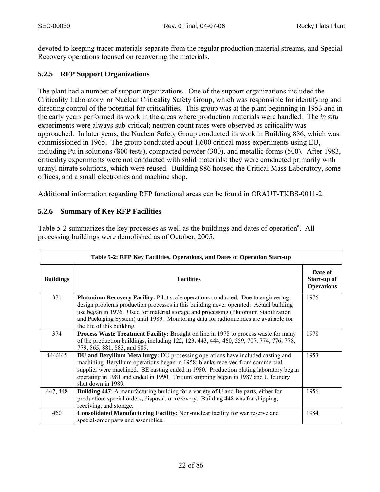devoted to keeping tracer materials separate from the regular production material streams, and Special Recovery operations focused on recovering the materials.

#### **5.2.5 RFP Support Organizations**

The plant had a number of support organizations. One of the support organizations included the Criticality Laboratory, or Nuclear Criticality Safety Group, which was responsible for identifying and directing control of the potential for criticalities. This group was at the plant beginning in 1953 and in the early years performed its work in the areas where production materials were handled. The *in situ*  experiments were always sub-critical; neutron count rates were observed as criticality was approached. In later years, the Nuclear Safety Group conducted its work in Building 886, which was commissioned in 1965. The group conducted about 1,600 critical mass experiments using EU, including Pu in solutions (800 tests), compacted powder (300), and metallic forms (500). After 1983, criticality experiments were not conducted with solid materials; they were conducted primarily with uranyl nitrate solutions, which were reused. Building 886 housed the Critical Mass Laboratory, some offices, and a small electronics and machine shop.

Additional information regarding RFP functional areas can be found in ORAUT-TKBS-0011-2.

#### **5.2.6 Summary of Key RFP Facilities**

Table 5-2 summarizes the key processes as well as the buildings and dates of operation<sup>a</sup>. All processing buildings were demolished as of October, 2005.

| Table 5-2: RFP Key Facilities, Operations, and Dates of Operation Start-up |                                                                                                                                                                                                                                                                                                                                                                                                  |                                             |  |  |
|----------------------------------------------------------------------------|--------------------------------------------------------------------------------------------------------------------------------------------------------------------------------------------------------------------------------------------------------------------------------------------------------------------------------------------------------------------------------------------------|---------------------------------------------|--|--|
| <b>Buildings</b>                                                           | <b>Facilities</b>                                                                                                                                                                                                                                                                                                                                                                                | Date of<br>Start-up of<br><b>Operations</b> |  |  |
| 371                                                                        | <b>Plutonium Recovery Facility:</b> Pilot scale operations conducted. Due to engineering<br>design problems production processes in this building never operated. Actual building<br>use began in 1976. Used for material storage and processing (Plutonium Stabilization<br>and Packaging System) until 1989. Monitoring data for radionuclides are available for<br>the life of this building. | 1976                                        |  |  |
| 374                                                                        | <b>Process Waste Treatment Facility:</b> Brought on line in 1978 to process waste for many<br>of the production buildings, including 122, 123, 443, 444, 460, 559, 707, 774, 776, 778,<br>779, 865, 881, 883, and 889.                                                                                                                                                                           | 1978                                        |  |  |
| 444/445                                                                    | DU and Beryllium Metallurgy: DU processing operations have included casting and<br>machining. Beryllium operations began in 1958; blanks received from commercial<br>supplier were machined. BE casting ended in 1980. Production plating laboratory began<br>operating in 1981 and ended in 1990. Tritium stripping began in 1987 and U foundry<br>shut down in 1989.                           | 1953                                        |  |  |
| 447, 448                                                                   | Building 447: A manufacturing building for a variety of U and Be parts, either for<br>production, special orders, disposal, or recovery. Building 448 was for shipping,<br>receiving, and storage.                                                                                                                                                                                               | 1956                                        |  |  |
| 460                                                                        | Consolidated Manufacturing Facility: Non-nuclear facility for war reserve and<br>special-order parts and assemblies.                                                                                                                                                                                                                                                                             | 1984                                        |  |  |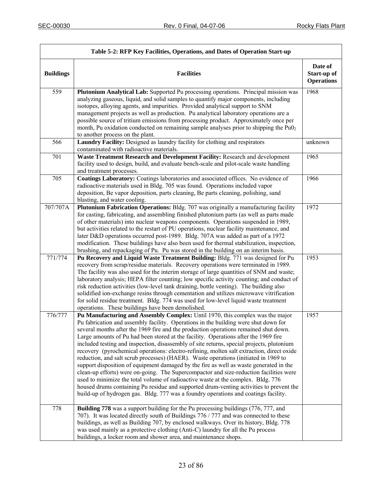| Table 5-2: RFP Key Facilities, Operations, and Dates of Operation Start-up |                                                                                                                                                                                                                                                                                                                                                                                                                                                                                                                                                                                                                                                                                                                                                                                                                                                                                                                                                                                                                                                                                                |                                             |  |  |
|----------------------------------------------------------------------------|------------------------------------------------------------------------------------------------------------------------------------------------------------------------------------------------------------------------------------------------------------------------------------------------------------------------------------------------------------------------------------------------------------------------------------------------------------------------------------------------------------------------------------------------------------------------------------------------------------------------------------------------------------------------------------------------------------------------------------------------------------------------------------------------------------------------------------------------------------------------------------------------------------------------------------------------------------------------------------------------------------------------------------------------------------------------------------------------|---------------------------------------------|--|--|
| <b>Buildings</b>                                                           | <b>Facilities</b>                                                                                                                                                                                                                                                                                                                                                                                                                                                                                                                                                                                                                                                                                                                                                                                                                                                                                                                                                                                                                                                                              | Date of<br>Start-up of<br><b>Operations</b> |  |  |
| 559                                                                        | Plutonium Analytical Lab: Supported Pu processing operations. Principal mission was<br>analyzing gaseous, liquid, and solid samples to quantify major components, including<br>isotopes, alloying agents, and impurities. Provided analytical support to SNM<br>management projects as well as production. Pu analytical laboratory operations are a<br>possible source of tritium emissions from processing product. Approximately once per<br>month, Pu oxidation conducted on remaining sample analyses prior to shipping the PuO <sub>2</sub><br>to another process on the plant.                                                                                                                                                                                                                                                                                                                                                                                                                                                                                                          | 1968                                        |  |  |
| 566                                                                        | Laundry Facility: Designed as laundry facility for clothing and respirators<br>contaminated with radioactive materials.                                                                                                                                                                                                                                                                                                                                                                                                                                                                                                                                                                                                                                                                                                                                                                                                                                                                                                                                                                        | unknown                                     |  |  |
| 701                                                                        | Waste Treatment Research and Development Facility: Research and development<br>facility used to design, build, and evaluate bench-scale and pilot-scale waste handling<br>and treatment processes.                                                                                                                                                                                                                                                                                                                                                                                                                                                                                                                                                                                                                                                                                                                                                                                                                                                                                             | 1965                                        |  |  |
| 705                                                                        | Coatings Laboratory: Coatings laboratories and associated offices. No evidence of<br>radioactive materials used in Bldg. 705 was found. Operations included vapor<br>deposition, Be vapor deposition, parts cleaning, Be parts cleaning, polishing, sand<br>blasting, and water cooling.                                                                                                                                                                                                                                                                                                                                                                                                                                                                                                                                                                                                                                                                                                                                                                                                       | 1966                                        |  |  |
| 707/707A                                                                   | Plutonium Fabrication Operations: Bldg. 707 was originally a manufacturing facility<br>for casting, fabricating, and assembling finished plutonium parts (as well as parts made<br>of other materials) into nuclear weapons components. Operations suspended in 1989,<br>but activities related to the restart of PU operations, nuclear facility maintenance, and<br>later D&D operations occurred post-1989. Bldg. 707A was added as part of a 1972<br>modification. These buildings have also been used for thermal stabilization, inspection,<br>brushing, and repackaging of Pu. Pu was stored in the building on an interim basis.                                                                                                                                                                                                                                                                                                                                                                                                                                                       | 1972                                        |  |  |
| 771/774                                                                    | Pu Recovery and Liquid Waste Treatment Building: Bldg. 771 was designed for Pu<br>recovery from scrap/residue materials. Recovery operations were terminated in 1989.<br>The facility was also used for the interim storage of large quantities of SNM and waste;<br>laboratory analysis; HEPA filter counting; low specific activity counting; and conduct of<br>risk reduction activities (low-level tank draining, bottle venting). The building also<br>solidified ion-exchange resins through cementation and utilizes microwave vitrification<br>for solid residue treatment. Bldg. 774 was used for low-level liquid waste treatment<br>operations. These buildings have been demolished.                                                                                                                                                                                                                                                                                                                                                                                               | 1953                                        |  |  |
| 776/777                                                                    | Pu Manufacturing and Assembly Complex: Until 1970, this complex was the major<br>Pu fabrication and assembly facility. Operations in the building were shut down for<br>several months after the 1969 fire and the production operations remained shut down.<br>Large amounts of Pu had been stored at the facility. Operations after the 1969 fire<br>included testing and inspection, disassembly of site returns, special projects, plutonium<br>recovery (pyrochemical operations: electro-refining, molten salt extraction, direct oxide<br>reduction, and salt scrub processes) (HAER). Waste operations (initiated in 1969 to<br>support disposition of equipment damaged by the fire as well as waste generated in the<br>clean-up efforts) were on-going. The Supercompactor and size-reduction facilities were<br>used to minimize the total volume of radioactive waste at the complex. Bldg. 776<br>housed drums containing Pu residue and supported drum-venting activities to prevent the<br>build-up of hydrogen gas. Bldg. 777 was a foundry operations and coatings facility. | 1957                                        |  |  |
| 778                                                                        | Building 778 was a support building for the Pu processing buildings (776, 777, and<br>707). It was located directly south of Buildings 776 / 777 and was connected to these<br>buildings, as well as Building 707, by enclosed walkways. Over its history, Bldg. 778<br>was used mainly as a protective clothing (Anti-C) laundry for all the Pu process<br>buildings, a locker room and shower area, and maintenance shops.                                                                                                                                                                                                                                                                                                                                                                                                                                                                                                                                                                                                                                                                   |                                             |  |  |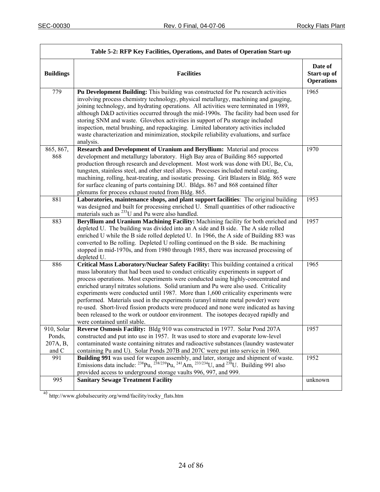Г

| Table 5-2: RFP Key Facilities, Operations, and Dates of Operation Start-up |                                                                                                                                                                                                                                                                                                                                                                                                                                                                                                                                                                                                                                                                                                                                                   |                                             |  |  |  |
|----------------------------------------------------------------------------|---------------------------------------------------------------------------------------------------------------------------------------------------------------------------------------------------------------------------------------------------------------------------------------------------------------------------------------------------------------------------------------------------------------------------------------------------------------------------------------------------------------------------------------------------------------------------------------------------------------------------------------------------------------------------------------------------------------------------------------------------|---------------------------------------------|--|--|--|
| <b>Buildings</b>                                                           | <b>Facilities</b>                                                                                                                                                                                                                                                                                                                                                                                                                                                                                                                                                                                                                                                                                                                                 | Date of<br>Start-up of<br><b>Operations</b> |  |  |  |
| 779                                                                        | Pu Development Building: This building was constructed for Pu research activities<br>involving process chemistry technology, physical metallurgy, machining and gauging,<br>joining technology, and hydrating operations. All activities were terminated in 1989,<br>although D&D activities occurred through the mid-1990s. The facility had been used for<br>storing SNM and waste. Glovebox activities in support of Pu storage included<br>inspection, metal brushing, and repackaging. Limited laboratory activities included<br>waste characterization and minimization, stockpile reliability evaluations, and surface<br>analysis.                                                                                                        | 1965                                        |  |  |  |
| 865, 867,<br>868                                                           | Research and Development of Uranium and Beryllium: Material and process<br>development and metallurgy laboratory. High Bay area of Building 865 supported<br>production through research and development. Most work was done with DU, Be, Cu,<br>tungsten, stainless steel, and other steel alloys. Processes included metal casting,<br>machining, rolling, heat-treating, and isostatic pressing. Grit Blasters in Bldg. 865 were<br>for surface cleaning of parts containing DU. Bldgs. 867 and 868 contained filter<br>plenums for process exhaust routed from Bldg. 865.                                                                                                                                                                     | 1970                                        |  |  |  |
| 881                                                                        | Laboratories, maintenance shops, and plant support facilities: The original building<br>was designed and built for processing enriched U. Small quantities of other radioactive<br>materials such as <sup>233</sup> U and Pu were also handled.                                                                                                                                                                                                                                                                                                                                                                                                                                                                                                   | 1953                                        |  |  |  |
| 883                                                                        | Beryllium and Uranium Machining Facility: Machining facility for both enriched and<br>depleted U. The building was divided into an A side and B side. The A side rolled<br>enriched U while the B side rolled depleted U. In 1966, the A side of Building 883 was<br>converted to Be rolling. Depleted U rolling continued on the B side. Be machining<br>stopped in mid-1970s, and from 1980 through 1985, there was increased processing of<br>depleted U.                                                                                                                                                                                                                                                                                      | 1957                                        |  |  |  |
| 886                                                                        | Critical Mass Laboratory/Nuclear Safety Facility: This building contained a critical<br>mass laboratory that had been used to conduct criticality experiments in support of<br>process operations. Most experiments were conducted using highly-concentrated and<br>enriched uranyl nitrates solutions. Solid uranium and Pu were also used. Criticality<br>experiments were conducted until 1987. More than 1,600 criticality experiments were<br>performed. Materials used in the experiments (uranyl nitrate metal powder) were<br>re-used. Short-lived fission products were produced and none were indicated as having<br>been released to the work or outdoor environment. The isotopes decayed rapidly and<br>were contained until stable. | 1965                                        |  |  |  |
| 910, Solar<br>Ponds,<br>207A, B,<br>and C                                  | Reverse Osmosis Facility: Bldg 910 was constructed in 1977. Solar Pond 207A<br>constructed and put into use in 1957. It was used to store and evaporate low-level<br>contaminated waste containing nitrates and radioactive substances (laundry wastewater<br>containing Pu and U). Solar Ponds 207B and 207C were put into service in 1960.                                                                                                                                                                                                                                                                                                                                                                                                      | 1957                                        |  |  |  |
| 991                                                                        | Building 991 was used for weapon assembly, and later, storage and shipment of waste.<br>Emissions data include: $^{238}Pu$ , $^{238/239}Pu$ , $^{241}Am$ , $^{233/234}U$ , and $^{238}U$ . Building 991 also<br>provided access to underground storage vaults 996, 997, and 999.                                                                                                                                                                                                                                                                                                                                                                                                                                                                  | 1952                                        |  |  |  |
| 995                                                                        | <b>Sanitary Sewage Treatment Facility</b>                                                                                                                                                                                                                                                                                                                                                                                                                                                                                                                                                                                                                                                                                                         | unknown                                     |  |  |  |

a) http://www.globalsecurity.org/wmd/facility/rocky\_flats.htm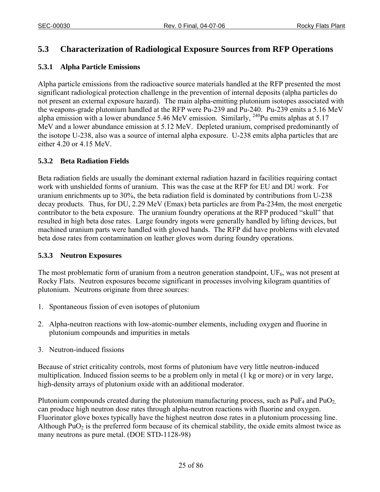### **5.3 Characterization of Radiological Exposure Sources from RFP Operations**

#### **5.3.1 Alpha Particle Emissions**

Alpha particle emissions from the radioactive source materials handled at the RFP presented the most significant radiological protection challenge in the prevention of internal deposits (alpha particles do not present an external exposure hazard). The main alpha-emitting plutonium isotopes associated with the weapons-grade plutonium handled at the RFP were Pu-239 and Pu-240. Pu-239 emits a 5.16 MeV alpha emission with a lower abundance 5.46 MeV emission. Similarly,  $^{240}$ Pu emits alphas at 5.17 MeV and a lower abundance emission at 5.12 MeV. Depleted uranium, comprised predominantly of the isotope U-238, also was a source of internal alpha exposure. U-238 emits alpha particles that are either 4.20 or 4.15 MeV.

#### **5.3.2 Beta Radiation Fields**

Beta radiation fields are usually the dominant external radiation hazard in facilities requiring contact work with unshielded forms of uranium. This was the case at the RFP for EU and DU work. For uranium enrichments up to 30%, the beta radiation field is dominated by contributions from U-238 decay products. Thus, for DU, 2.29 MeV (Emax) beta particles are from Pa-234m, the most energetic contributor to the beta exposure. The uranium foundry operations at the RFP produced "skull" that resulted in high beta dose rates. Large foundry ingots were generally handled by lifting devices, but machined uranium parts were handled with gloved hands. The RFP did have problems with elevated beta dose rates from contamination on leather gloves worn during foundry operations.

#### **5.3.3 Neutron Exposures**

The most problematic form of uranium from a neutron generation standpoint,  $UF_6$ , was not present at Rocky Flats. Neutron exposures become significant in processes involving kilogram quantities of plutonium. Neutrons originate from three sources:

- 1. Spontaneous fission of even isotopes of plutonium
- 2. Alpha-neutron reactions with low-atomic-number elements, including oxygen and fluorine in plutonium compounds and impurities in metals
- 3. Neutron-induced fissions

Because of strict criticality controls, most forms of plutonium have very little neutron-induced multiplication. Induced fission seems to be a problem only in metal (1 kg or more) or in very large, high-density arrays of plutonium oxide with an additional moderator.

Plutonium compounds created during the plutonium manufacturing process, such as  $PuF<sub>4</sub>$  and  $PuO<sub>2</sub>$ , can produce high neutron dose rates through alpha-neutron reactions with fluorine and oxygen. Fluorinator glove boxes typically have the highest neutron dose rates in a plutonium processing line. Although PuO<sub>2</sub> is the preferred form because of its chemical stability, the oxide emits almost twice as many neutrons as pure metal. (DOE STD-1128-98)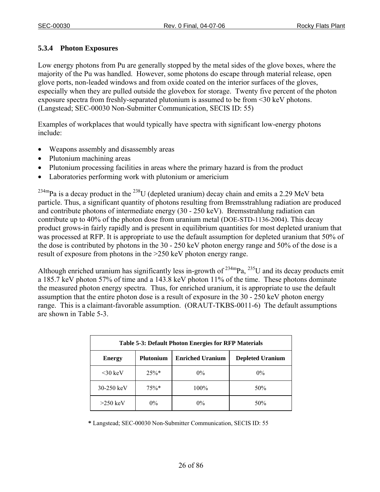#### **5.3.4 Photon Exposures**

Low energy photons from Pu are generally stopped by the metal sides of the glove boxes, where the majority of the Pu was handled. However, some photons do escape through material release, open glove ports, non-leaded windows and from oxide coated on the interior surfaces of the gloves, especially when they are pulled outside the glovebox for storage. Twenty five percent of the photon exposure spectra from freshly-separated plutonium is assumed to be from <30 keV photons. (Langstead; SEC-00030 Non-Submitter Communication, SECIS ID: 55)

Examples of workplaces that would typically have spectra with significant low-energy photons include:

- Weapons assembly and disassembly areas
- Plutonium machining areas
- Plutonium processing facilities in areas where the primary hazard is from the product
- Laboratories performing work with plutonium or americium

 and contribute photons of intermediate energy (30 - 250 keV). Bremsstrahlung radiation can  $^{234m}$ Pa is a decay product in the  $^{238}$ U (depleted uranium) decay chain and emits a 2.29 MeV beta particle. Thus, a significant quantity of photons resulting from Bremsstrahlung radiation are produced contribute up to 40% of the photon dose from uranium metal (DOE-STD-1136-2004). This decay product grows-in fairly rapidly and is present in equilibrium quantities for most depleted uranium that was processed at RFP. It is appropriate to use the default assumption for depleted uranium that 50% of the dose is contributed by photons in the 30 - 250 keV photon energy range and 50% of the dose is a result of exposure from photons in the >250 keV photon energy range.

Although enriched uranium has significantly less in-growth of  $^{234m}Pa$ ,  $^{235}U$  and its decay products emit a 185.7 keV photon 57% of time and a 143.8 keV photon 11% of the time. These photons dominate the measured photon energy spectra. Thus, for enriched uranium, it is appropriate to use the default assumption that the entire photon dose is a result of exposure in the 30 - 250 keV photon energy range. This is a claimant-favorable assumption. (ORAUT-TKBS-0011-6) The default assumptions are shown in Table 5-3.

| <b>Table 5-3: Default Photon Energies for RFP Materials</b>                             |         |       |       |  |  |
|-----------------------------------------------------------------------------------------|---------|-------|-------|--|--|
| <b>Enriched Uranium</b><br><b>Plutonium</b><br><b>Depleted Uranium</b><br><b>Energy</b> |         |       |       |  |  |
| $<30$ keV                                                                               | $25\%*$ | $0\%$ | $0\%$ |  |  |
| 30-250 keV                                                                              | $75\%*$ | 100%  | 50%   |  |  |
| $>250$ keV                                                                              | $0\%$   | $0\%$ | 50%   |  |  |

**\*** Langstead; SEC-00030 Non-Submitter Communication, SECIS ID: 55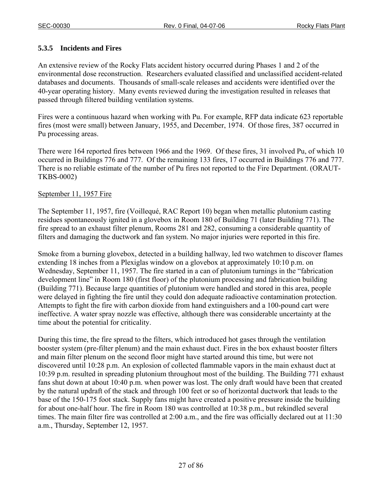#### **5.3.5 Incidents and Fires**

An extensive review of the Rocky Flats accident history occurred during Phases 1 and 2 of the environmental dose reconstruction. Researchers evaluated classified and unclassified accident-related databases and documents. Thousands of small-scale releases and accidents were identified over the 40-year operating history. Many events reviewed during the investigation resulted in releases that passed through filtered building ventilation systems.

Fires were a continuous hazard when working with Pu. For example, RFP data indicate 623 reportable fires (most were small) between January, 1955, and December, 1974. Of those fires, 387 occurred in Pu processing areas.

There were 164 reported fires between 1966 and the 1969. Of these fires, 31 involved Pu, of which 10 occurred in Buildings 776 and 777. Of the remaining 133 fires, 17 occurred in Buildings 776 and 777. There is no reliable estimate of the number of Pu fires not reported to the Fire Department. (ORAUT-TKBS-0002)

#### September 11, 1957 Fire

The September 11, 1957, fire (Voillequé, RAC Report 10) began when metallic plutonium casting residues spontaneously ignited in a glovebox in Room 180 of Building 71 (later Building 771). The fire spread to an exhaust filter plenum, Rooms 281 and 282, consuming a considerable quantity of filters and damaging the ductwork and fan system. No major injuries were reported in this fire.

Smoke from a burning glovebox, detected in a building hallway, led two watchmen to discover flames extending 18 inches from a Plexiglas window on a glovebox at approximately 10:10 p.m. on Wednesday, September 11, 1957. The fire started in a can of plutonium turnings in the "fabrication development line" in Room 180 (first floor) of the plutonium processing and fabrication building (Building 771). Because large quantities of plutonium were handled and stored in this area, people were delayed in fighting the fire until they could don adequate radioactive contamination protection. Attempts to fight the fire with carbon dioxide from hand extinguishers and a 100-pound cart were ineffective. A water spray nozzle was effective, although there was considerable uncertainty at the time about the potential for criticality.

During this time, the fire spread to the filters, which introduced hot gases through the ventilation booster system (pre-filter plenum) and the main exhaust duct. Fires in the box exhaust booster filters and main filter plenum on the second floor might have started around this time, but were not discovered until 10:28 p.m. An explosion of collected flammable vapors in the main exhaust duct at 10:39 p.m. resulted in spreading plutonium throughout most of the building. The Building 771 exhaust fans shut down at about 10:40 p.m. when power was lost. The only draft would have been that created by the natural updraft of the stack and through 100 feet or so of horizontal ductwork that leads to the base of the 150-175 foot stack. Supply fans might have created a positive pressure inside the building for about one-half hour. The fire in Room 180 was controlled at 10:38 p.m., but rekindled several times. The main filter fire was controlled at 2:00 a.m., and the fire was officially declared out at 11:30 a.m., Thursday, September 12, 1957.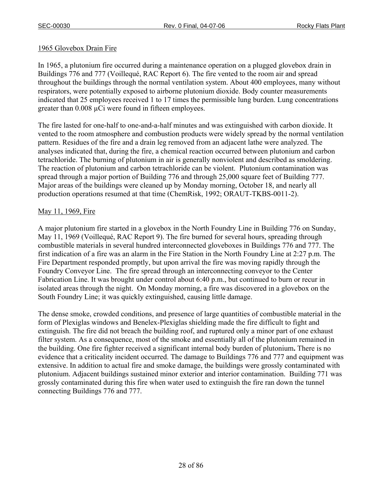#### 1965 Glovebox Drain Fire

In 1965, a plutonium fire occurred during a maintenance operation on a plugged glovebox drain in Buildings 776 and 777 (Voillequé, RAC Report 6). The fire vented to the room air and spread throughout the buildings through the normal ventilation system. About 400 employees, many without respirators, were potentially exposed to airborne plutonium dioxide. Body counter measurements indicated that 25 employees received 1 to 17 times the permissible lung burden. Lung concentrations greater than  $0.008 \mu$ Ci were found in fifteen employees.

The fire lasted for one-half to one-and-a-half minutes and was extinguished with carbon dioxide. It vented to the room atmosphere and combustion products were widely spread by the normal ventilation pattern. Residues of the fire and a drain leg removed from an adjacent lathe were analyzed. The analyses indicated that, during the fire, a chemical reaction occurred between plutonium and carbon tetrachloride. The burning of plutonium in air is generally nonviolent and described as smoldering. The reaction of plutonium and carbon tetrachloride can be violent. Plutonium contamination was spread through a major portion of Building 776 and through 25,000 square feet of Building 777. Major areas of the buildings were cleaned up by Monday morning, October 18, and nearly all production operations resumed at that time (ChemRisk, 1992; ORAUT-TKBS-0011-2).

#### May 11, 1969, Fire

A major plutonium fire started in a glovebox in the North Foundry Line in Building 776 on Sunday, May 11, 1969 (Voillequé, RAC Report 9). The fire burned for several hours, spreading through combustible materials in several hundred interconnected gloveboxes in Buildings 776 and 777. The first indication of a fire was an alarm in the Fire Station in the North Foundry Line at 2:27 p.m. The Fire Department responded promptly, but upon arrival the fire was moving rapidly through the Foundry Conveyor Line. The fire spread through an interconnecting conveyor to the Center Fabrication Line. It was brought under control about 6:40 p.m., but continued to burn or recur in isolated areas through the night. On Monday morning, a fire was discovered in a glovebox on the South Foundry Line; it was quickly extinguished, causing little damage.

The dense smoke, crowded conditions, and presence of large quantities of combustible material in the form of Plexiglas windows and Benelex-Plexiglas shielding made the fire difficult to fight and extinguish. The fire did not breach the building roof, and ruptured only a minor part of one exhaust filter system. As a consequence, most of the smoke and essentially all of the plutonium remained in the building. One fire fighter received a significant internal body burden of plutonium**.** There is no evidence that a criticality incident occurred. The damage to Buildings 776 and 777 and equipment was extensive. In addition to actual fire and smoke damage, the buildings were grossly contaminated with plutonium. Adjacent buildings sustained minor exterior and interior contamination. Building 771 was grossly contaminated during this fire when water used to extinguish the fire ran down the tunnel connecting Buildings 776 and 777.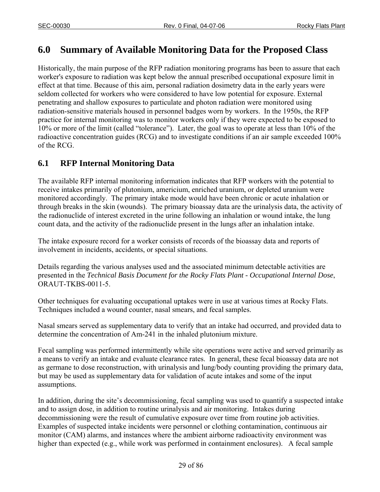## **6.0 Summary of Available Monitoring Data for the Proposed Class**

Historically, the main purpose of the RFP radiation monitoring programs has been to assure that each worker's exposure to radiation was kept below the annual prescribed occupational exposure limit in effect at that time. Because of this aim, personal radiation dosimetry data in the early years were seldom collected for workers who were considered to have low potential for exposure. External penetrating and shallow exposures to particulate and photon radiation were monitored using radiation-sensitive materials housed in personnel badges worn by workers. In the 1950s, the RFP practice for internal monitoring was to monitor workers only if they were expected to be exposed to 10% or more of the limit (called "tolerance"). Later, the goal was to operate at less than 10% of the radioactive concentration guides (RCG) and to investigate conditions if an air sample exceeded 100% of the RCG.

### **6.1 RFP Internal Monitoring Data**

The available RFP internal monitoring information indicates that RFP workers with the potential to receive intakes primarily of plutonium, americium, enriched uranium, or depleted uranium were monitored accordingly. The primary intake mode would have been chronic or acute inhalation or through breaks in the skin (wounds). The primary bioassay data are the urinalysis data, the activity of the radionuclide of interest excreted in the urine following an inhalation or wound intake, the lung count data, and the activity of the radionuclide present in the lungs after an inhalation intake.

The intake exposure record for a worker consists of records of the bioassay data and reports of involvement in incidents, accidents, or special situations.

Details regarding the various analyses used and the associated minimum detectable activities are presented in the *Technical Basis Document for the Rocky Flats Plant - Occupational Internal Dose*, ORAUT-TKBS-0011-5.

Other techniques for evaluating occupational uptakes were in use at various times at Rocky Flats. Techniques included a wound counter, nasal smears, and fecal samples.

Nasal smears served as supplementary data to verify that an intake had occurred, and provided data to determine the concentration of Am-241 in the inhaled plutonium mixture.

Fecal sampling was performed intermittently while site operations were active and served primarily as a means to verify an intake and evaluate clearance rates. In general, these fecal bioassay data are not as germane to dose reconstruction, with urinalysis and lung/body counting providing the primary data, but may be used as supplementary data for validation of acute intakes and some of the input assumptions.

In addition, during the site's decommissioning, fecal sampling was used to quantify a suspected intake and to assign dose, in addition to routine urinalysis and air monitoring. Intakes during decommissioning were the result of cumulative exposure over time from routine job activities. Examples of suspected intake incidents were personnel or clothing contamination, continuous air monitor (CAM) alarms, and instances where the ambient airborne radioactivity environment was higher than expected (e.g., while work was performed in containment enclosures). A fecal sample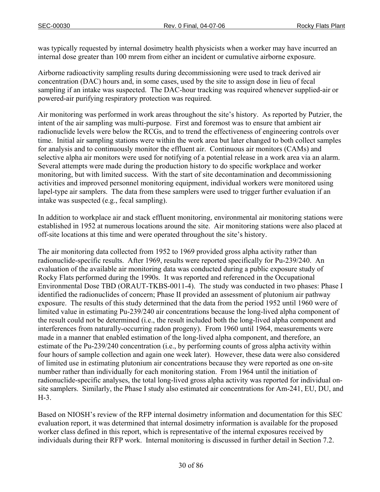was typically requested by internal dosimetry health physicists when a worker may have incurred an internal dose greater than 100 mrem from either an incident or cumulative airborne exposure.

Airborne radioactivity sampling results during decommissioning were used to track derived air concentration (DAC) hours and, in some cases, used by the site to assign dose in lieu of fecal sampling if an intake was suspected. The DAC-hour tracking was required whenever supplied-air or powered-air purifying respiratory protection was required.

 selective alpha air monitors were used for notifying of a potential release in a work area via an alarm. Several attempts were made during the production history to do specific workplace and worker Air monitoring was performed in work areas throughout the site's history. As reported by Putzier, the intent of the air sampling was multi-purpose. First and foremost was to ensure that ambient air radionuclide levels were below the RCGs, and to trend the effectiveness of engineering controls over time. Initial air sampling stations were within the work area but later changed to both collect samples for analysis and to continuously monitor the effluent air. Continuous air monitors (CAMs) and monitoring, but with limited success. With the start of site decontamination and decommissioning activities and improved personnel monitoring equipment, individual workers were monitored using lapel-type air samplers. The data from these samplers were used to trigger further evaluation if an intake was suspected (e.g., fecal sampling).

In addition to workplace air and stack effluent monitoring, environmental air monitoring stations were established in 1952 at numerous locations around the site. Air monitoring stations were also placed at off-site locations at this time and were operated throughout the site's history.

The air monitoring data collected from 1952 to 1969 provided gross alpha activity rather than radionuclide-specific results. After 1969, results were reported specifically for Pu-239/240. An evaluation of the available air monitoring data was conducted during a public exposure study of Rocky Flats performed during the 1990s. It was reported and referenced in the Occupational Environmental Dose TBD (ORAUT-TKBS-0011-4). The study was conducted in two phases: Phase I identified the radionuclides of concern; Phase II provided an assessment of plutonium air pathway exposure. The results of this study determined that the data from the period 1952 until 1960 were of limited value in estimating Pu-239/240 air concentrations because the long-lived alpha component of the result could not be determined (i.e., the result included both the long-lived alpha component and interferences from naturally-occurring radon progeny). From 1960 until 1964, measurements were made in a manner that enabled estimation of the long-lived alpha component, and therefore, an estimate of the Pu-239/240 concentration (i.e., by performing counts of gross alpha activity within four hours of sample collection and again one week later). However, these data were also considered of limited use in estimating plutonium air concentrations because they were reported as one on-site number rather than individually for each monitoring station. From 1964 until the initiation of radionuclide-specific analyses, the total long-lived gross alpha activity was reported for individual onsite samplers. Similarly, the Phase I study also estimated air concentrations for Am-241, EU, DU, and H-3.

Based on NIOSH's review of the RFP internal dosimetry information and documentation for this SEC evaluation report, it was determined that internal dosimetry information is available for the proposed worker class defined in this report, which is representative of the internal exposures received by individuals during their RFP work. Internal monitoring is discussed in further detail in Section 7.2.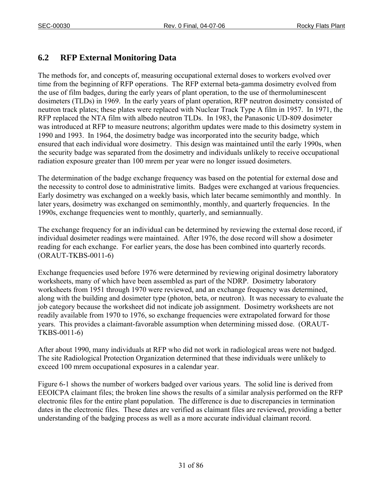## **6.2 RFP External Monitoring Data**

The methods for, and concepts of, measuring occupational external doses to workers evolved over time from the beginning of RFP operations. The RFP external beta-gamma dosimetry evolved from the use of film badges, during the early years of plant operation, to the use of thermoluminescent dosimeters (TLDs) in 1969. In the early years of plant operation, RFP neutron dosimetry consisted of neutron track plates; these plates were replaced with Nuclear Track Type A film in 1957. In 1971, the RFP replaced the NTA film with albedo neutron TLDs. In 1983, the Panasonic UD-809 dosimeter was introduced at RFP to measure neutrons; algorithm updates were made to this dosimetry system in 1990 and 1993. In 1964, the dosimetry badge was incorporated into the security badge, which ensured that each individual wore dosimetry. This design was maintained until the early 1990s, when the security badge was separated from the dosimetry and individuals unlikely to receive occupational radiation exposure greater than 100 mrem per year were no longer issued dosimeters.

The determination of the badge exchange frequency was based on the potential for external dose and the necessity to control dose to administrative limits. Badges were exchanged at various frequencies. Early dosimetry was exchanged on a weekly basis, which later became semimonthly and monthly. In later years, dosimetry was exchanged on semimonthly, monthly, and quarterly frequencies. In the 1990s, exchange frequencies went to monthly, quarterly, and semiannually.

The exchange frequency for an individual can be determined by reviewing the external dose record, if individual dosimeter readings were maintained. After 1976, the dose record will show a dosimeter reading for each exchange. For earlier years, the dose has been combined into quarterly records. (ORAUT-TKBS-0011-6)

Exchange frequencies used before 1976 were determined by reviewing original dosimetry laboratory worksheets, many of which have been assembled as part of the NDRP. Dosimetry laboratory worksheets from 1951 through 1970 were reviewed, and an exchange frequency was determined, along with the building and dosimeter type (photon, beta, or neutron). It was necessary to evaluate the job category because the worksheet did not indicate job assignment. Dosimetry worksheets are not readily available from 1970 to 1976, so exchange frequencies were extrapolated forward for those years. This provides a claimant-favorable assumption when determining missed dose. (ORAUT-TKBS-0011-6)

After about 1990, many individuals at RFP who did not work in radiological areas were not badged. The site Radiological Protection Organization determined that these individuals were unlikely to exceed 100 mrem occupational exposures in a calendar year.

Figure 6-1 shows the number of workers badged over various years. The solid line is derived from EEOICPA claimant files; the broken line shows the results of a similar analysis performed on the RFP electronic files for the entire plant population. The difference is due to discrepancies in termination dates in the electronic files. These dates are verified as claimant files are reviewed, providing a better understanding of the badging process as well as a more accurate individual claimant record.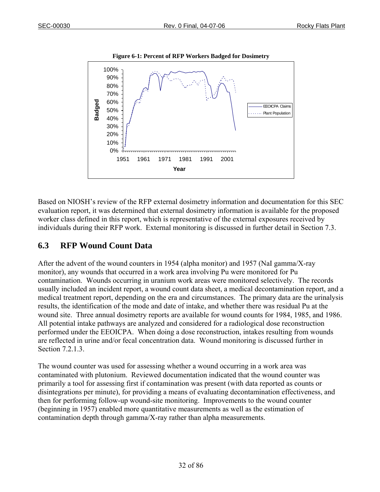

Based on NIOSH's review of the RFP external dosimetry information and documentation for this SEC evaluation report, it was determined that external dosimetry information is available for the proposed worker class defined in this report, which is representative of the external exposures received by individuals during their RFP work. External monitoring is discussed in further detail in Section 7.3.

### **6.3 RFP Wound Count Data**

After the advent of the wound counters in 1954 (alpha monitor) and 1957 (NaI gamma/X-ray monitor), any wounds that occurred in a work area involving Pu were monitored for Pu contamination. Wounds occurring in uranium work areas were monitored selectively. The records usually included an incident report, a wound count data sheet, a medical decontamination report, and a medical treatment report, depending on the era and circumstances. The primary data are the urinalysis results, the identification of the mode and date of intake, and whether there was residual Pu at the wound site. Three annual dosimetry reports are available for wound counts for 1984, 1985, and 1986. All potential intake pathways are analyzed and considered for a radiological dose reconstruction performed under the EEOICPA. When doing a dose reconstruction, intakes resulting from wounds are reflected in urine and/or fecal concentration data. Wound monitoring is discussed further in Section 7.2.1.3.

The wound counter was used for assessing whether a wound occurring in a work area was contaminated with plutonium. Reviewed documentation indicated that the wound counter was primarily a tool for assessing first if contamination was present (with data reported as counts or disintegrations per minute), for providing a means of evaluating decontamination effectiveness, and then for performing follow-up wound-site monitoring. Improvements to the wound counter (beginning in 1957) enabled more quantitative measurements as well as the estimation of contamination depth through gamma/X-ray rather than alpha measurements.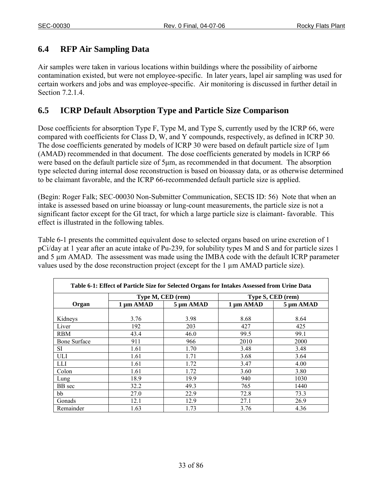## **6.4 RFP Air Sampling Data**

Air samples were taken in various locations within buildings where the possibility of airborne contamination existed, but were not employee-specific. In later years, lapel air sampling was used for certain workers and jobs and was employee-specific. Air monitoring is discussed in further detail in Section 7.2.1.4.

## **6.5 ICRP Default Absorption Type and Particle Size Comparison**

Dose coefficients for absorption Type F, Type M, and Type S, currently used by the ICRP 66, were compared with coefficients for Class D, W, and Y compounds, respectively, as defined in ICRP 30. The dose coefficients generated by models of ICRP 30 were based on default particle size of 1μm (AMAD) recommended in that document. The dose coefficients generated by models in ICRP 66 were based on the default particle size of 5μm, as recommended in that document. The absorption type selected during internal dose reconstruction is based on bioassay data, or as otherwise determined to be claimant favorable, and the ICRP 66-recommended default particle size is applied.

(Begin: Roger Falk; SEC-00030 Non-Submitter Communication, SECIS ID: 56) Note that when an intake is assessed based on urine bioassay or lung-count measurements, the particle size is not a significant factor except for the GI tract, for which a large particle size is claimant- favorable. This effect is illustrated in the following tables.

Table 6-1 presents the committed equivalent dose to selected organs based on urine excretion of 1 pCi/day at 1 year after an acute intake of Pu-239, for solubility types M and S and for particle sizes 1 and 5 µm AMAD. The assessment was made using the IMBA code with the default ICRP parameter values used by the dose reconstruction project (except for the 1 µm AMAD particle size).

| Table 6-1: Effect of Particle Size for Selected Organs for Intakes Assessed from Urine Data |                   |           |                   |           |  |
|---------------------------------------------------------------------------------------------|-------------------|-----------|-------------------|-----------|--|
|                                                                                             | Type M, CED (rem) |           | Type S, CED (rem) |           |  |
| Organ                                                                                       | 1 µm AMAD         | 5 µm AMAD | 1 µm AMAD         | 5 µm AMAD |  |
|                                                                                             |                   |           |                   |           |  |
| Kidneys                                                                                     | 3.76              | 3.98      | 8.68              | 8.64      |  |
| Liver                                                                                       | 192               | 203       | 427               | 425       |  |
| <b>RBM</b>                                                                                  | 43.4              | 46.0      | 99.5              | 99.1      |  |
| <b>Bone Surface</b>                                                                         | 911               | 966       | 2010              | 2000      |  |
| SI                                                                                          | 1.61              | 1.70      | 3.48              | 3.48      |  |
| ULI                                                                                         | 1.61              | 1.71      | 3.68              | 3.64      |  |
| LLI                                                                                         | 1.61              | 1.72      | 3.47              | 4.00      |  |
| Colon                                                                                       | 1.61              | 1.72      | 3.60              | 3.80      |  |
| Lung                                                                                        | 18.9              | 19.9      | 940               | 1030      |  |
| BB sec                                                                                      | 32.2              | 49.3      | 765               | 1440      |  |
| bb                                                                                          | 27.0              | 22.9      | 72.8              | 73.3      |  |
| Gonads                                                                                      | 12.1              | 12.9      | 27.1              | 26.9      |  |
| Remainder                                                                                   | 1.63              | 1.73      | 3.76              | 4.36      |  |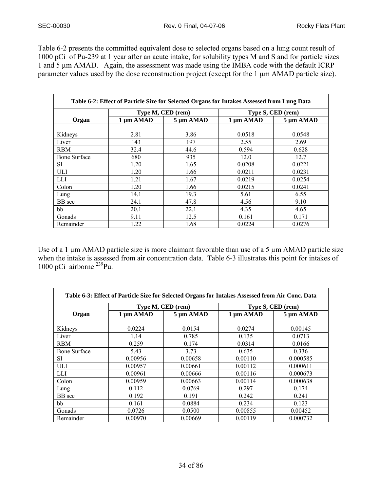Table 6-2 presents the committed equivalent dose to selected organs based on a lung count result of 1000 pCi of Pu-239 at 1 year after an acute intake, for solubility types M and S and for particle sizes 1 and 5 µm AMAD. Again, the assessment was made using the IMBA code with the default ICRP parameter values used by the dose reconstruction project (except for the 1 µm AMAD particle size).

|                     | Type M, CED (rem) |           | Type S, CED (rem) |           |
|---------------------|-------------------|-----------|-------------------|-----------|
| Organ               | 1 µm AMAD         | 5 µm AMAD | 1 µm AMAD         | 5 µm AMAD |
| Kidneys             | 2.81              | 3.86      | 0.0518            | 0.0548    |
| Liver               | 143               | 197       | 2.55              | 2.69      |
| <b>RBM</b>          | 32.4              | 44.6      | 0.594             | 0.628     |
| <b>Bone Surface</b> | 680               | 935       | 12.0              | 12.7      |
| SI                  | 1.20              | 1.65      | 0.0208            | 0.0221    |
| ULI                 | 1.20              | 1.66      | 0.0211            | 0.0231    |
| <b>LLI</b>          | 1.21              | 1.67      | 0.0219            | 0.0254    |
| Colon               | 1.20              | 1.66      | 0.0215            | 0.0241    |
| Lung                | 14.1              | 19.3      | 5.61              | 6.55      |
| BB sec              | 24.1              | 47.8      | 4.56              | 9.10      |
| bb                  | 20.1              | 22.1      | 4.35              | 4.65      |
| Gonads              | 9.11              | 12.5      | 0.161             | 0.171     |
| Remainder           | 1.22              | 1.68      | 0.0224            | 0.0276    |

Use of a 1  $\mu$ m AMAD particle size is more claimant favorable than use of a 5  $\mu$ m AMAD particle size when the intake is assessed from air concentration data. Table 6-3 illustrates this point for intakes of 1000 pCi airborne  $^{239}$ Pu.

| Table 6-3: Effect of Particle Size for Selected Organs for Intakes Assessed from Air Conc. Data |                   |           |                   |           |  |
|-------------------------------------------------------------------------------------------------|-------------------|-----------|-------------------|-----------|--|
|                                                                                                 | Type M, CED (rem) |           | Type S, CED (rem) |           |  |
| Organ                                                                                           | 1 µm AMAD         | 5 µm AMAD | 1 µm AMAD         | 5 µm AMAD |  |
|                                                                                                 |                   |           |                   |           |  |
| Kidneys                                                                                         | 0.0224            | 0.0154    | 0.0274            | 0.00145   |  |
| Liver                                                                                           | 1.14              | 0.785     | 0.135             | 0.0713    |  |
| RBM                                                                                             | 0.259             | 0.174     | 0.0314            | 0.0166    |  |
| <b>Bone Surface</b>                                                                             | 5.43              | 3.73      | 0.635             | 0.336     |  |
| SI                                                                                              | 0.00956           | 0.00658   | 0.00110           | 0.000585  |  |
| ULI                                                                                             | 0.00957           | 0.00661   | 0.00112           | 0.000611  |  |
| LLI                                                                                             | 0.00961           | 0.00666   | 0.00116           | 0.000673  |  |
| Colon                                                                                           | 0.00959           | 0.00663   | 0.00114           | 0.000638  |  |
| Lung                                                                                            | 0.112             | 0.0769    | 0.297             | 0.174     |  |
| BB sec                                                                                          | 0.192             | 0.191     | 0.242             | 0.241     |  |
| bb                                                                                              | 0.161             | 0.0884    | 0.234             | 0.123     |  |
| Gonads                                                                                          | 0.0726            | 0.0500    | 0.00855           | 0.00452   |  |
| Remainder                                                                                       | 0.00970           | 0.00669   | 0.00119           | 0.000732  |  |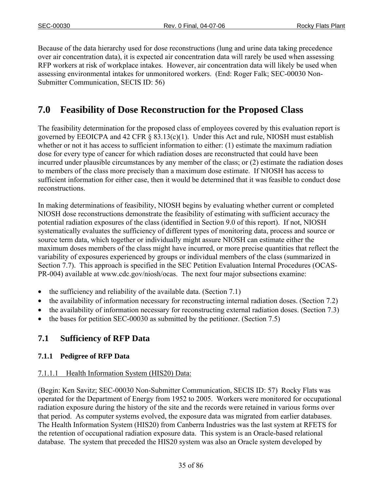Because of the data hierarchy used for dose reconstructions (lung and urine data taking precedence over air concentration data), it is expected air concentration data will rarely be used when assessing RFP workers at risk of workplace intakes. However, air concentration data will likely be used when assessing environmental intakes for unmonitored workers. (End: Roger Falk; SEC-00030 Non-Submitter Communication, SECIS ID: 56)

## **7.0 Feasibility of Dose Reconstruction for the Proposed Class**

The feasibility determination for the proposed class of employees covered by this evaluation report is governed by EEOICPA and 42 CFR  $\S$  83.13(c)(1). Under this Act and rule, NIOSH must establish whether or not it has access to sufficient information to either: (1) estimate the maximum radiation dose for every type of cancer for which radiation doses are reconstructed that could have been incurred under plausible circumstances by any member of the class; or (2) estimate the radiation doses to members of the class more precisely than a maximum dose estimate. If NIOSH has access to sufficient information for either case, then it would be determined that it was feasible to conduct dose reconstructions.

In making determinations of feasibility, NIOSH begins by evaluating whether current or completed NIOSH dose reconstructions demonstrate the feasibility of estimating with sufficient accuracy the potential radiation exposures of the class (identified in Section 9.0 of this report). If not, NIOSH systematically evaluates the sufficiency of different types of monitoring data, process and source or source term data, which together or individually might assure NIOSH can estimate either the maximum doses members of the class might have incurred, or more precise quantities that reflect the variability of exposures experienced by groups or individual members of the class (summarized in Section 7.7). This approach is specified in the SEC Petition Evaluation Internal Procedures (OCAS-PR-004) available at www.cdc.gov/niosh/ocas. The next four major subsections examine:

- the sufficiency and reliability of the available data. (Section 7.1)
- the availability of information necessary for reconstructing internal radiation doses. (Section 7.2)
- the availability of information necessary for reconstructing external radiation doses. (Section 7.3)
- the bases for petition SEC-00030 as submitted by the petitioner. (Section 7.5)

### **7.1 Sufficiency of RFP Data**

#### **7.1.1 Pedigree of RFP Data**

#### 7.1.1.1 Health Information System (HIS20) Data:

(Begin: Ken Savitz; SEC-00030 Non-Submitter Communication, SECIS ID: 57) Rocky Flats was operated for the Department of Energy from 1952 to 2005. Workers were monitored for occupational radiation exposure during the history of the site and the records were retained in various forms over that period. As computer systems evolved, the exposure data was migrated from earlier databases. The Health Information System (HIS20) from Canberra Industries was the last system at RFETS for the retention of occupational radiation exposure data. This system is an Oracle-based relational database. The system that preceded the HIS20 system was also an Oracle system developed by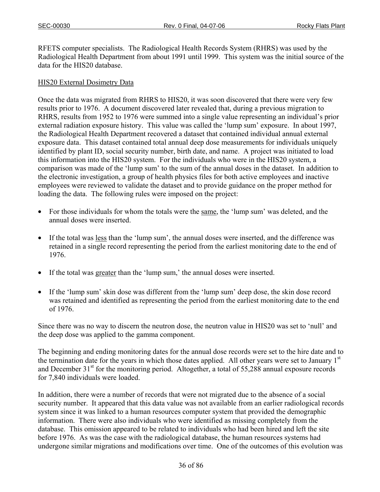RFETS computer specialists. The Radiological Health Records System (RHRS) was used by the Radiological Health Department from about 1991 until 1999. This system was the initial source of the data for the HIS20 database.

#### HIS20 External Dosimetry Data

Once the data was migrated from RHRS to HIS20, it was soon discovered that there were very few results prior to 1976. A document discovered later revealed that, during a previous migration to RHRS, results from 1952 to 1976 were summed into a single value representing an individual's prior external radiation exposure history. This value was called the 'lump sum' exposure. In about 1997, the Radiological Health Department recovered a dataset that contained individual annual external exposure data. This dataset contained total annual deep dose measurements for individuals uniquely identified by plant ID, social security number, birth date, and name. A project was initiated to load this information into the HIS20 system. For the individuals who were in the HIS20 system, a comparison was made of the 'lump sum' to the sum of the annual doses in the dataset. In addition to the electronic investigation, a group of health physics files for both active employees and inactive employees were reviewed to validate the dataset and to provide guidance on the proper method for loading the data. The following rules were imposed on the project:

- For those individuals for whom the totals were the same, the 'lump sum' was deleted, and the annual doses were inserted.
- If the total was <u>less</u> than the 'lump sum', the annual doses were inserted, and the difference was retained in a single record representing the period from the earliest monitoring date to the end of 1976.
- If the total was greater than the 'lump sum,' the annual doses were inserted.
- If the 'lump sum' skin dose was different from the 'lump sum' deep dose, the skin dose record was retained and identified as representing the period from the earliest monitoring date to the end of 1976.

Since there was no way to discern the neutron dose, the neutron value in HIS20 was set to 'null' and the deep dose was applied to the gamma component.

The beginning and ending monitoring dates for the annual dose records were set to the hire date and to the termination date for the years in which those dates applied. All other years were set to January 1<sup>st</sup> and December  $31<sup>st</sup>$  for the monitoring period. Altogether, a total of 55,288 annual exposure records for 7,840 individuals were loaded.

In addition, there were a number of records that were not migrated due to the absence of a social security number. It appeared that this data value was not available from an earlier radiological records system since it was linked to a human resources computer system that provided the demographic information. There were also individuals who were identified as missing completely from the database. This omission appeared to be related to individuals who had been hired and left the site before 1976. As was the case with the radiological database, the human resources systems had undergone similar migrations and modifications over time. One of the outcomes of this evolution was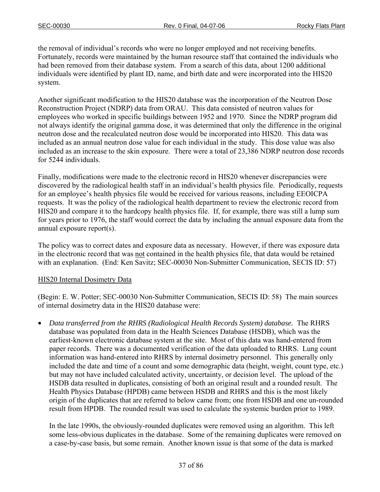the removal of individual's records who were no longer employed and not receiving benefits. Fortunately, records were maintained by the human resource staff that contained the individuals who had been removed from their database system. From a search of this data, about 1200 additional individuals were identified by plant ID, name, and birth date and were incorporated into the HIS20 system.

Another significant modification to the HIS20 database was the incorporation of the Neutron Dose Reconstruction Project (NDRP) data from ORAU. This data consisted of neutron values for employees who worked in specific buildings between 1952 and 1970. Since the NDRP program did not always identify the original gamma dose, it was determined that only the difference in the original neutron dose and the recalculated neutron dose would be incorporated into HIS20. This data was included as an annual neutron dose value for each individual in the study. This dose value was also included as an increase to the skin exposure. There were a total of 23,386 NDRP neutron dose records for 5244 individuals.

Finally, modifications were made to the electronic record in HIS20 whenever discrepancies were discovered by the radiological health staff in an individual's health physics file. Periodically, requests for an employee's health physics file would be received for various reasons, including EEOICPA requests. It was the policy of the radiological health department to review the electronic record from HIS20 and compare it to the hardcopy health physics file. If, for example, there was still a lump sum for years prior to 1976, the staff would correct the data by including the annual exposure data from the annual exposure report(s).

The policy was to correct dates and exposure data as necessary. However, if there was exposure data in the electronic record that was not contained in the health physics file, that data would be retained with an explanation. (End: Ken Savitz; SEC-00030 Non-Submitter Communication, SECIS ID: 57)

#### HIS20 Internal Dosimetry Data

(Begin: E. W. Potter; SEC-00030 Non-Submitter Communication, SECIS ID: 58) The main sources of internal dosimetry data in the HIS20 database were:

• *Data transferred from the RHRS (Radiological Health Records System) database.* The RHRS database was populated from data in the Health Sciences Database (HSDB), which was the earliest-known electronic database system at the site. Most of this data was hand-entered from paper records. There was a documented verification of the data uploaded to RHRS. Lung count information was hand-entered into RHRS by internal dosimetry personnel. This generally only included the date and time of a count and some demographic data (height, weight, count type, etc.) but may not have included calculated activity, uncertainty, or decision level. The upload of the HSDB data resulted in duplicates, consisting of both an original result and a rounded result. The Health Physics Database (HPDB) came between HSDB and RHRS and this is the most likely origin of the duplicates that are referred to below came from; one from HSDB and one un-rounded result from HPDB. The rounded result was used to calculate the systemic burden prior to 1989.

In the late 1990s, the obviously-rounded duplicates were removed using an algorithm. This left some less-obvious duplicates in the database. Some of the remaining duplicates were removed on a case-by-case basis, but some remain. Another known issue is that some of the data is marked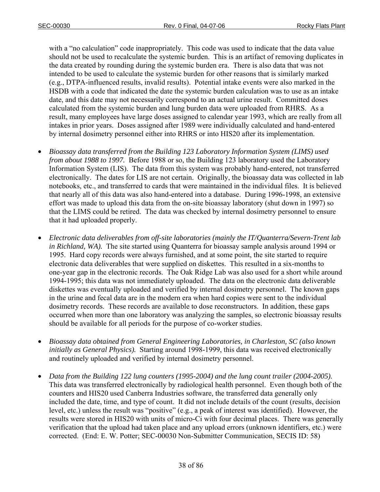with a "no calculation" code inappropriately. This code was used to indicate that the data value should not be used to recalculate the systemic burden. This is an artifact of removing duplicates in the data created by rounding during the systemic burden era. There is also data that was not intended to be used to calculate the systemic burden for other reasons that is similarly marked (e.g., DTPA-influenced results, invalid results). Potential intake events were also marked in the HSDB with a code that indicated the date the systemic burden calculation was to use as an intake date, and this date may not necessarily correspond to an actual urine result. Committed doses calculated from the systemic burden and lung burden data were uploaded from RHRS. As a result, many employees have large doses assigned to calendar year 1993, which are really from all intakes in prior years. Doses assigned after 1989 were individually calculated and hand-entered by internal dosimetry personnel either into RHRS or into HIS20 after its implementation.

- • *Bioassay data transferred from the Building 123 Laboratory Information System (LIMS) used from about 1988 to 1997.* Before 1988 or so, the Building 123 laboratory used the Laboratory Information System (LIS). The data from this system was probably hand-entered, not transferred electronically. The dates for LIS are not certain. Originally, the bioassay data was collected in lab notebooks, etc., and transferred to cards that were maintained in the individual files. It is believed that nearly all of this data was also hand-entered into a database. During 1996-1998, an extensive effort was made to upload this data from the on-site bioassay laboratory (shut down in 1997) so that the LIMS could be retired. The data was checked by internal dosimetry personnel to ensure that it had uploaded properly.
- • *Electronic data deliverables from off-site laboratories (mainly the IT/Quanterra/Severn-Trent lab in Richland, WA).* The site started using Quanterra for bioassay sample analysis around 1994 or 1995. Hard copy records were always furnished, and at some point, the site started to require electronic data deliverables that were supplied on diskettes. This resulted in a six-months to one-year gap in the electronic records. The Oak Ridge Lab was also used for a short while around 1994-1995; this data was not immediately uploaded. The data on the electronic data deliverable diskettes was eventually uploaded and verified by internal dosimetry personnel. The known gaps in the urine and fecal data are in the modern era when hard copies were sent to the individual dosimetry records. These records are available to dose reconstructors. In addition, these gaps occurred when more than one laboratory was analyzing the samples, so electronic bioassay results should be available for all periods for the purpose of co-worker studies.
- • *Bioassay data obtained from General Engineering Laboratories, in Charleston, SC (also known initially as General Physics).* Starting around 1998-1999, this data was received electronically and routinely uploaded and verified by internal dosimetry personnel.
- *Data from the Building 122 lung counters (1995-2004) and the lung count trailer (2004-2005).* This data was transferred electronically by radiological health personnel. Even though both of the counters and HIS20 used Canberra Industries software, the transferred data generally only included the date, time, and type of count. It did not include details of the count (results, decision level, etc.) unless the result was "positive" (e.g., a peak of interest was identified). However, the results were stored in HIS20 with units of micro-Ci with four decimal places. There was generally verification that the upload had taken place and any upload errors (unknown identifiers, etc.) were corrected. (End: E. W. Potter; SEC-00030 Non-Submitter Communication, SECIS ID: 58)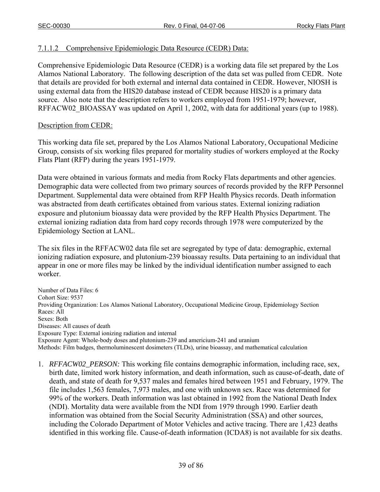#### 7.1.1.2 Comprehensive Epidemiologic Data Resource (CEDR) Data:

Comprehensive Epidemiologic Data Resource (CEDR) is a working data file set prepared by the Los Alamos National Laboratory. The following description of the data set was pulled from CEDR. Note that details are provided for both external and internal data contained in CEDR. However, NIOSH is using external data from the HIS20 database instead of CEDR because HIS20 is a primary data source. Also note that the description refers to workers employed from 1951-1979; however, RFFACW02 BIOASSAY was updated on April 1, 2002, with data for additional years (up to 1988).

#### Description from CEDR:

This working data file set, prepared by the Los Alamos National Laboratory, Occupational Medicine Group, consists of six working files prepared for mortality studies of workers employed at the Rocky Flats Plant (RFP) during the years 1951-1979.

Data were obtained in various formats and media from Rocky Flats departments and other agencies. Demographic data were collected from two primary sources of records provided by the RFP Personnel Department. Supplemental data were obtained from RFP Health Physics records. Death information was abstracted from death certificates obtained from various states. External ionizing radiation exposure and plutonium bioassay data were provided by the RFP Health Physics Department. The external ionizing radiation data from hard copy records through 1978 were computerized by the Epidemiology Section at LANL.

The six files in the RFFACW02 data file set are segregated by type of data: demographic, external ionizing radiation exposure, and plutonium-239 bioassay results. Data pertaining to an individual that appear in one or more files may be linked by the individual identification number assigned to each worker.

 Cohort Size: 9537 Exposure Type: External ionizing radiation and internal Exposure Type: External ionizing radiation and internal Exposure Agent: Whole-body doses and plutonium-239 and americium-241 and uranium Number of Data Files: 6 Providing Organization: Los Alamos National Laboratory, Occupational Medicine Group, Epidemiology Section Races: All Sexes: Both Diseases: All causes of death Methods: Film badges, thermoluminescent dosimeters (TLDs), urine bioassay, and mathematical calculation

1. *RFFACW02\_PERSON:* This working file contains demographic information, including race, sex, birth date, limited work history information, and death information, such as cause-of-death, date of death, and state of death for 9,537 males and females hired between 1951 and February, 1979. The file includes 1,563 females, 7,973 males, and one with unknown sex. Race was determined for 99% of the workers. Death information was last obtained in 1992 from the National Death Index (NDI). Mortality data were available from the NDI from 1979 through 1990. Earlier death information was obtained from the Social Security Administration (SSA) and other sources, including the Colorado Department of Motor Vehicles and active tracing. There are 1,423 deaths identified in this working file. Cause-of-death information (ICDA8) is not available for six deaths.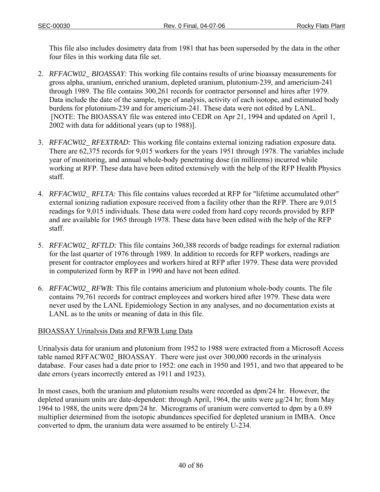This file also includes dosimetry data from 1981 that has been superseded by the data in the other four files in this working data file set.

- 2. *RFFACW02 BIOASSAY:* This working file contains results of urine bioassay measurements for gross alpha, uranium, enriched uranium, depleted uranium, plutonium-239, and americium-241 through 1989. The file contains 300,261 records for contractor personnel and hires after 1979. Data include the date of the sample, type of analysis, activity of each isotope, and estimated body burdens for plutonium-239 and for americium-241. These data were not edited by LANL. [NOTE: The BIOASSAY file was entered into CEDR on Apr 21, 1994 and updated on April 1, 2002 with data for additional years (up to 1988)].
- 3. *RFFACW02\_RFEXTRAD:* This working file contains external ionizing radiation exposure data. There are 62,375 records for 9,015 workers for the years 1951 through 1978. The variables include year of monitoring, and annual whole-body penetrating dose (in millirems) incurred while working at RFP. These data have been edited extensively with the help of the RFP Health Physics staff.
- 4. *RFFACW02\_ RFLTA:* This file contains values recorded at RFP for "lifetime accumulated other" external ionizing radiation exposure received from a facility other than the RFP. There are 9,015 readings for 9,015 individuals. These data were coded from hard copy records provided by RFP and are available for 1965 through 1978. These data have been edited with the help of the RFP staff.
- 5. *RFFACW02\_ RFTLD:* This file contains 360,388 records of badge readings for external radiation for the last quarter of 1976 through 1989. In addition to records for RFP workers, readings are present for contractor employees and workers hired at RFP after 1979. These data were provided in computerized form by RFP in 1990 and have not been edited.
- 6. *RFFACW02\_ RFWB:* This file contains americium and plutonium whole-body counts. The file contains 79,761 records for contract employees and workers hired after 1979. These data were never used by the LANL Epidemiology Section in any analyses, and no documentation exists at LANL as to the units or meaning of data in this file.

### BIOASSAY Urinalysis Data and RFWB Lung Data

Urinalysis data for uranium and plutonium from 1952 to 1988 were extracted from a Microsoft Access table named RFFACW02\_BIOASSAY. There were just over 300,000 records in the urinalysis database. Four cases had a date prior to 1952: one each in 1950 and 1951, and two that appeared to be date errors (years incorrectly entered as 1911 and 1923).

In most cases, both the uranium and plutonium results were recorded as dpm/24 hr. However, the depleted uranium units are date-dependent: through April, 1964, the units were  $\mu$ g/24 hr; from May 1964 to 1988, the units were dpm/24 hr. Micrograms of uranium were converted to dpm by a 0.89 multiplier determined from the isotopic abundances specified for depleted uranium in IMBA. Once converted to dpm, the uranium data were assumed to be entirely U-234.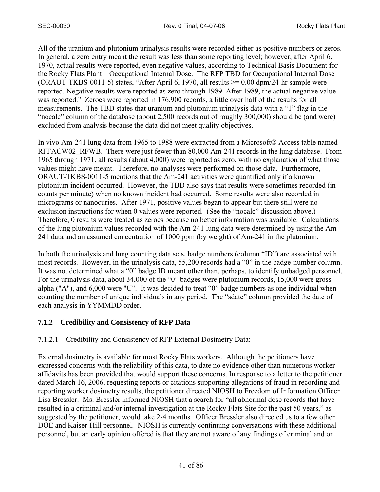All of the uranium and plutonium urinalysis results were recorded either as positive numbers or zeros. In general, a zero entry meant the result was less than some reporting level; however, after April 6, 1970, actual results were reported, even negative values, according to Technical Basis Document for the Rocky Flats Plant – Occupational Internal Dose. The RFP TBD for Occupational Internal Dose (ORAUT-TKBS-0011-5) states, "After April 6, 1970, all results  $\ge$  = 0.00 dpm/24-hr sample were reported. Negative results were reported as zero through 1989. After 1989, the actual negative value was reported." Zeroes were reported in 176,900 records, a little over half of the results for all measurements. The TBD states that uranium and plutonium urinalysis data with a "1" flag in the "nocalc" column of the database (about 2,500 records out of roughly 300,000) should be (and were) excluded from analysis because the data did not meet quality objectives.

In vivo Am-241 lung data from 1965 to 1988 were extracted from a Microsoft® Access table named RFFACW02 RFWB. There were just fewer than 80,000 Am-241 records in the lung database. From 1965 through 1971, all results (about 4,000) were reported as zero, with no explanation of what those values might have meant. Therefore, no analyses were performed on those data. Furthermore, ORAUT-TKBS-0011-5 mentions that the Am-241 activities were quantified only if a known plutonium incident occurred. However, the TBD also says that results were sometimes recorded (in counts per minute) when no known incident had occurred. Some results were also recorded in micrograms or nanocuries. After 1971, positive values began to appear but there still were no exclusion instructions for when 0 values were reported. (See the "nocalc" discussion above.) Therefore, 0 results were treated as zeroes because no better information was available. Calculations of the lung plutonium values recorded with the Am-241 lung data were determined by using the Am-241 data and an assumed concentration of 1000 ppm (by weight) of Am-241 in the plutonium.

In both the urinalysis and lung counting data sets, badge numbers (column "ID") are associated with most records. However, in the urinalysis data, 55,200 records had a "0" in the badge-number column. It was not determined what a "0" badge ID meant other than, perhaps, to identify unbadged personnel. For the urinalysis data, about 34,000 of the "0" badges were plutonium records, 15,000 were gross alpha ("A"), and 6,000 were "U". It was decided to treat "0" badge numbers as one individual when counting the number of unique individuals in any period. The "sdate" column provided the date of each analysis in YYMMDD order.

# **7.1.2 Credibility and Consistency of RFP Data**

### 7.1.2.1 Credibility and Consistency of RFP External Dosimetry Data:

External dosimetry is available for most Rocky Flats workers. Although the petitioners have expressed concerns with the reliability of this data, to date no evidence other than numerous worker affidavits has been provided that would support these concerns. In response to a letter to the petitioner dated March 16, 2006, requesting reports or citations supporting allegations of fraud in recording and reporting worker dosimetry results, the petitioner directed NIOSH to Freedom of Information Officer Lisa Bressler. Ms. Bressler informed NIOSH that a search for "all abnormal dose records that have resulted in a criminal and/or internal investigation at the Rocky Flats Site for the past 50 years," as suggested by the petitioner, would take 2-4 months. Officer Bressler also directed us to a few other DOE and Kaiser-Hill personnel. NIOSH is currently continuing conversations with these additional personnel, but an early opinion offered is that they are not aware of any findings of criminal and or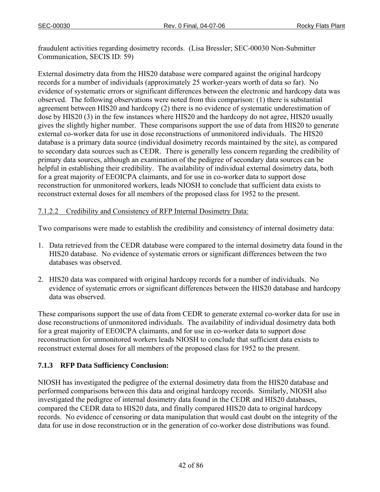fraudulent activities regarding dosimetry records. (Lisa Bressler; SEC-00030 Non-Submitter Communication, SECIS ID: 59)

External dosimetry data from the HIS20 database were compared against the original hardcopy records for a number of individuals (approximately 25 worker-years worth of data so far). No evidence of systematic errors or significant differences between the electronic and hardcopy data was observed. The following observations were noted from this comparison: (1) there is substantial agreement between HIS20 and hardcopy (2) there is no evidence of systematic underestimation of dose by HIS20 (3) in the few instances where HIS20 and the hardcopy do not agree, HIS20 usually gives the slightly higher number. These comparisons support the use of data from HIS20 to generate external co-worker data for use in dose reconstructions of unmonitored individuals. The HIS20 database is a primary data source (individual dosimetry records maintained by the site), as compared to secondary data sources such as CEDR. There is generally less concern regarding the credibility of primary data sources, although an examination of the pedigree of secondary data sources can be helpful in establishing their credibility. The availability of individual external dosimetry data, both for a great majority of EEOICPA claimants, and for use in co-worker data to support dose reconstruction for unmonitored workers, leads NIOSH to conclude that sufficient data exists to reconstruct external doses for all members of the proposed class for 1952 to the present.

## 7.1.2.2 Credibility and Consistency of RFP Internal Dosimetry Data:

Two comparisons were made to establish the credibility and consistency of internal dosimetry data:

- 1. Data retrieved from the CEDR database were compared to the internal dosimetry data found in the HIS20 database. No evidence of systematic errors or significant differences between the two databases was observed.
- 2. HIS20 data was compared with original hardcopy records for a number of individuals. No evidence of systematic errors or significant differences between the HIS20 database and hardcopy data was observed.

These comparisons support the use of data from CEDR to generate external co-worker data for use in dose reconstructions of unmonitored individuals. The availability of individual dosimetry data both for a great majority of EEOICPA claimants, and for use in co-worker data to support dose reconstruction for unmonitored workers leads NIOSH to conclude that sufficient data exists to reconstruct external doses for all members of the proposed class for 1952 to the present.

# **7.1.3 RFP Data Sufficiency Conclusion:**

NIOSH has investigated the pedigree of the external dosimetry data from the HIS20 database and performed comparisons between this data and original hardcopy records. Similarly, NIOSH also investigated the pedigree of internal dosimetry data found in the CEDR and HIS20 databases, compared the CEDR data to HIS20 data, and finally compared HIS20 data to original hardcopy records. No evidence of censoring or data manipulation that would cast doubt on the integrity of the data for use in dose reconstruction or in the generation of co-worker dose distributions was found.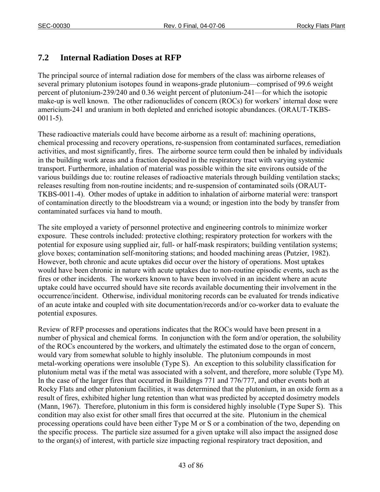# **7.2 Internal Radiation Doses at RFP**

The principal source of internal radiation dose for members of the class was airborne releases of several primary plutonium isotopes found in weapons-grade plutonium—comprised of 99.6 weight percent of plutonium-239/240 and 0.36 weight percent of plutonium-241—for which the isotopic make-up is well known. The other radionuclides of concern (ROCs) for workers' internal dose were americium-241 and uranium in both depleted and enriched isotopic abundances. (ORAUT-TKBS-0011-5).

These radioactive materials could have become airborne as a result of: machining operations, chemical processing and recovery operations, re-suspension from contaminated surfaces, remediation activities, and most significantly, fires. The airborne source term could then be inhaled by individuals in the building work areas and a fraction deposited in the respiratory tract with varying systemic transport. Furthermore, inhalation of material was possible within the site environs outside of the various buildings due to: routine releases of radioactive materials through building ventilation stacks; releases resulting from non-routine incidents; and re-suspension of contaminated soils (ORAUT-TKBS-0011-4). Other modes of uptake in addition to inhalation of airborne material were: transport of contamination directly to the bloodstream via a wound; or ingestion into the body by transfer from contaminated surfaces via hand to mouth.

The site employed a variety of personnel protective and engineering controls to minimize worker exposure. These controls included: protective clothing; respiratory protection for workers with the potential for exposure using supplied air, full- or half-mask respirators; building ventilation systems; glove boxes; contamination self-monitoring stations; and hooded machining areas (Putzier, 1982). However, both chronic and acute uptakes did occur over the history of operations. Most uptakes would have been chronic in nature with acute uptakes due to non-routine episodic events, such as the fires or other incidents. The workers known to have been involved in an incident where an acute uptake could have occurred should have site records available documenting their involvement in the occurrence/incident. Otherwise, individual monitoring records can be evaluated for trends indicative of an acute intake and coupled with site documentation/records and/or co-worker data to evaluate the potential exposures.

Review of RFP processes and operations indicates that the ROCs would have been present in a number of physical and chemical forms. In conjunction with the form and/or operation, the solubility of the ROCs encountered by the workers, and ultimately the estimated dose to the organ of concern, would vary from somewhat soluble to highly insoluble. The plutonium compounds in most metal-working operations were insoluble (Type S). An exception to this solubility classification for plutonium metal was if the metal was associated with a solvent, and therefore, more soluble (Type M). In the case of the larger fires that occurred in Buildings 771 and 776/777, and other events both at Rocky Flats and other plutonium facilities, it was determined that the plutonium, in an oxide form as a result of fires, exhibited higher lung retention than what was predicted by accepted dosimetry models (Mann, 1967). Therefore, plutonium in this form is considered highly insoluble (Type Super S). This condition may also exist for other small fires that occurred at the site. Plutonium in the chemical processing operations could have been either Type M or S or a combination of the two, depending on the specific process. The particle size assumed for a given uptake will also impact the assigned dose to the organ(s) of interest, with particle size impacting regional respiratory tract deposition, and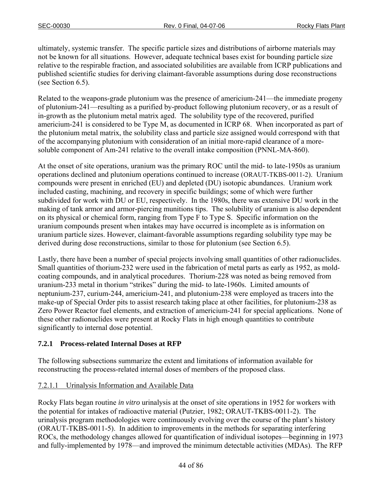ultimately, systemic transfer. The specific particle sizes and distributions of airborne materials may not be known for all situations. However, adequate technical bases exist for bounding particle size relative to the respirable fraction, and associated solubilities are available from ICRP publications and published scientific studies for deriving claimant-favorable assumptions during dose reconstructions (see Section 6.5).

Related to the weapons-grade plutonium was the presence of americium-241—the immediate progeny of plutonium-241—resulting as a purified by-product following plutonium recovery, or as a result of in-growth as the plutonium metal matrix aged. The solubility type of the recovered, purified americium-241 is considered to be Type M, as documented in ICRP 68. When incorporated as part of the plutonium metal matrix, the solubility class and particle size assigned would correspond with that of the accompanying plutonium with consideration of an initial more-rapid clearance of a moresoluble component of Am-241 relative to the overall intake composition (PNNL-MA-860).

At the onset of site operations, uranium was the primary ROC until the mid- to late-1950s as uranium operations declined and plutonium operations continued to increase (ORAUT-TKBS-0011-2). Uranium compounds were present in enriched (EU) and depleted (DU) isotopic abundances. Uranium work included casting, machining, and recovery in specific buildings; some of which were further subdivided for work with DU or EU, respectively. In the 1980s, there was extensive DU work in the making of tank armor and armor-piercing munitions tips. The solubility of uranium is also dependent on its physical or chemical form, ranging from Type F to Type S. Specific information on the uranium compounds present when intakes may have occurred is incomplete as is information on uranium particle sizes. However, claimant-favorable assumptions regarding solubility type may be derived during dose reconstructions, similar to those for plutonium (see Section 6.5).

Lastly, there have been a number of special projects involving small quantities of other radionuclides. Small quantities of thorium-232 were used in the fabrication of metal parts as early as 1952, as moldcoating compounds, and in analytical procedures. Thorium-228 was noted as being removed from uranium-233 metal in thorium "strikes" during the mid- to late-1960s. Limited amounts of neptunium-237, curium-244, americium-241, and plutonium-238 were employed as tracers into the make-up of Special Order pits to assist research taking place at other facilities, for plutonium-238 as Zero Power Reactor fuel elements, and extraction of americium-241 for special applications. None of these other radionuclides were present at Rocky Flats in high enough quantities to contribute significantly to internal dose potential.

# **7.2.1 Process-related Internal Doses at RFP**

The following subsections summarize the extent and limitations of information available for reconstructing the process-related internal doses of members of the proposed class.

# 7.2.1.1 Urinalysis Information and Available Data

Rocky Flats began routine *in vitro* urinalysis at the onset of site operations in 1952 for workers with the potential for intakes of radioactive material (Putzier, 1982; ORAUT-TKBS-0011-2). The urinalysis program methodologies were continuously evolving over the course of the plant's history (ORAUT-TKBS-0011-5). In addition to improvements in the methods for separating interfering ROCs, the methodology changes allowed for quantification of individual isotopes—beginning in 1973 and fully-implemented by 1978—and improved the minimum detectable activities (MDAs). The RFP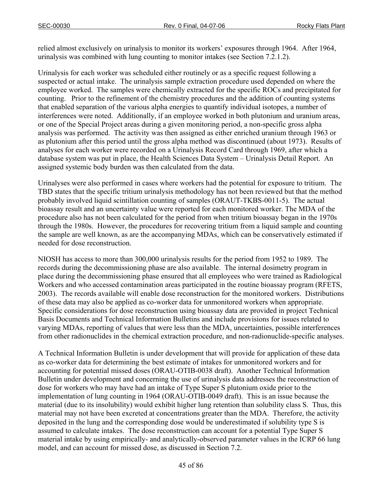relied almost exclusively on urinalysis to monitor its workers' exposures through 1964. After 1964, urinalysis was combined with lung counting to monitor intakes (see Section 7.2.1.2).

Urinalysis for each worker was scheduled either routinely or as a specific request following a suspected or actual intake. The urinalysis sample extraction procedure used depended on where the employee worked. The samples were chemically extracted for the specific ROCs and precipitated for counting. Prior to the refinement of the chemistry procedures and the addition of counting systems that enabled separation of the various alpha energies to quantify individual isotopes, a number of interferences were noted. Additionally, if an employee worked in both plutonium and uranium areas, or one of the Special Project areas during a given monitoring period, a non-specific gross alpha analysis was performed. The activity was then assigned as either enriched uranium through 1963 or as plutonium after this period until the gross alpha method was discontinued (about 1973). Results of analyses for each worker were recorded on a Urinalysis Record Card through 1969, after which a database system was put in place, the Health Sciences Data System – Urinalysis Detail Report. An assigned systemic body burden was then calculated from the data.

Urinalyses were also performed in cases where workers had the potential for exposure to tritium. The TBD states that the specific tritium urinalysis methodology has not been reviewed but that the method probably involved liquid scintillation counting of samples (ORAUT-TKBS-0011-5). The actual bioassay result and an uncertainty value were reported for each monitored worker. The MDA of the procedure also has not been calculated for the period from when tritium bioassay began in the 1970s through the 1980s. However, the procedures for recovering tritium from a liquid sample and counting the sample are well known, as are the accompanying MDAs, which can be conservatively estimated if needed for dose reconstruction.

NIOSH has access to more than 300,000 urinalysis results for the period from 1952 to 1989. The records during the decommissioning phase are also available. The internal dosimetry program in place during the decommissioning phase ensured that all employees who were trained as Radiological Workers and who accessed contamination areas participated in the routine bioassay program (RFETS, 2003). The records available will enable dose reconstruction for the monitored workers. Distributions of these data may also be applied as co-worker data for unmonitored workers when appropriate. Specific considerations for dose reconstruction using bioassay data are provided in project Technical Basis Documents and Technical Information Bulletins and include provisions for issues related to varying MDAs, reporting of values that were less than the MDA, uncertainties, possible interferences from other radionuclides in the chemical extraction procedure, and non-radionuclide-specific analyses.

A Technical Information Bulletin is under development that will provide for application of these data as co-worker data for determining the best estimate of intakes for unmonitored workers and for accounting for potential missed doses (ORAU-OTIB-0038 draft). Another Technical Information Bulletin under development and concerning the use of urinalysis data addresses the reconstruction of dose for workers who may have had an intake of Type Super S plutonium oxide prior to the implementation of lung counting in 1964 (ORAU-OTIB-0049 draft). This is an issue because the material (due to its insolubility) would exhibit higher lung retention than solubility class S. Thus, this material may not have been excreted at concentrations greater than the MDA. Therefore, the activity deposited in the lung and the corresponding dose would be underestimated if solubility type S is assumed to calculate intakes. The dose reconstruction can account for a potential Type Super S material intake by using empirically- and analytically-observed parameter values in the ICRP 66 lung model, and can account for missed dose, as discussed in Section 7.2.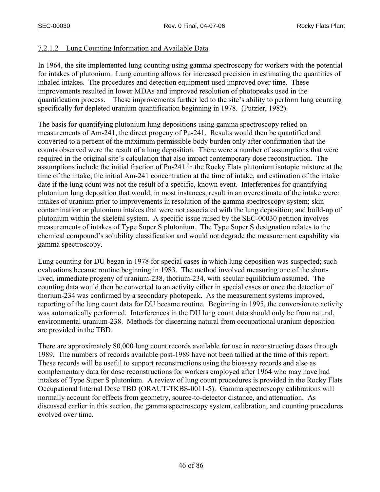### 7.2.1.2 Lung Counting Information and Available Data

 quantification process. These improvements further led to the site's ability to perform lung counting In 1964, the site implemented lung counting using gamma spectroscopy for workers with the potential for intakes of plutonium. Lung counting allows for increased precision in estimating the quantities of inhaled intakes. The procedures and detection equipment used improved over time. These improvements resulted in lower MDAs and improved resolution of photopeaks used in the specifically for depleted uranium quantification beginning in 1978. (Putzier, 1982).

The basis for quantifying plutonium lung depositions using gamma spectroscopy relied on measurements of Am-241, the direct progeny of Pu-241. Results would then be quantified and converted to a percent of the maximum permissible body burden only after confirmation that the counts observed were the result of a lung deposition. There were a number of assumptions that were required in the original site's calculation that also impact contemporary dose reconstruction. The assumptions include the initial fraction of Pu-241 in the Rocky Flats plutonium isotopic mixture at the time of the intake, the initial Am-241 concentration at the time of intake, and estimation of the intake date if the lung count was not the result of a specific, known event. Interferences for quantifying plutonium lung deposition that would, in most instances, result in an overestimate of the intake were: intakes of uranium prior to improvements in resolution of the gamma spectroscopy system; skin contamination or plutonium intakes that were not associated with the lung deposition; and build-up of plutonium within the skeletal system. A specific issue raised by the SEC-00030 petition involves measurements of intakes of Type Super S plutonium. The Type Super S designation relates to the chemical compound's solubility classification and would not degrade the measurement capability via gamma spectroscopy.

Lung counting for DU began in 1978 for special cases in which lung deposition was suspected; such evaluations became routine beginning in 1983. The method involved measuring one of the shortlived, immediate progeny of uranium-238, thorium-234, with secular equilibrium assumed. The counting data would then be converted to an activity either in special cases or once the detection of thorium-234 was confirmed by a secondary photopeak. As the measurement systems improved, reporting of the lung count data for DU became routine. Beginning in 1995, the conversion to activity was automatically performed. Interferences in the DU lung count data should only be from natural, environmental uranium-238. Methods for discerning natural from occupational uranium deposition are provided in the TBD.

There are approximately 80,000 lung count records available for use in reconstructing doses through 1989. The numbers of records available post-1989 have not been tallied at the time of this report. These records will be useful to support reconstructions using the bioassay records and also as complementary data for dose reconstructions for workers employed after 1964 who may have had intakes of Type Super S plutonium. A review of lung count procedures is provided in the Rocky Flats Occupational Internal Dose TBD (ORAUT-TKBS-0011-5). Gamma spectroscopy calibrations will normally account for effects from geometry, source-to-detector distance, and attenuation. As discussed earlier in this section, the gamma spectroscopy system, calibration, and counting procedures evolved over time.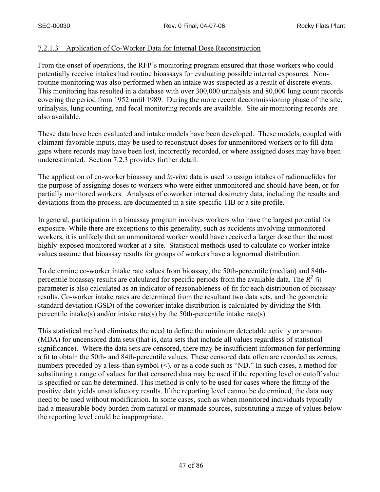#### 7.2.1.3 Application of Co-Worker Data for Internal Dose Reconstruction

 routine monitoring was also performed when an intake was suspected as a result of discrete events. From the onset of operations, the RFP's monitoring program ensured that those workers who could potentially receive intakes had routine bioassays for evaluating possible internal exposures. Non-This monitoring has resulted in a database with over 300,000 urinalysis and 80,000 lung count records covering the period from 1952 until 1989. During the more recent decommissioning phase of the site, urinalysis, lung counting, and fecal monitoring records are available. Site air monitoring records are also available.

These data have been evaluated and intake models have been developed. These models, coupled with claimant-favorable inputs, may be used to reconstruct doses for unmonitored workers or to fill data gaps where records may have been lost, incorrectly recorded, or where assigned doses may have been underestimated. Section 7.2.3 provides further detail.

The application of co-worker bioassay and *in-vivo* data is used to assign intakes of radionuclides for the purpose of assigning doses to workers who were either unmonitored and should have been, or for partially monitored workers. Analyses of coworker internal dosimetry data, including the results and deviations from the process, are documented in a site-specific TIB or a site profile.

In general, participation in a bioassay program involves workers who have the largest potential for exposure. While there are exceptions to this generality, such as accidents involving unmonitored workers, it is unlikely that an unmonitored worker would have received a larger dose than the most highly-exposed monitored worker at a site. Statistical methods used to calculate co-worker intake values assume that bioassay results for groups of workers have a lognormal distribution.

To determine co-worker intake rate values from bioassay, the 50th-percentile (median) and 84thpercentile bioassay results are calculated for specific periods from the available data. The  $R^2$  fit parameter is also calculated as an indicator of reasonableness-of-fit for each distribution of bioassay results. Co-worker intake rates are determined from the resultant two data sets, and the geometric standard deviation (GSD) of the coworker intake distribution is calculated by dividing the 84thpercentile intake(s) and/or intake rate(s) by the 50th-percentile intake rate(s).

This statistical method eliminates the need to define the minimum detectable activity or amount (MDA) for uncensored data sets (that is, data sets that include all values regardless of statistical significance). Where the data sets are censored, there may be insufficient information for performing a fit to obtain the 50th- and 84th-percentile values. These censored data often are recorded as zeroes, numbers preceded by a less-than symbol (<), or as a code such as "ND." In such cases, a method for substituting a range of values for that censored data may be used if the reporting level or cutoff value is specified or can be determined. This method is only to be used for cases where the fitting of the positive data yields unsatisfactory results. If the reporting level cannot be determined, the data may need to be used without modification. In some cases, such as when monitored individuals typically had a measurable body burden from natural or manmade sources, substituting a range of values below the reporting level could be inappropriate.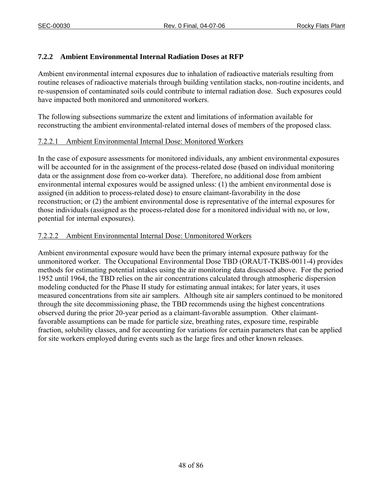## **7.2.2 Ambient Environmental Internal Radiation Doses at RFP**

Ambient environmental internal exposures due to inhalation of radioactive materials resulting from routine releases of radioactive materials through building ventilation stacks, non-routine incidents, and re-suspension of contaminated soils could contribute to internal radiation dose. Such exposures could have impacted both monitored and unmonitored workers.

The following subsections summarize the extent and limitations of information available for reconstructing the ambient environmental-related internal doses of members of the proposed class.

### 7.2.2.1 Ambient Environmental Internal Dose: Monitored Workers

In the case of exposure assessments for monitored individuals, any ambient environmental exposures will be accounted for in the assignment of the process-related dose (based on individual monitoring data or the assignment dose from co-worker data). Therefore, no additional dose from ambient environmental internal exposures would be assigned unless: (1) the ambient environmental dose is assigned (in addition to process-related dose) to ensure claimant-favorability in the dose reconstruction; or (2) the ambient environmental dose is representative of the internal exposures for those individuals (assigned as the process-related dose for a monitored individual with no, or low, potential for internal exposures).

#### 7.2.2.2 Ambient Environmental Internal Dose: Unmonitored Workers

Ambient environmental exposure would have been the primary internal exposure pathway for the unmonitored worker. The Occupational Environmental Dose TBD (ORAUT-TKBS-0011-4) provides methods for estimating potential intakes using the air monitoring data discussed above. For the period 1952 until 1964, the TBD relies on the air concentrations calculated through atmospheric dispersion modeling conducted for the Phase II study for estimating annual intakes; for later years, it uses measured concentrations from site air samplers. Although site air samplers continued to be monitored through the site decommissioning phase, the TBD recommends using the highest concentrations observed during the prior 20-year period as a claimant-favorable assumption. Other claimantfavorable assumptions can be made for particle size, breathing rates, exposure time, respirable fraction, solubility classes, and for accounting for variations for certain parameters that can be applied for site workers employed during events such as the large fires and other known releases.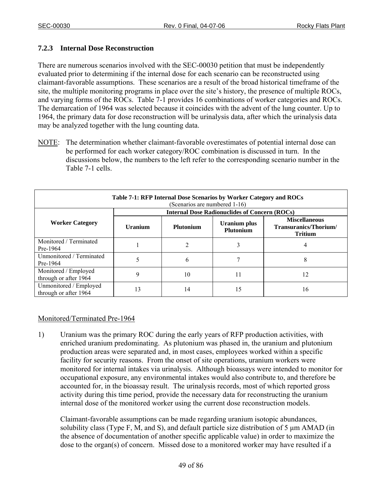## **7.2.3 Internal Dose Reconstruction**

There are numerous scenarios involved with the SEC-00030 petition that must be independently evaluated prior to determining if the internal dose for each scenario can be reconstructed using claimant-favorable assumptions. These scenarios are a result of the broad historical timeframe of the site, the multiple monitoring programs in place over the site's history, the presence of multiple ROCs, and varying forms of the ROCs. Table 7-1 provides 16 combinations of worker categories and ROCs. The demarcation of 1964 was selected because it coincides with the advent of the lung counter. Up to 1964, the primary data for dose reconstruction will be urinalysis data, after which the urinalysis data may be analyzed together with the lung counting data.

NOTE: The determination whether claimant-favorable overestimates of potential internal dose can be performed for each worker category/ROC combination is discussed in turn. In the discussions below, the numbers to the left refer to the corresponding scenario number in the Table 7-1 cells.

| Table 7-1: RFP Internal Dose Scenarios by Worker Category and ROCs<br>(Scenarios are numbered 1-16) |                                                      |                  |                                  |                                                                 |  |  |  |  |  |  |
|-----------------------------------------------------------------------------------------------------|------------------------------------------------------|------------------|----------------------------------|-----------------------------------------------------------------|--|--|--|--|--|--|
|                                                                                                     | <b>Internal Dose Radionuclides of Concern (ROCs)</b> |                  |                                  |                                                                 |  |  |  |  |  |  |
| <b>Worker Category</b>                                                                              | <b>Uranium</b>                                       | <b>Plutonium</b> | Uranium plus<br><b>Plutonium</b> | <b>Miscellaneous</b><br>Transuranics/Thorium/<br><b>Tritium</b> |  |  |  |  |  |  |
| Monitored / Terminated<br>Pre-1964                                                                  |                                                      | 2                | 3                                | 4                                                               |  |  |  |  |  |  |
| Unmonitored / Terminated<br>Pre-1964                                                                | 5                                                    | 6                |                                  | 8                                                               |  |  |  |  |  |  |
| Monitored / Employed<br>through or after 1964                                                       | 9                                                    | 10               | 11                               | 12                                                              |  |  |  |  |  |  |
| Unmonitored / Employed<br>through or after 1964                                                     | 13                                                   | 14               | 15                               | 16                                                              |  |  |  |  |  |  |

### Monitored/Terminated Pre-1964

1) Uranium was the primary ROC during the early years of RFP production activities, with enriched uranium predominating. As plutonium was phased in, the uranium and plutonium production areas were separated and, in most cases, employees worked within a specific facility for security reasons. From the onset of site operations, uranium workers were monitored for internal intakes via urinalysis. Although bioassays were intended to monitor for occupational exposure, any environmental intakes would also contribute to, and therefore be accounted for, in the bioassay result. The urinalysis records, most of which reported gross activity during this time period, provide the necessary data for reconstructing the uranium internal dose of the monitored worker using the current dose reconstruction models.

Claimant-favorable assumptions can be made regarding uranium isotopic abundances, solubility class (Type F, M, and S), and default particle size distribution of 5 μm AMAD (in the absence of documentation of another specific applicable value) in order to maximize the dose to the organ(s) of concern. Missed dose to a monitored worker may have resulted if a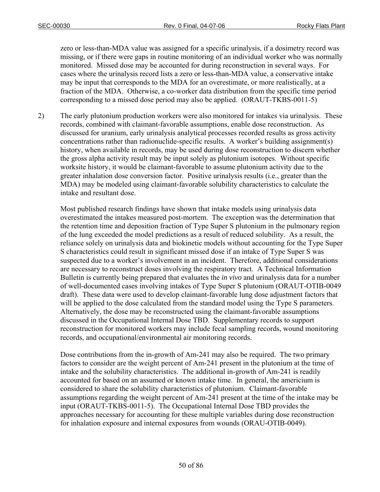zero or less-than-MDA value was assigned for a specific urinalysis, if a dosimetry record was missing, or if there were gaps in routine monitoring of an individual worker who was normally monitored. Missed dose may be accounted for during reconstruction in several ways. For cases where the urinalysis record lists a zero or less-than-MDA value, a conservative intake may be input that corresponds to the MDA for an overestimate, or more realistically, at a fraction of the MDA. Otherwise, a co-worker data distribution from the specific time period corresponding to a missed dose period may also be applied. (ORAUT-TKBS-0011-5)

2) The early plutonium production workers were also monitored for intakes via urinalysis. These records, combined with claimant-favorable assumptions, enable dose reconstruction. As discussed for uranium, early urinalysis analytical processes recorded results as gross activity concentrations rather than radionuclide-specific results. A worker's building assignment(s) history, when available in records, may be used during dose reconstruction to discern whether the gross alpha activity result may be input solely as plutonium isotopes. Without specific worksite history, it would be claimant-favorable to assume plutonium activity due to the greater inhalation dose conversion factor. Positive urinalysis results (i.e., greater than the MDA) may be modeled using claimant-favorable solubility characteristics to calculate the intake and resultant dose.

draft). These data were used to develop claimant-favorable lung dose adjustment factors that Most published research findings have shown that intake models using urinalysis data overestimated the intakes measured post-mortem. The exception was the determination that the retention time and deposition fraction of Type Super S plutonium in the pulmonary region of the lung exceeded the model predictions as a result of reduced solubility. As a result, the reliance solely on urinalysis data and biokinetic models without accounting for the Type Super S characteristics could result in significant missed dose if an intake of Type Super S was suspected due to a worker's involvement in an incident. Therefore, additional considerations are necessary to reconstruct doses involving the respiratory tract. A Technical Information Bulletin is currently being prepared that evaluates the *in vivo* and urinalysis data for a number of well-documented cases involving intakes of Type Super S plutonium (ORAUT-OTIB-0049 will be applied to the dose calculated from the standard model using the Type S parameters. Alternatively, the dose may be reconstructed using the claimant-favorable assumptions discussed in the Occupational Internal Dose TBD. Supplementary records to support reconstruction for monitored workers may include fecal sampling records, wound monitoring records, and occupational/environmental air monitoring records.

Dose contributions from the in-growth of Am-241 may also be required. The two primary factors to consider are the weight percent of Am-241 present in the plutonium at the time of intake and the solubility characteristics. The additional in-growth of Am-241 is readily accounted for based on an assumed or known intake time. In general, the americium is considered to share the solubility characteristics of plutonium. Claimant-favorable assumptions regarding the weight percent of Am-241 present at the time of the intake may be input (ORAUT-TKBS-0011-5). The Occupational Internal Dose TBD provides the approaches necessary for accounting for these multiple variables during dose reconstruction for inhalation exposure and internal exposures from wounds (ORAU-OTIB-0049).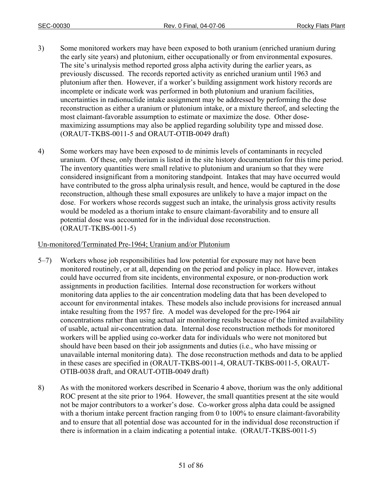- 3) Some monitored workers may have been exposed to both uranium (enriched uranium during the early site years) and plutonium, either occupationally or from environmental exposures. The site's urinalysis method reported gross alpha activity during the earlier years, as previously discussed. The records reported activity as enriched uranium until 1963 and plutonium after then. However, if a worker's building assignment work history records are incomplete or indicate work was performed in both plutonium and uranium facilities, uncertainties in radionuclide intake assignment may be addressed by performing the dose reconstruction as either a uranium or plutonium intake, or a mixture thereof, and selecting the most claimant-favorable assumption to estimate or maximize the dose. Other dosemaximizing assumptions may also be applied regarding solubility type and missed dose. (ORAUT-TKBS-0011-5 and ORAUT-OTIB-0049 draft)
- 4) Some workers may have been exposed to de minimis levels of contaminants in recycled uranium. Of these, only thorium is listed in the site history documentation for this time period. The inventory quantities were small relative to plutonium and uranium so that they were considered insignificant from a monitoring standpoint. Intakes that may have occurred would have contributed to the gross alpha urinalysis result, and hence, would be captured in the dose reconstruction, although these small exposures are unlikely to have a major impact on the dose. For workers whose records suggest such an intake, the urinalysis gross activity results would be modeled as a thorium intake to ensure claimant-favorability and to ensure all potential dose was accounted for in the individual dose reconstruction. (ORAUT-TKBS-0011-5)

#### Un-monitored/Terminated Pre-1964; Uranium and/or Plutonium

- 5–7) Workers whose job responsibilities had low potential for exposure may not have been monitored routinely, or at all, depending on the period and policy in place. However, intakes could have occurred from site incidents, environmental exposure, or non-production work assignments in production facilities. Internal dose reconstruction for workers without monitoring data applies to the air concentration modeling data that has been developed to account for environmental intakes. These models also include provisions for increased annual intake resulting from the 1957 fire. A model was developed for the pre-1964 air concentrations rather than using actual air monitoring results because of the limited availability of usable, actual air-concentration data. Internal dose reconstruction methods for monitored workers will be applied using co-worker data for individuals who were not monitored but should have been based on their job assignments and duties (i.e., who have missing or unavailable internal monitoring data). The dose reconstruction methods and data to be applied in these cases are specified in (ORAUT-TKBS-0011-4, ORAUT-TKBS-0011-5, ORAUT-OTIB-0038 draft, and ORAUT-OTIB-0049 draft)
- 8) As with the monitored workers described in Scenario 4 above, thorium was the only additional ROC present at the site prior to 1964. However, the small quantities present at the site would not be major contributors to a worker's dose. Co-worker gross alpha data could be assigned with a thorium intake percent fraction ranging from 0 to 100% to ensure claimant-favorability and to ensure that all potential dose was accounted for in the individual dose reconstruction if there is information in a claim indicating a potential intake. (ORAUT-TKBS-0011-5)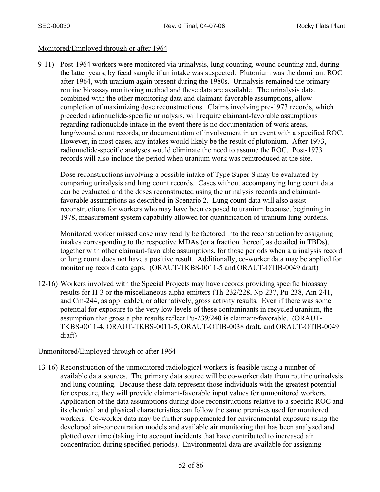#### Monitored/Employed through or after 1964

9-11) Post-1964 workers were monitored via urinalysis, lung counting, wound counting and, during the latter years, by fecal sample if an intake was suspected. Plutonium was the dominant ROC after 1964, with uranium again present during the 1980s. Urinalysis remained the primary routine bioassay monitoring method and these data are available. The urinalysis data, combined with the other monitoring data and claimant-favorable assumptions, allow completion of maximizing dose reconstructions. Claims involving pre-1973 records, which preceded radionuclide-specific urinalysis, will require claimant-favorable assumptions regarding radionuclide intake in the event there is no documentation of work areas, lung/wound count records, or documentation of involvement in an event with a specified ROC. However, in most cases, any intakes would likely be the result of plutonium. After 1973, radionuclide-specific analyses would eliminate the need to assume the ROC. Post-1973 records will also include the period when uranium work was reintroduced at the site.

Dose reconstructions involving a possible intake of Type Super S may be evaluated by comparing urinalysis and lung count records. Cases without accompanying lung count data can be evaluated and the doses reconstructed using the urinalysis records and claimantfavorable assumptions as described in Scenario 2. Lung count data will also assist reconstructions for workers who may have been exposed to uranium because, beginning in 1978, measurement system capability allowed for quantification of uranium lung burdens.

Monitored worker missed dose may readily be factored into the reconstruction by assigning intakes corresponding to the respective MDAs (or a fraction thereof, as detailed in TBDs), together with other claimant-favorable assumptions, for those periods when a urinalysis record or lung count does not have a positive result. Additionally, co-worker data may be applied for monitoring record data gaps. (ORAUT-TKBS-0011-5 and ORAUT-OTIB-0049 draft)

12-16) Workers involved with the Special Projects may have records providing specific bioassay results for H-3 or the miscellaneous alpha emitters (Th-232/228, Np-237, Pu-238, Am-241, and Cm-244, as applicable), or alternatively, gross activity results. Even if there was some potential for exposure to the very low levels of these contaminants in recycled uranium, the assumption that gross alpha results reflect Pu-239/240 is claimant-favorable. (ORAUT-TKBS-0011-4, ORAUT-TKBS-0011-5, ORAUT-OTIB-0038 draft, and ORAUT-OTIB-0049 draft)

#### Unmonitored/Employed through or after 1964

13-16) Reconstruction of the unmonitored radiological workers is feasible using a number of available data sources. The primary data source will be co-worker data from routine urinalysis and lung counting. Because these data represent those individuals with the greatest potential for exposure, they will provide claimant-favorable input values for unmonitored workers. Application of the data assumptions during dose reconstructions relative to a specific ROC and its chemical and physical characteristics can follow the same premises used for monitored workers. Co-worker data may be further supplemented for environmental exposure using the developed air-concentration models and available air monitoring that has been analyzed and plotted over time (taking into account incidents that have contributed to increased air concentration during specified periods). Environmental data are available for assigning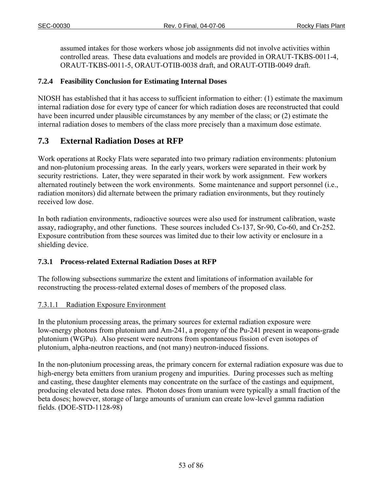assumed intakes for those workers whose job assignments did not involve activities within controlled areas. These data evaluations and models are provided in ORAUT-TKBS-0011-4, ORAUT-TKBS-0011-5, ORAUT-OTIB-0038 draft, and ORAUT-OTIB-0049 draft.

## **7.2.4 Feasibility Conclusion for Estimating Internal Doses**

NIOSH has established that it has access to sufficient information to either: (1) estimate the maximum internal radiation dose for every type of cancer for which radiation doses are reconstructed that could have been incurred under plausible circumstances by any member of the class; or (2) estimate the internal radiation doses to members of the class more precisely than a maximum dose estimate.

# **7.3 External Radiation Doses at RFP**

Work operations at Rocky Flats were separated into two primary radiation environments: plutonium and non-plutonium processing areas. In the early years, workers were separated in their work by security restrictions. Later, they were separated in their work by work assignment. Few workers alternated routinely between the work environments. Some maintenance and support personnel (i.e., radiation monitors) did alternate between the primary radiation environments, but they routinely received low dose.

In both radiation environments, radioactive sources were also used for instrument calibration, waste assay, radiography, and other functions. These sources included Cs-137, Sr-90, Co-60, and Cr-252. Exposure contribution from these sources was limited due to their low activity or enclosure in a shielding device.

# **7.3.1 Process-related External Radiation Doses at RFP**

The following subsections summarize the extent and limitations of information available for reconstructing the process-related external doses of members of the proposed class.

# 7.3.1.1 Radiation Exposure Environment

In the plutonium processing areas, the primary sources for external radiation exposure were low-energy photons from plutonium and Am-241, a progeny of the Pu-241 present in weapons-grade plutonium (WGPu). Also present were neutrons from spontaneous fission of even isotopes of plutonium, alpha-neutron reactions, and (not many) neutron-induced fissions.

In the non-plutonium processing areas, the primary concern for external radiation exposure was due to high-energy beta emitters from uranium progeny and impurities. During processes such as melting and casting, these daughter elements may concentrate on the surface of the castings and equipment, producing elevated beta dose rates. Photon doses from uranium were typically a small fraction of the beta doses; however, storage of large amounts of uranium can create low-level gamma radiation fields. (DOE-STD-1128-98)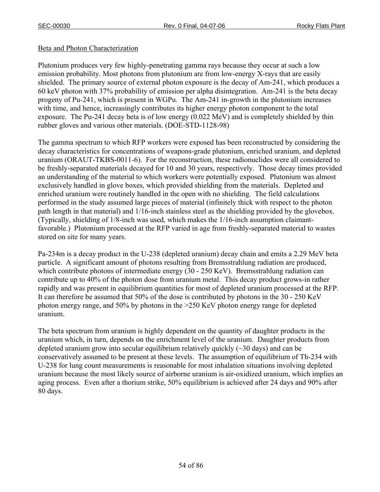#### Beta and Photon Characterization

Plutonium produces very few highly-penetrating gamma rays because they occur at such a low emission probability. Most photons from plutonium are from low-energy X-rays that are easily shielded. The primary source of external photon exposure is the decay of Am-241, which produces a 60 keV photon with 37% probability of emission per alpha disintegration. Am-241 is the beta decay progeny of Pu-241, which is present in WGPu. The Am-241 in-growth in the plutonium increases with time, and hence, increasingly contributes its higher energy photon component to the total exposure. The Pu-241 decay beta is of low energy (0.022 MeV) and is completely shielded by thin rubber gloves and various other materials. (DOE-STD-1128-98)

The gamma spectrum to which RFP workers were exposed has been reconstructed by considering the decay characteristics for concentrations of weapons-grade plutonium, enriched uranium, and depleted uranium (ORAUT-TKBS-0011-6). For the reconstruction, these radionuclides were all considered to be freshly-separated materials decayed for 10 and 30 years, respectively. Those decay times provided an understanding of the material to which workers were potentially exposed. Plutonium was almost exclusively handled in glove boxes, which provided shielding from the materials. Depleted and enriched uranium were routinely handled in the open with no shielding. The field calculations performed in the study assumed large pieces of material (infinitely thick with respect to the photon path length in that material) and 1/16-inch stainless steel as the shielding provided by the glovebox. (Typically, shielding of 1/8-inch was used, which makes the 1/16-inch assumption claimantfavorable.) Plutonium processed at the RFP varied in age from freshly-separated material to wastes stored on site for many years.

Pa-234m is a decay product in the U-238 (depleted uranium) decay chain and emits a 2.29 MeV beta particle. A significant amount of photons resulting from Bremsstrahlung radiation are produced, which contribute photons of intermediate energy (30 - 250 KeV). Bremsstrahlung radiation can contribute up to 40% of the photon dose from uranium metal. This decay product grows-in rather rapidly and was present in equilibrium quantities for most of depleted uranium processed at the RFP. It can therefore be assumed that 50% of the dose is contributed by photons in the 30 - 250 KeV photon energy range, and 50% by photons in the >250 KeV photon energy range for depleted uranium.

The beta spectrum from uranium is highly dependent on the quantity of daughter products in the uranium which, in turn, depends on the enrichment level of the uranium. Daughter products from depleted uranium grow into secular equilibrium relatively quickly (~30 days) and can be conservatively assumed to be present at these levels. The assumption of equilibrium of Th-234 with U-238 for lung count measurements is reasonable for most inhalation situations involving depleted uranium because the most likely source of airborne uranium is air-oxidized uranium, which implies an aging process. Even after a thorium strike, 50% equilibrium is achieved after 24 days and 90% after 80 days.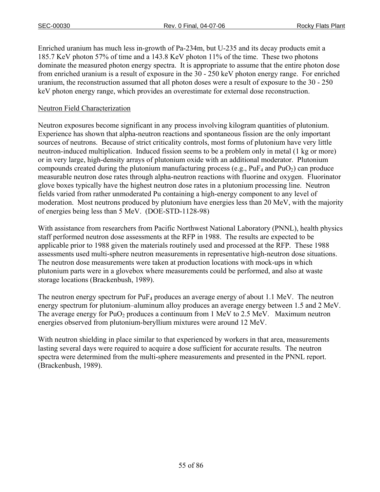Enriched uranium has much less in-growth of Pa-234m, but U-235 and its decay products emit a 185.7 KeV photon 57% of time and a 143.8 KeV photon 11% of the time. These two photons dominate the measured photon energy spectra. It is appropriate to assume that the entire photon dose from enriched uranium is a result of exposure in the 30 - 250 keV photon energy range. For enriched uranium, the reconstruction assumed that all photon doses were a result of exposure to the 30 - 250 keV photon energy range, which provides an overestimate for external dose reconstruction.

#### Neutron Field Characterization

Neutron exposures become significant in any process involving kilogram quantities of plutonium. Experience has shown that alpha-neutron reactions and spontaneous fission are the only important sources of neutrons. Because of strict criticality controls, most forms of plutonium have very little neutron-induced multiplication. Induced fission seems to be a problem only in metal (1 kg or more) or in very large, high-density arrays of plutonium oxide with an additional moderator. Plutonium compounds created during the plutonium manufacturing process (e.g.,  $PuF_4$  and  $PuO_2$ ) can produce measurable neutron dose rates through alpha-neutron reactions with fluorine and oxygen. Fluorinator glove boxes typically have the highest neutron dose rates in a plutonium processing line. Neutron fields varied from rather unmoderated Pu containing a high-energy component to any level of moderation. Most neutrons produced by plutonium have energies less than 20 MeV, with the majority of energies being less than 5 MeV. (DOE-STD-1128-98)

With assistance from researchers from Pacific Northwest National Laboratory (PNNL), health physics staff performed neutron dose assessments at the RFP in 1988. The results are expected to be applicable prior to 1988 given the materials routinely used and processed at the RFP. These 1988 assessments used multi-sphere neutron measurements in representative high-neutron dose situations. The neutron dose measurements were taken at production locations with mock-ups in which plutonium parts were in a glovebox where measurements could be performed, and also at waste storage locations (Brackenbush, 1989).

The neutron energy spectrum for  $PuF_4$  produces an average energy of about 1.1 MeV. The neutron energy spectrum for plutonium–aluminum alloy produces an average energy between 1.5 and 2 MeV. The average energy for  $PuO<sub>2</sub>$  produces a continuum from 1 MeV to 2.5 MeV. Maximum neutron energies observed from plutonium-beryllium mixtures were around 12 MeV.

With neutron shielding in place similar to that experienced by workers in that area, measurements lasting several days were required to acquire a dose sufficient for accurate results. The neutron spectra were determined from the multi-sphere measurements and presented in the PNNL report. (Brackenbush, 1989).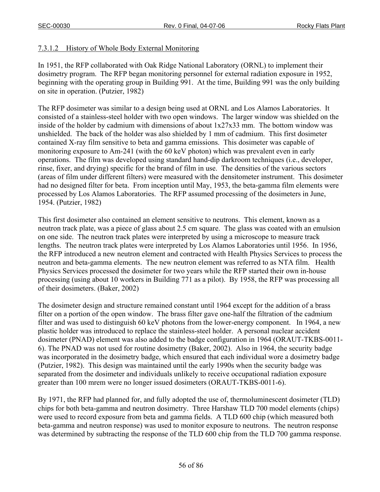### 7.3.1.2 History of Whole Body External Monitoring

In 1951, the RFP collaborated with Oak Ridge National Laboratory (ORNL) to implement their dosimetry program. The RFP began monitoring personnel for external radiation exposure in 1952, beginning with the operating group in Building 991. At the time, Building 991 was the only building on site in operation. (Putzier, 1982)

The RFP dosimeter was similar to a design being used at ORNL and Los Alamos Laboratories. It consisted of a stainless-steel holder with two open windows. The larger window was shielded on the inside of the holder by cadmium with dimensions of about 1x27x33 mm. The bottom window was unshielded. The back of the holder was also shielded by 1 mm of cadmium. This first dosimeter contained X-ray film sensitive to beta and gamma emissions. This dosimeter was capable of monitoring exposure to Am-241 (with the 60 keV photon) which was prevalent even in early operations. The film was developed using standard hand-dip darkroom techniques (i.e., developer, rinse, fixer, and drying) specific for the brand of film in use. The densities of the various sectors (areas of film under different filters) were measured with the densitometer instrument. This dosimeter had no designed filter for beta. From inception until May, 1953, the beta-gamma film elements were processed by Los Alamos Laboratories. The RFP assumed processing of the dosimeters in June, 1954. (Putzier, 1982)

This first dosimeter also contained an element sensitive to neutrons. This element, known as a neutron track plate, was a piece of glass about 2.5 cm square. The glass was coated with an emulsion on one side. The neutron track plates were interpreted by using a microscope to measure track lengths. The neutron track plates were interpreted by Los Alamos Laboratories until 1956. In 1956, the RFP introduced a new neutron element and contracted with Health Physics Services to process the neutron and beta-gamma elements. The new neutron element was referred to as NTA film. Health Physics Services processed the dosimeter for two years while the RFP started their own in-house processing (using about 10 workers in Building 771 as a pilot). By 1958, the RFP was processing all of their dosimeters. (Baker, 2002)

The dosimeter design and structure remained constant until 1964 except for the addition of a brass filter on a portion of the open window. The brass filter gave one-half the filtration of the cadmium filter and was used to distinguish 60 keV photons from the lower-energy component. In 1964, a new plastic holder was introduced to replace the stainless-steel holder. A personal nuclear accident dosimeter (PNAD) element was also added to the badge configuration in 1964 (ORAUT-TKBS-0011 6). The PNAD was not used for routine dosimetry (Baker, 2002). Also in 1964, the security badge was incorporated in the dosimetry badge, which ensured that each individual wore a dosimetry badge (Putzier, 1982). This design was maintained until the early 1990s when the security badge was separated from the dosimeter and individuals unlikely to receive occupational radiation exposure greater than 100 mrem were no longer issued dosimeters (ORAUT-TKBS-0011-6).

By 1971, the RFP had planned for, and fully adopted the use of, thermoluminescent dosimeter (TLD) chips for both beta-gamma and neutron dosimetry. Three Harshaw TLD 700 model elements (chips) were used to record exposure from beta and gamma fields. A TLD 600 chip (which measured both beta-gamma and neutron response) was used to monitor exposure to neutrons. The neutron response was determined by subtracting the response of the TLD 600 chip from the TLD 700 gamma response.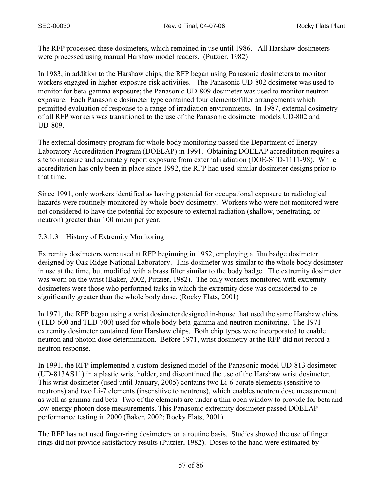The RFP processed these dosimeters, which remained in use until 1986. All Harshaw dosimeters were processed using manual Harshaw model readers. (Putzier, 1982)

In 1983, in addition to the Harshaw chips, the RFP began using Panasonic dosimeters to monitor workers engaged in higher-exposure-risk activities. The Panasonic UD-802 dosimeter was used to monitor for beta-gamma exposure; the Panasonic UD-809 dosimeter was used to monitor neutron exposure. Each Panasonic dosimeter type contained four elements/filter arrangements which permitted evaluation of response to a range of irradiation environments. In 1987, external dosimetry of all RFP workers was transitioned to the use of the Panasonic dosimeter models UD-802 and UD-809.

The external dosimetry program for whole body monitoring passed the Department of Energy Laboratory Accreditation Program (DOELAP) in 1991. Obtaining DOELAP accreditation requires a site to measure and accurately report exposure from external radiation (DOE-STD-1111-98). While accreditation has only been in place since 1992, the RFP had used similar dosimeter designs prior to that time.

Since 1991, only workers identified as having potential for occupational exposure to radiological hazards were routinely monitored by whole body dosimetry. Workers who were not monitored were not considered to have the potential for exposure to external radiation (shallow, penetrating, or neutron) greater than 100 mrem per year.

### 7.3.1.3 History of Extremity Monitoring

Extremity dosimeters were used at RFP beginning in 1952, employing a film badge dosimeter designed by Oak Ridge National Laboratory. This dosimeter was similar to the whole body dosimeter in use at the time, but modified with a brass filter similar to the body badge. The extremity dosimeter was worn on the wrist (Baker, 2002, Putzier, 1982). The only workers monitored with extremity dosimeters were those who performed tasks in which the extremity dose was considered to be significantly greater than the whole body dose. (Rocky Flats, 2001)

In 1971, the RFP began using a wrist dosimeter designed in-house that used the same Harshaw chips (TLD-600 and TLD-700) used for whole body beta-gamma and neutron monitoring. The 1971 extremity dosimeter contained four Harshaw chips. Both chip types were incorporated to enable neutron and photon dose determination. Before 1971, wrist dosimetry at the RFP did not record a neutron response.

In 1991, the RFP implemented a custom-designed model of the Panasonic model UD-813 dosimeter (UD-813AS11) in a plastic wrist holder, and discontinued the use of the Harshaw wrist dosimeter. This wrist dosimeter (used until January, 2005) contains two Li-6 borate elements (sensitive to neutrons) and two Li-7 elements (insensitive to neutrons), which enables neutron dose measurement as well as gamma and beta Two of the elements are under a thin open window to provide for beta and low-energy photon dose measurements. This Panasonic extremity dosimeter passed DOELAP performance testing in 2000 (Baker, 2002; Rocky Flats, 2001).

The RFP has not used finger-ring dosimeters on a routine basis. Studies showed the use of finger rings did not provide satisfactory results (Putzier, 1982). Doses to the hand were estimated by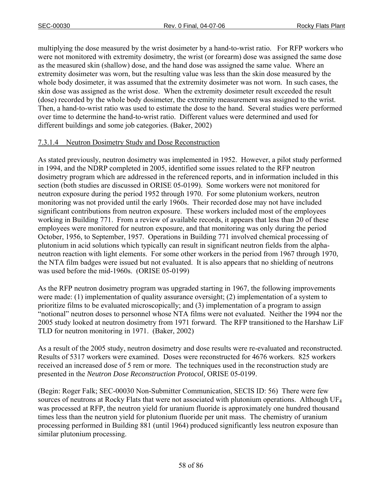multiplying the dose measured by the wrist dosimeter by a hand-to-wrist ratio. For RFP workers who were not monitored with extremity dosimetry, the wrist (or forearm) dose was assigned the same dose as the measured skin (shallow) dose, and the hand dose was assigned the same value. Where an extremity dosimeter was worn, but the resulting value was less than the skin dose measured by the whole body dosimeter, it was assumed that the extremity dosimeter was not worn. In such cases, the skin dose was assigned as the wrist dose. When the extremity dosimeter result exceeded the result (dose) recorded by the whole body dosimeter, the extremity measurement was assigned to the wrist. Then, a hand-to-wrist ratio was used to estimate the dose to the hand. Several studies were performed over time to determine the hand-to-wrist ratio. Different values were determined and used for different buildings and some job categories. (Baker, 2002)

#### 7.3.1.4 Neutron Dosimetry Study and Dose Reconstruction

As stated previously, neutron dosimetry was implemented in 1952. However, a pilot study performed in 1994, and the NDRP completed in 2005, identified some issues related to the RFP neutron dosimetry program which are addressed in the referenced reports, and in information included in this section (both studies are discussed in ORISE 05-0199). Some workers were not monitored for neutron exposure during the period 1952 through 1970. For some plutonium workers, neutron monitoring was not provided until the early 1960s. Their recorded dose may not have included significant contributions from neutron exposure. These workers included most of the employees working in Building 771. From a review of available records, it appears that less than 20 of these employees were monitored for neutron exposure, and that monitoring was only during the period October, 1956, to September, 1957. Operations in Building 771 involved chemical processing of plutonium in acid solutions which typically can result in significant neutron fields from the alphaneutron reaction with light elements. For some other workers in the period from 1967 through 1970, the NTA film badges were issued but not evaluated. It is also appears that no shielding of neutrons was used before the mid-1960s. (ORISE 05-0199)

As the RFP neutron dosimetry program was upgraded starting in 1967, the following improvements were made: (1) implementation of quality assurance oversight; (2) implementation of a system to prioritize films to be evaluated microscopically; and (3) implementation of a program to assign "notional" neutron doses to personnel whose NTA films were not evaluated. Neither the 1994 nor the 2005 study looked at neutron dosimetry from 1971 forward. The RFP transitioned to the Harshaw LiF TLD for neutron monitoring in 1971. (Baker, 2002)

As a result of the 2005 study, neutron dosimetry and dose results were re-evaluated and reconstructed. Results of 5317 workers were examined. Doses were reconstructed for 4676 workers. 825 workers received an increased dose of 5 rem or more. The techniques used in the reconstruction study are presented in the *Neutron Dose Reconstruction Protocol,* ORISE 05-0199.

(Begin: Roger Falk; SEC-00030 Non-Submitter Communication, SECIS ID: 56) There were few sources of neutrons at Rocky Flats that were not associated with plutonium operations. Although UF<sub>4</sub> was processed at RFP, the neutron yield for uranium fluoride is approximately one hundred thousand times less than the neutron yield for plutonium fluoride per unit mass. The chemistry of uranium processing performed in Building 881 (until 1964) produced significantly less neutron exposure than similar plutonium processing.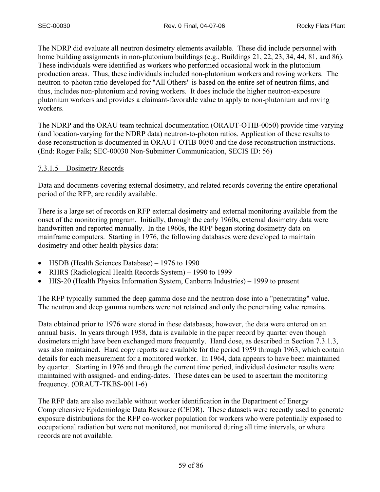The NDRP did evaluate all neutron dosimetry elements available. These did include personnel with home building assignments in non-plutonium buildings (e.g., Buildings 21, 22, 23, 34, 44, 81, and 86). These individuals were identified as workers who performed occasional work in the plutonium production areas. Thus, these individuals included non-plutonium workers and roving workers. The neutron-to-photon ratio developed for "All Others" is based on the entire set of neutron films, and thus, includes non-plutonium and roving workers. It does include the higher neutron-exposure plutonium workers and provides a claimant-favorable value to apply to non-plutonium and roving workers.

The NDRP and the ORAU team technical documentation (ORAUT-OTIB-0050) provide time-varying (and location-varying for the NDRP data) neutron-to-photon ratios. Application of these results to dose reconstruction is documented in ORAUT-OTIB-0050 and the dose reconstruction instructions. (End: Roger Falk; SEC-00030 Non-Submitter Communication, SECIS ID: 56)

#### 7.3.1.5 Dosimetry Records

Data and documents covering external dosimetry, and related records covering the entire operational period of the RFP, are readily available.

There is a large set of records on RFP external dosimetry and external monitoring available from the onset of the monitoring program. Initially, through the early 1960s, external dosimetry data were handwritten and reported manually. In the 1960s, the RFP began storing dosimetry data on mainframe computers. Starting in 1976, the following databases were developed to maintain dosimetry and other health physics data:

- HSDB (Health Sciences Database) 1976 to 1990
- RHRS (Radiological Health Records System) 1990 to 1999
- HIS-20 (Health Physics Information System, Canberra Industries) 1999 to present

The RFP typically summed the deep gamma dose and the neutron dose into a "penetrating" value. The neutron and deep gamma numbers were not retained and only the penetrating value remains.

Data obtained prior to 1976 were stored in these databases; however, the data were entered on an annual basis. In years through 1958, data is available in the paper record by quarter even though dosimeters might have been exchanged more frequently. Hand dose, as described in Section 7.3.1.3, was also maintained. Hard copy reports are available for the period 1959 through 1963, which contain details for each measurement for a monitored worker. In 1964, data appears to have been maintained by quarter. Starting in 1976 and through the current time period, individual dosimeter results were maintained with assigned- and ending-dates. These dates can be used to ascertain the monitoring frequency. (ORAUT-TKBS-0011-6)

The RFP data are also available without worker identification in the Department of Energy Comprehensive Epidemiologic Data Resource (CEDR). These datasets were recently used to generate exposure distributions for the RFP co-worker population for workers who were potentially exposed to occupational radiation but were not monitored, not monitored during all time intervals, or where records are not available.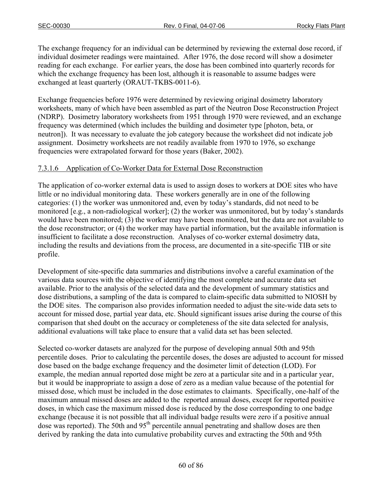The exchange frequency for an individual can be determined by reviewing the external dose record, if individual dosimeter readings were maintained. After 1976, the dose record will show a dosimeter reading for each exchange. For earlier years, the dose has been combined into quarterly records for which the exchange frequency has been lost, although it is reasonable to assume badges were exchanged at least quarterly (ORAUT-TKBS-0011-6).

Exchange frequencies before 1976 were determined by reviewing original dosimetry laboratory worksheets, many of which have been assembled as part of the Neutron Dose Reconstruction Project (NDRP). Dosimetry laboratory worksheets from 1951 through 1970 were reviewed, and an exchange frequency was determined (which includes the building and dosimeter type [photon, beta, or neutron]). It was necessary to evaluate the job category because the worksheet did not indicate job assignment. Dosimetry worksheets are not readily available from 1970 to 1976, so exchange frequencies were extrapolated forward for those years (Baker, 2002).

### 7.3.1.6 Application of Co-Worker Data for External Dose Reconstruction

The application of co-worker external data is used to assign doses to workers at DOE sites who have little or no individual monitoring data. These workers generally are in one of the following categories: (1) the worker was unmonitored and, even by today's standards, did not need to be monitored [e.g., a non-radiological worker]; (2) the worker was unmonitored, but by today's standards would have been monitored; (3) the worker may have been monitored, but the data are not available to the dose reconstructor; or (4) the worker may have partial information, but the available information is insufficient to facilitate a dose reconstruction. Analyses of co-worker external dosimetry data, including the results and deviations from the process, are documented in a site-specific TIB or site profile.

Development of site-specific data summaries and distributions involve a careful examination of the various data sources with the objective of identifying the most complete and accurate data set available. Prior to the analysis of the selected data and the development of summary statistics and dose distributions, a sampling of the data is compared to claim-specific data submitted to NIOSH by the DOE sites. The comparison also provides information needed to adjust the site-wide data sets to account for missed dose, partial year data, etc. Should significant issues arise during the course of this comparison that shed doubt on the accuracy or completeness of the site data selected for analysis, additional evaluations will take place to ensure that a valid data set has been selected.

Selected co-worker datasets are analyzed for the purpose of developing annual 50th and 95th percentile doses. Prior to calculating the percentile doses, the doses are adjusted to account for missed dose based on the badge exchange frequency and the dosimeter limit of detection (LOD). For example, the median annual reported dose might be zero at a particular site and in a particular year, but it would be inappropriate to assign a dose of zero as a median value because of the potential for missed dose, which must be included in the dose estimates to claimants. Specifically, one-half of the maximum annual missed doses are added to the reported annual doses, except for reported positive doses, in which case the maximum missed dose is reduced by the dose corresponding to one badge exchange (because it is not possible that all individual badge results were zero if a positive annual dose was reported). The 50th and  $95<sup>th</sup>$  percentile annual penetrating and shallow doses are then derived by ranking the data into cumulative probability curves and extracting the 50th and 95th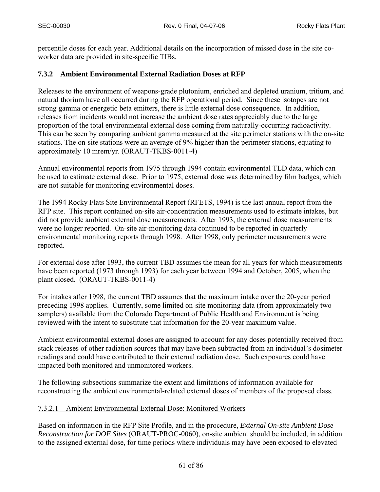percentile doses for each year. Additional details on the incorporation of missed dose in the site coworker data are provided in site-specific TIBs.

# **7.3.2 Ambient Environmental External Radiation Doses at RFP**

Releases to the environment of weapons-grade plutonium, enriched and depleted uranium, tritium, and natural thorium have all occurred during the RFP operational period. Since these isotopes are not strong gamma or energetic beta emitters, there is little external dose consequence. In addition, releases from incidents would not increase the ambient dose rates appreciably due to the large proportion of the total environmental external dose coming from naturally-occurring radioactivity. This can be seen by comparing ambient gamma measured at the site perimeter stations with the on-site stations. The on-site stations were an average of 9% higher than the perimeter stations, equating to approximately 10 mrem/yr. (ORAUT-TKBS-0011-4)

Annual environmental reports from 1975 through 1994 contain environmental TLD data, which can be used to estimate external dose. Prior to 1975, external dose was determined by film badges, which are not suitable for monitoring environmental doses.

The 1994 Rocky Flats Site Environmental Report (RFETS, 1994) is the last annual report from the RFP site. This report contained on-site air-concentration measurements used to estimate intakes, but did not provide ambient external dose measurements. After 1993, the external dose measurements were no longer reported. On-site air-monitoring data continued to be reported in quarterly environmental monitoring reports through 1998. After 1998, only perimeter measurements were reported.

For external dose after 1993, the current TBD assumes the mean for all years for which measurements have been reported (1973 through 1993) for each year between 1994 and October, 2005, when the plant closed. (ORAUT-TKBS-0011-4)

For intakes after 1998, the current TBD assumes that the maximum intake over the 20-year period preceding 1998 applies. Currently, some limited on-site monitoring data (from approximately two samplers) available from the Colorado Department of Public Health and Environment is being reviewed with the intent to substitute that information for the 20-year maximum value.

Ambient environmental external doses are assigned to account for any doses potentially received from stack releases of other radiation sources that may have been subtracted from an individual's dosimeter readings and could have contributed to their external radiation dose. Such exposures could have impacted both monitored and unmonitored workers.

The following subsections summarize the extent and limitations of information available for reconstructing the ambient environmental-related external doses of members of the proposed class.

# 7.3.2.1 Ambient Environmental External Dose: Monitored Workers

Based on information in the RFP Site Profile, and in the procedure, *External On-site Ambient Dose Reconstruction for DOE Sites* (ORAUT-PROC-0060), on-site ambient should be included, in addition to the assigned external dose, for time periods where individuals may have been exposed to elevated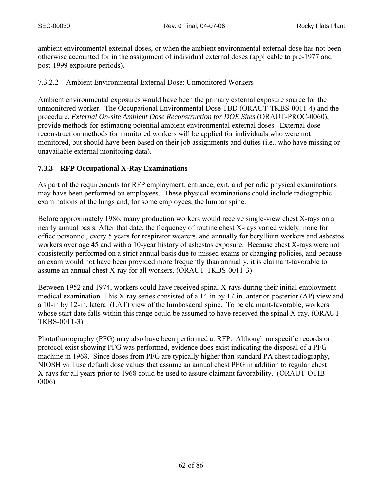ambient environmental external doses, or when the ambient environmental external dose has not been otherwise accounted for in the assignment of individual external doses (applicable to pre-1977 and post-1999 exposure periods).

### 7.3.2.2 Ambient Environmental External Dose: Unmonitored Workers

Ambient environmental exposures would have been the primary external exposure source for the unmonitored worker. The Occupational Environmental Dose TBD (ORAUT-TKBS-0011-4) and the procedure, *External On-site Ambient Dose Reconstruction for DOE Sites* (ORAUT-PROC-0060), provide methods for estimating potential ambient environmental external doses. External dose reconstruction methods for monitored workers will be applied for individuals who were not monitored, but should have been based on their job assignments and duties (i.e., who have missing or unavailable external monitoring data).

### **7.3.3 RFP Occupational X-Ray Examinations**

As part of the requirements for RFP employment, entrance, exit, and periodic physical examinations may have been performed on employees. These physical examinations could include radiographic examinations of the lungs and, for some employees, the lumbar spine.

Before approximately 1986, many production workers would receive single-view chest X-rays on a nearly annual basis. After that date, the frequency of routine chest X-rays varied widely: none for office personnel, every 5 years for respirator wearers, and annually for beryllium workers and asbestos workers over age 45 and with a 10-year history of asbestos exposure. Because chest X-rays were not consistently performed on a strict annual basis due to missed exams or changing policies, and because an exam would not have been provided more frequently than annually, it is claimant-favorable to assume an annual chest X-ray for all workers. (ORAUT-TKBS-0011-3)

Between 1952 and 1974, workers could have received spinal X-rays during their initial employment medical examination. This X-ray series consisted of a 14-in by 17-in. anterior-posterior (AP) view and a 10-in by 12-in. lateral (LAT) view of the lumbosacral spine. To be claimant-favorable, workers whose start date falls within this range could be assumed to have received the spinal X-ray. (ORAUT-TKBS-0011-3)

Photofluorography (PFG) may also have been performed at RFP. Although no specific records or protocol exist showing PFG was performed, evidence does exist indicating the disposal of a PFG machine in 1968. Since doses from PFG are typically higher than standard PA chest radiography, NIOSH will use default dose values that assume an annual chest PFG in addition to regular chest X-rays for all years prior to 1968 could be used to assure claimant favorability. (ORAUT-OTIB-0006)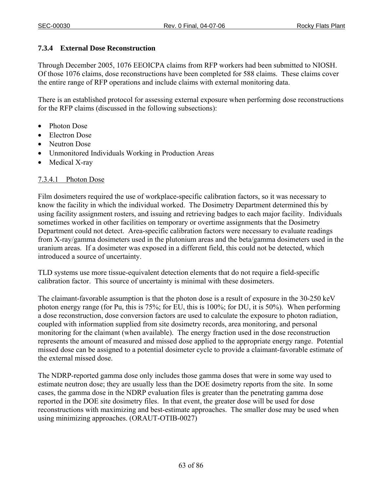#### **7.3.4 External Dose Reconstruction**

Through December 2005, 1076 EEOICPA claims from RFP workers had been submitted to NIOSH. Of those 1076 claims, dose reconstructions have been completed for 588 claims. These claims cover the entire range of RFP operations and include claims with external monitoring data.

There is an established protocol for assessing external exposure when performing dose reconstructions for the RFP claims (discussed in the following subsections):

- Photon Dose
- Electron Dose
- Neutron Dose
- Unmonitored Individuals Working in Production Areas
- Medical X-ray

### 7.3.4.1 Photon Dose

Film dosimeters required the use of workplace-specific calibration factors, so it was necessary to know the facility in which the individual worked. The Dosimetry Department determined this by using facility assignment rosters, and issuing and retrieving badges to each major facility. Individuals sometimes worked in other facilities on temporary or overtime assignments that the Dosimetry Department could not detect. Area-specific calibration factors were necessary to evaluate readings from X-ray/gamma dosimeters used in the plutonium areas and the beta/gamma dosimeters used in the uranium areas. If a dosimeter was exposed in a different field, this could not be detected, which introduced a source of uncertainty.

TLD systems use more tissue-equivalent detection elements that do not require a field-specific calibration factor. This source of uncertainty is minimal with these dosimeters.

The claimant-favorable assumption is that the photon dose is a result of exposure in the 30-250 keV photon energy range (for Pu, this is 75%; for EU, this is 100%; for DU, it is 50%). When performing a dose reconstruction, dose conversion factors are used to calculate the exposure to photon radiation, coupled with information supplied from site dosimetry records, area monitoring, and personal monitoring for the claimant (when available). The energy fraction used in the dose reconstruction represents the amount of measured and missed dose applied to the appropriate energy range. Potential missed dose can be assigned to a potential dosimeter cycle to provide a claimant-favorable estimate of the external missed dose.

The NDRP-reported gamma dose only includes those gamma doses that were in some way used to estimate neutron dose; they are usually less than the DOE dosimetry reports from the site. In some cases, the gamma dose in the NDRP evaluation files is greater than the penetrating gamma dose reported in the DOE site dosimetry files. In that event, the greater dose will be used for dose reconstructions with maximizing and best-estimate approaches. The smaller dose may be used when using minimizing approaches. (ORAUT-OTIB-0027)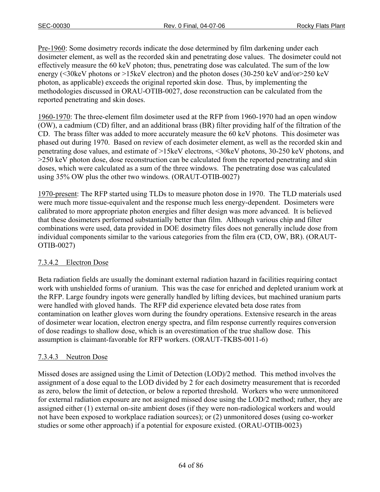Pre-1960: Some dosimetry records indicate the dose determined by film darkening under each dosimeter element, as well as the recorded skin and penetrating dose values. The dosimeter could not effectively measure the 60 keV photon; thus, penetrating dose was calculated. The sum of the low energy (<30keV photons or >15keV electron) and the photon doses (30-250 keV and/or>250 keV photon, as applicable) exceeds the original reported skin dose. Thus, by implementing the methodologies discussed in ORAU-OTIB-0027, dose reconstruction can be calculated from the reported penetrating and skin doses.

1960-1970: The three-element film dosimeter used at the RFP from 1960-1970 had an open window (OW), a cadmium (CD) filter, and an additional brass (BR) filter providing half of the filtration of the CD. The brass filter was added to more accurately measure the 60 keV photons. This dosimeter was phased out during 1970. Based on review of each dosimeter element, as well as the recorded skin and penetrating dose values, and estimate of >15keV electrons, <30keV photons, 30-250 keV photons, and >250 keV photon dose, dose reconstruction can be calculated from the reported penetrating and skin doses, which were calculated as a sum of the three windows. The penetrating dose was calculated using 35% OW plus the other two windows. (ORAUT-OTIB-0027)

1970-present: The RFP started using TLDs to measure photon dose in 1970. The TLD materials used were much more tissue-equivalent and the response much less energy-dependent. Dosimeters were calibrated to more appropriate photon energies and filter design was more advanced. It is believed that these dosimeters performed substantially better than film. Although various chip and filter combinations were used, data provided in DOE dosimetry files does not generally include dose from individual components similar to the various categories from the film era (CD, OW, BR). (ORAUT-OTIB-0027)

# 7.3.4.2 Electron Dose

Beta radiation fields are usually the dominant external radiation hazard in facilities requiring contact work with unshielded forms of uranium. This was the case for enriched and depleted uranium work at the RFP. Large foundry ingots were generally handled by lifting devices, but machined uranium parts were handled with gloved hands. The RFP did experience elevated beta dose rates from contamination on leather gloves worn during the foundry operations. Extensive research in the areas of dosimeter wear location, electron energy spectra, and film response currently requires conversion of dose readings to shallow dose, which is an overestimation of the true shallow dose. This assumption is claimant-favorable for RFP workers. (ORAUT-TKBS-0011-6)

### 7.3.4.3 Neutron Dose

Missed doses are assigned using the Limit of Detection (LOD)/2 method. This method involves the assignment of a dose equal to the LOD divided by 2 for each dosimetry measurement that is recorded as zero, below the limit of detection, or below a reported threshold. Workers who were unmonitored for external radiation exposure are not assigned missed dose using the LOD/2 method; rather, they are assigned either (1) external on-site ambient doses (if they were non-radiological workers and would not have been exposed to workplace radiation sources); or (2) unmonitored doses (using co-worker studies or some other approach) if a potential for exposure existed. (ORAU-OTIB-0023)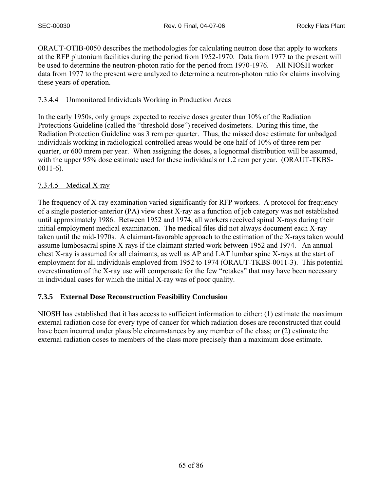be used to determine the neutron-photon ratio for the period from 1970-1976. All NIOSH worker ORAUT-OTIB-0050 describes the methodologies for calculating neutron dose that apply to workers at the RFP plutonium facilities during the period from 1952-1970. Data from 1977 to the present will data from 1977 to the present were analyzed to determine a neutron-photon ratio for claims involving these years of operation.

### 7.3.4.4 Unmonitored Individuals Working in Production Areas

In the early 1950s, only groups expected to receive doses greater than 10% of the Radiation Protections Guideline (called the "threshold dose") received dosimeters. During this time, the Radiation Protection Guideline was 3 rem per quarter. Thus, the missed dose estimate for unbadged individuals working in radiological controlled areas would be one half of 10% of three rem per quarter, or 600 mrem per year. When assigning the doses, a lognormal distribution will be assumed, with the upper 95% dose estimate used for these individuals or 1.2 rem per year. (ORAUT-TKBS-0011-6).

## 7.3.4.5 Medical X-ray

The frequency of X-ray examination varied significantly for RFP workers. A protocol for frequency of a single posterior-anterior (PA) view chest X-ray as a function of job category was not established until approximately 1986. Between 1952 and 1974, all workers received spinal X-rays during their initial employment medical examination. The medical files did not always document each X-ray taken until the mid-1970s. A claimant-favorable approach to the estimation of the X-rays taken would assume lumbosacral spine X-rays if the claimant started work between 1952 and 1974. An annual chest X-ray is assumed for all claimants, as well as AP and LAT lumbar spine X-rays at the start of employment for all individuals employed from 1952 to 1974 (ORAUT-TKBS-0011-3). This potential overestimation of the X-ray use will compensate for the few "retakes" that may have been necessary in individual cases for which the initial X-ray was of poor quality.

### **7.3.5 External Dose Reconstruction Feasibility Conclusion**

NIOSH has established that it has access to sufficient information to either: (1) estimate the maximum external radiation dose for every type of cancer for which radiation doses are reconstructed that could have been incurred under plausible circumstances by any member of the class; or (2) estimate the external radiation doses to members of the class more precisely than a maximum dose estimate.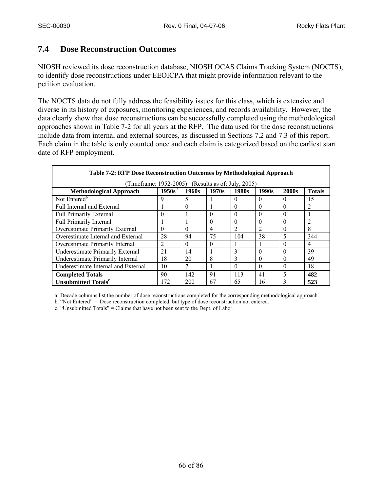# **7.4 Dose Reconstruction Outcomes**

NIOSH reviewed its dose reconstruction database, NIOSH OCAS Claims Tracking System (NOCTS), to identify dose reconstructions under EEOICPA that might provide information relevant to the petition evaluation.

The NOCTS data do not fully address the feasibility issues for this class, which is extensive and diverse in its history of exposures, monitoring experiences, and records availability. However, the data clearly show that dose reconstructions can be successfully completed using the methodological approaches shown in Table 7-2 for all years at the RFP. The data used for the dose reconstructions include data from internal and external sources, as discussed in Sections 7.2 and 7.3 of this report. Each claim in the table is only counted once and each claim is categorized based on the earliest start date of RFP employment.

| <b>Table 7-2: RFP Dose Reconstruction Outcomes by Methodological Approach</b> |                    |          |          |          |          |                          |                |  |  |  |  |
|-------------------------------------------------------------------------------|--------------------|----------|----------|----------|----------|--------------------------|----------------|--|--|--|--|
| (Timeframe: 1952-2005) (Results as of: July, 2005)                            |                    |          |          |          |          |                          |                |  |  |  |  |
| <b>Methodological Approach</b>                                                | 1950s <sup>a</sup> | 1960s    | 1970s    | 1980s    | 1990s    | 2000s                    | <b>Totals</b>  |  |  |  |  |
| Not Entered <sup>b</sup>                                                      | 9                  | 5        |          | $\Omega$ | $\Omega$ | $\theta$                 | 15             |  |  |  |  |
| <b>Full Internal and External</b>                                             |                    | 0        |          | $\Omega$ | $\Omega$ | $\Omega$                 | 2              |  |  |  |  |
| <b>Full Primarily External</b>                                                | $_{0}$             |          | $\Omega$ | $\theta$ | $\theta$ | $\Omega$                 |                |  |  |  |  |
| <b>Full Primarily Internal</b>                                                |                    |          | $\Omega$ | $\Omega$ | $\theta$ | $\Omega$                 | $\mathfrak{D}$ |  |  |  |  |
| Overestimate Primarily External                                               | 0                  | $\theta$ | 4        | 2        | 2        | $\Omega$                 | 8              |  |  |  |  |
| Overestimate Internal and External                                            | 28                 | 94       | 75       | 104      | 38       | $\varsigma$              | 344            |  |  |  |  |
| Overestimate Primarily Internal                                               | $\mathfrak{D}$     | $\Omega$ | $\Omega$ |          |          | $\Omega$                 | 4              |  |  |  |  |
| Underestimate Primarily External                                              | 21                 | 14       |          | 3        | $\theta$ | $\Omega$                 | 39             |  |  |  |  |
| Underestimate Primarily Internal                                              | 18                 | 20       | 8        | 3        | $\Omega$ | $\Omega$                 | 49             |  |  |  |  |
| Underestimate Internal and External                                           | 10                 | 7        |          | $\Omega$ | $\Omega$ | $\Omega$                 | 18             |  |  |  |  |
| <b>Completed Totals</b>                                                       | 90                 | 142      | 91       | 113      | 41       | $\overline{\mathcal{L}}$ | 482            |  |  |  |  |
| Unsubmitted Totals <sup>c</sup>                                               | 172                | 200      | 67       | 65       | 16       | 3                        | 523            |  |  |  |  |

a. Decade columns list the number of dose reconstructions completed for the corresponding methodological approach.

b. "Not Entered" = Dose reconstruction completed, but type of dose reconstruction not entered. c. "Unsubmitted Totals" = Claims that have not been sent to the Dept. of Labor.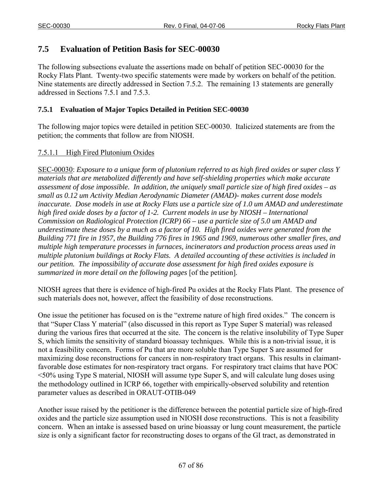# **7.5 Evaluation of Petition Basis for SEC-00030**

The following subsections evaluate the assertions made on behalf of petition SEC-00030 for the Rocky Flats Plant. Twenty-two specific statements were made by workers on behalf of the petition. Nine statements are directly addressed in Section 7.5.2. The remaining 13 statements are generally addressed in Sections 7.5.1 and 7.5.3.

# **7.5.1 Evaluation of Major Topics Detailed in Petition SEC-00030**

The following major topics were detailed in petition SEC-00030. Italicized statements are from the petition; the comments that follow are from NIOSH.

# 7.5.1.1 High Fired Plutonium Oxides

SEC-00030: *Exposure to a unique form of plutonium referred to as high fired oxides or super class Y materials that are metabolized differently and have self-shielding properties which make accurate assessment of dose impossible. In addition, the uniquely small particle size of high fired oxides – as small as 0.12 um Activity Median Aerodynamic Diameter (AMAD)- makes current dose models inaccurate. Dose models in use at Rocky Flats use a particle size of 1.0 um AMAD and underestimate high fired oxide doses by a factor of 1-2. Current models in use by NIOSH – International Commission on Radiological Protection (ICRP) 66 – use a particle size of 5.0 um AMAD and underestimate these doses by a much as a factor of 10. High fired oxides were generated from the Building 771 fire in 1957, the Building 776 fires in 1965 and 1969, numerous other smaller fires, and multiple high temperature processes in furnaces, incinerators and production process areas used in multiple plutonium buildings at Rocky Flats. A detailed accounting of these activities is included in our petition. The impossibility of accurate dose assessment for high fired oxides exposure is summarized in more detail on the following pages* [of the petition]*.* 

NIOSH agrees that there is evidence of high-fired Pu oxides at the Rocky Flats Plant. The presence of such materials does not, however, affect the feasibility of dose reconstructions.

One issue the petitioner has focused on is the "extreme nature of high fired oxides." The concern is that "Super Class Y material" (also discussed in this report as Type Super S material) was released during the various fires that occurred at the site. The concern is the relative insolubility of Type Super S, which limits the sensitivity of standard bioassay techniques. While this is a non-trivial issue, it is not a feasibility concern. Forms of Pu that are more soluble than Type Super S are assumed for maximizing dose reconstructions for cancers in non-respiratory tract organs. This results in claimantfavorable dose estimates for non-respiratory tract organs. For respiratory tract claims that have POC <50% using Type S material, NIOSH will assume type Super S, and will calculate lung doses using the methodology outlined in ICRP 66, together with empirically-observed solubility and retention parameter values as described in ORAUT-OTIB-049

Another issue raised by the petitioner is the difference between the potential particle size of high-fired oxides and the particle size assumption used in NIOSH dose reconstructions. This is not a feasibility concern. When an intake is assessed based on urine bioassay or lung count measurement, the particle size is only a significant factor for reconstructing doses to organs of the GI tract, as demonstrated in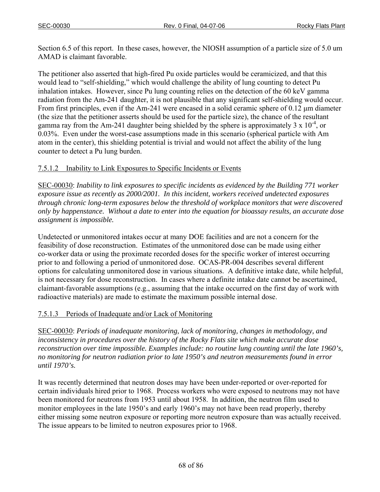Section 6.5 of this report. In these cases, however, the NIOSH assumption of a particle size of 5.0 um AMAD is claimant favorable.

The petitioner also asserted that high-fired Pu oxide particles would be ceramicized, and that this would lead to "self-shielding," which would challenge the ability of lung counting to detect Pu inhalation intakes. However, since Pu lung counting relies on the detection of the 60 keV gamma radiation from the Am-241 daughter, it is not plausible that any significant self-shielding would occur. From first principles, even if the Am-241 were encased in a solid ceramic sphere of 0.12 μm diameter (the size that the petitioner asserts should be used for the particle size), the chance of the resultant gamma ray from the Am-241 daughter being shielded by the sphere is approximately 3 x  $10^{-4}$ , or 0.03%. Even under the worst-case assumptions made in this scenario (spherical particle with Am atom in the center), this shielding potential is trivial and would not affect the ability of the lung counter to detect a Pu lung burden.

# 7.5.1.2 Inability to Link Exposures to Specific Incidents or Events

SEC-00030: *Inability to link exposures to specific incidents as evidenced by the Building 771 worker exposure issue as recently as 2000/2001. In this incident, workers received undetected exposures through chronic long-term exposures below the threshold of workplace monitors that were discovered only by happenstance. Without a date to enter into the equation for bioassay results, an accurate dose assignment is impossible.* 

Undetected or unmonitored intakes occur at many DOE facilities and are not a concern for the feasibility of dose reconstruction. Estimates of the unmonitored dose can be made using either co-worker data or using the proximate recorded doses for the specific worker of interest occurring prior to and following a period of unmonitored dose. OCAS-PR-004 describes several different options for calculating unmonitored dose in various situations. A definitive intake date, while helpful, is not necessary for dose reconstruction. In cases where a definite intake date cannot be ascertained, claimant-favorable assumptions (e.g., assuming that the intake occurred on the first day of work with radioactive materials) are made to estimate the maximum possible internal dose.

### 7.5.1.3 Periods of Inadequate and/or Lack of Monitoring

SEC-00030: *Periods of inadequate monitoring, lack of monitoring, changes in methodology, and inconsistency in procedures over the history of the Rocky Flats site which make accurate dose reconstruction over time impossible. Examples include: no routine lung counting until the late 1960's, no monitoring for neutron radiation prior to late 1950's and neutron measurements found in error until 1970's.* 

It was recently determined that neutron doses may have been under-reported or over-reported for certain individuals hired prior to 1968. Process workers who were exposed to neutrons may not have been monitored for neutrons from 1953 until about 1958. In addition, the neutron film used to monitor employees in the late 1950's and early 1960's may not have been read properly, thereby either missing some neutron exposure or reporting more neutron exposure than was actually received. The issue appears to be limited to neutron exposures prior to 1968.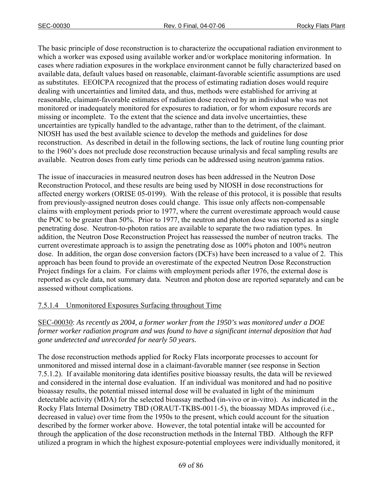The basic principle of dose reconstruction is to characterize the occupational radiation environment to which a worker was exposed using available worker and/or workplace monitoring information. In cases where radiation exposures in the workplace environment cannot be fully characterized based on available data, default values based on reasonable, claimant-favorable scientific assumptions are used as substitutes. EEOICPA recognized that the process of estimating radiation doses would require dealing with uncertainties and limited data, and thus, methods were established for arriving at reasonable, claimant-favorable estimates of radiation dose received by an individual who was not monitored or inadequately monitored for exposures to radiation, or for whom exposure records are missing or incomplete. To the extent that the science and data involve uncertainties, these uncertainties are typically handled to the advantage, rather than to the detriment, of the claimant. NIOSH has used the best available science to develop the methods and guidelines for dose reconstruction. As described in detail in the following sections, the lack of routine lung counting prior to the 1960's does not preclude dose reconstruction because urinalysis and fecal sampling results are available. Neutron doses from early time periods can be addressed using neutron/gamma ratios.

The issue of inaccuracies in measured neutron doses has been addressed in the Neutron Dose Reconstruction Protocol, and these results are being used by NIOSH in dose reconstructions for affected energy workers (ORISE 05-0199). With the release of this protocol, it is possible that results from previously-assigned neutron doses could change. This issue only affects non-compensable claims with employment periods prior to 1977, where the current overestimate approach would cause the POC to be greater than 50%. Prior to 1977, the neutron and photon dose was reported as a single penetrating dose. Neutron-to-photon ratios are available to separate the two radiation types. In addition, the Neutron Dose Reconstruction Project has reassessed the number of neutron tracks. The current overestimate approach is to assign the penetrating dose as 100% photon and 100% neutron dose. In addition, the organ dose conversion factors (DCFs) have been increased to a value of 2. This approach has been found to provide an overestimate of the expected Neutron Dose Reconstruction Project findings for a claim. For claims with employment periods after 1976, the external dose is reported as cycle data, not summary data. Neutron and photon dose are reported separately and can be assessed without complications.

### 7.5.1.4 Unmonitored Exposures Surfacing throughout Time

SEC-00030: *As recently as 2004, a former worker from the 1950's was monitored under a DOE former worker radiation program and was found to have a significant internal deposition that had gone undetected and unrecorded for nearly 50 years.* 

The dose reconstruction methods applied for Rocky Flats incorporate processes to account for unmonitored and missed internal dose in a claimant-favorable manner (see response in Section 7.5.1.2). If available monitoring data identifies positive bioassay results, the data will be reviewed and considered in the internal dose evaluation. If an individual was monitored and had no positive bioassay results, the potential missed internal dose will be evaluated in light of the minimum detectable activity (MDA) for the selected bioassay method (in-vivo or in-vitro). As indicated in the Rocky Flats Internal Dosimetry TBD (ORAUT-TKBS-0011-5), the bioassay MDAs improved (i.e., decreased in value) over time from the 1950s to the present, which could account for the situation described by the former worker above. However, the total potential intake will be accounted for through the application of the dose reconstruction methods in the Internal TBD. Although the RFP utilized a program in which the highest exposure-potential employees were individually monitored, it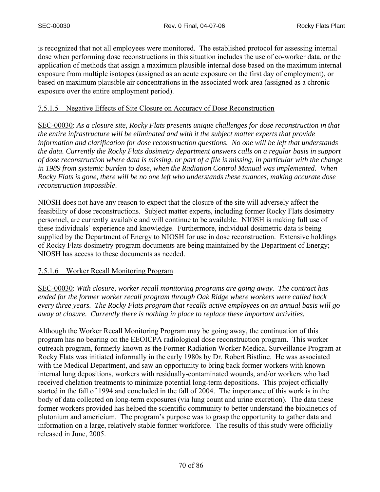is recognized that not all employees were monitored. The established protocol for assessing internal dose when performing dose reconstructions in this situation includes the use of co-worker data, or the application of methods that assign a maximum plausible internal dose based on the maximum internal exposure from multiple isotopes (assigned as an acute exposure on the first day of employment), or based on maximum plausible air concentrations in the associated work area (assigned as a chronic exposure over the entire employment period).

#### 7.5.1.5 Negative Effects of Site Closure on Accuracy of Dose Reconstruction

SEC-00030: *As a closure site, Rocky Flats presents unique challenges for dose reconstruction in that the entire infrastructure will be eliminated and with it the subject matter experts that provide information and clarification for dose reconstruction questions. No one will be left that understands the data. Currently the Rocky Flats dosimetry department answers calls on a regular basis in support of dose reconstruction where data is missing, or part of a file is missing, in particular with the change in 1989 from systemic burden to dose, when the Radiation Control Manual was implemented. When Rocky Flats is gone, there will be no one left who understands these nuances, making accurate dose reconstruction impossible*.

NIOSH does not have any reason to expect that the closure of the site will adversely affect the feasibility of dose reconstructions. Subject matter experts, including former Rocky Flats dosimetry personnel, are currently available and will continue to be available. NIOSH is making full use of these individuals' experience and knowledge. Furthermore, individual dosimetric data is being supplied by the Department of Energy to NIOSH for use in dose reconstruction. Extensive holdings of Rocky Flats dosimetry program documents are being maintained by the Department of Energy; NIOSH has access to these documents as needed.

#### 7.5.1.6 Worker Recall Monitoring Program

7.5.1.6 Worker Recall Monitoring Program SEC-00030: *With closure, worker recall monitoring programs are going away. The contract has ended for the former worker recall program through Oak Ridge where workers were called back every three years. The Rocky Flats program that recalls active employees on an annual basis will go away at closure. Currently there is nothing in place to replace these important activities.* 

Although the Worker Recall Monitoring Program may be going away, the continuation of this program has no bearing on the EEOICPA radiological dose reconstruction program. This worker outreach program, formerly known as the Former Radiation Worker Medical Surveillance Program at Rocky Flats was initiated informally in the early 1980s by Dr. Robert Bistline. He was associated with the Medical Department, and saw an opportunity to bring back former workers with known internal lung depositions, workers with residually-contaminated wounds, and/or workers who had received chelation treatments to minimize potential long-term depositions. This project officially started in the fall of 1994 and concluded in the fall of 2004. The importance of this work is in the body of data collected on long-term exposures (via lung count and urine excretion). The data these former workers provided has helped the scientific community to better understand the biokinetics of plutonium and americium. The program's purpose was to grasp the opportunity to gather data and information on a large, relatively stable former workforce. The results of this study were officially released in June, 2005.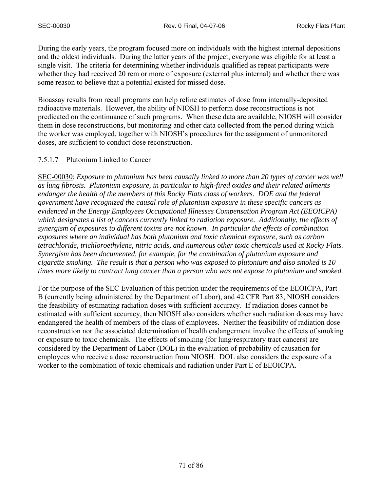During the early years, the program focused more on individuals with the highest internal depositions and the oldest individuals. During the latter years of the project, everyone was eligible for at least a single visit. The criteria for determining whether individuals qualified as repeat participants were whether they had received 20 rem or more of exposure (external plus internal) and whether there was some reason to believe that a potential existed for missed dose.

Bioassay results from recall programs can help refine estimates of dose from internally-deposited radioactive materials. However, the ability of NIOSH to perform dose reconstructions is not predicated on the continuance of such programs. When these data are available, NIOSH will consider them in dose reconstructions, but monitoring and other data collected from the period during which the worker was employed, together with NIOSH's procedures for the assignment of unmonitored doses, are sufficient to conduct dose reconstruction.

## 7.5.1.7 Plutonium Linked to Cancer

SEC-00030: *Exposure to plutonium has been causally linked to more than 20 types of cancer was well as lung fibrosis. Plutonium exposure, in particular to high-fired oxides and their related ailments endanger the health of the members of this Rocky Flats class of workers. DOE and the federal government have recognized the causal role of plutonium exposure in these specific cancers as evidenced in the Energy Employees Occupational Illnesses Compensation Program Act (EEOICPA) which designates a list of cancers currently linked to radiation exposure. Additionally, the effects of synergism of exposures to different toxins are not known. In particular the effects of combination exposures where an individual has both plutonium and toxic chemical exposure, such as carbon tetrachloride, trichloroethylene, nitric acids, and numerous other toxic chemicals used at Rocky Flats. Synergism has been documented, for example, for the combination of plutonium exposure and cigarette smoking. The result is that a person who was exposed to plutonium and also smoked is 10 times more likely to contract lung cancer than a person who was not expose to plutonium and smoked.* 

For the purpose of the SEC Evaluation of this petition under the requirements of the EEOICPA, Part B (currently being administered by the Department of Labor), and 42 CFR Part 83, NIOSH considers the feasibility of estimating radiation doses with sufficient accuracy. If radiation doses cannot be estimated with sufficient accuracy, then NIOSH also considers whether such radiation doses may have endangered the health of members of the class of employees. Neither the feasibility of radiation dose reconstruction nor the associated determination of health endangerment involve the effects of smoking or exposure to toxic chemicals. The effects of smoking (for lung/respiratory tract cancers) are considered by the Department of Labor (DOL) in the evaluation of probability of causation for employees who receive a dose reconstruction from NIOSH. DOL also considers the exposure of a worker to the combination of toxic chemicals and radiation under Part E of EEOICPA*.*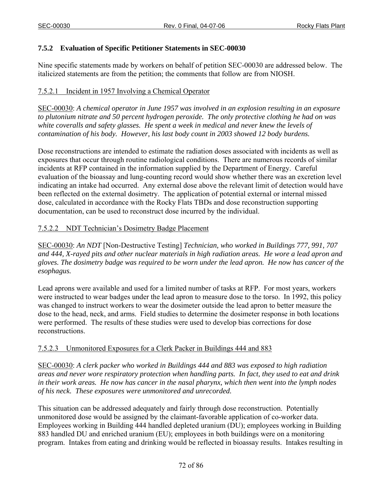## **7.5.2 Evaluation of Specific Petitioner Statements in SEC-00030**

Nine specific statements made by workers on behalf of petition SEC-00030 are addressed below. The italicized statements are from the petition; the comments that follow are from NIOSH.

## 7.5.2.1 Incident in 1957 Involving a Chemical Operator

SEC-00030: *A chemical operator in June 1957 was involved in an explosion resulting in an exposure to plutonium nitrate and 50 percent hydrogen peroxide. The only protective clothing he had on was white coveralls and safety glasses. He spent a week in medical and never knew the levels of contamination of his body. However, his last body count in 2003 showed 12 body burdens.* 

Dose reconstructions are intended to estimate the radiation doses associated with incidents as well as exposures that occur through routine radiological conditions. There are numerous records of similar incidents at RFP contained in the information supplied by the Department of Energy. Careful evaluation of the bioassay and lung-counting record would show whether there was an excretion level indicating an intake had occurred. Any external dose above the relevant limit of detection would have been reflected on the external dosimetry. The application of potential external or internal missed dose, calculated in accordance with the Rocky Flats TBDs and dose reconstruction supporting documentation, can be used to reconstruct dose incurred by the individual.

### 7.5.2.2 NDT Technician's Dosimetry Badge Placement

SEC-00030: *An NDT* [Non-Destructive Testing] *Technician, who worked in Buildings 777, 991, 707 and 444, X-rayed pits and other nuclear materials in high radiation areas. He wore a lead apron and gloves. The dosimetry badge was required to be worn under the lead apron. He now has cancer of the esophagus.* 

Lead aprons were available and used for a limited number of tasks at RFP. For most years, workers were instructed to wear badges under the lead apron to measure dose to the torso. In 1992, this policy was changed to instruct workers to wear the dosimeter outside the lead apron to better measure the dose to the head, neck, and arms. Field studies to determine the dosimeter response in both locations were performed. The results of these studies were used to develop bias corrections for dose reconstructions.

### 7.5.2.3 Unmonitored Exposures for a Clerk Packer in Buildings 444 and 883

SEC-00030: *A clerk packer who worked in Buildings 444 and 883 was exposed to high radiation areas and never wore respiratory protection when handling parts. In fact, they used to eat and drink in their work areas. He now has cancer in the nasal pharynx, which then went into the lymph nodes of his neck. These exposures were unmonitored and unrecorded.* 

This situation can be addressed adequately and fairly through dose reconstruction. Potentially unmonitored dose would be assigned by the claimant-favorable application of co-worker data. Employees working in Building 444 handled depleted uranium (DU); employees working in Building 883 handled DU and enriched uranium (EU); employees in both buildings were on a monitoring program. Intakes from eating and drinking would be reflected in bioassay results. Intakes resulting in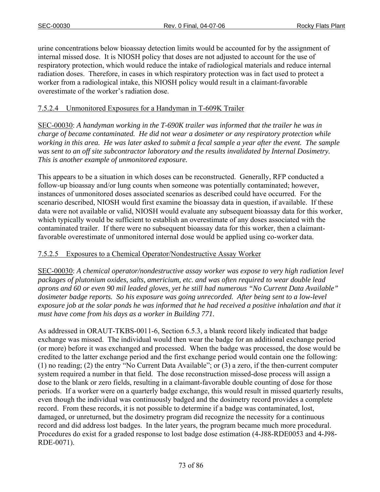urine concentrations below bioassay detection limits would be accounted for by the assignment of internal missed dose. It is NIOSH policy that doses are not adjusted to account for the use of respiratory protection, which would reduce the intake of radiological materials and reduce internal radiation doses. Therefore, in cases in which respiratory protection was in fact used to protect a worker from a radiological intake, this NIOSH policy would result in a claimant-favorable overestimate of the worker's radiation dose.

## 7.5.2.4 Unmonitored Exposures for a Handyman in T-609K Trailer

SEC-00030: *A handyman working in the T-690K trailer was informed that the trailer he was in charge of became contaminated. He did not wear a dosimeter or any respiratory protection while working in this area. He was later asked to submit a fecal sample a year after the event. The sample was sent to an off site subcontractor laboratory and the results invalidated by Internal Dosimetry. This is another example of unmonitored exposure.* 

This appears to be a situation in which doses can be reconstructed. Generally, RFP conducted a follow-up bioassay and/or lung counts when someone was potentially contaminated; however, instances of unmonitored doses associated scenarios as described could have occurred. For the scenario described, NIOSH would first examine the bioassay data in question, if available. If these data were not available or valid, NIOSH would evaluate any subsequent bioassay data for this worker, which typically would be sufficient to establish an overestimate of any doses associated with the contaminated trailer. If there were no subsequent bioassay data for this worker, then a claimantfavorable overestimate of unmonitored internal dose would be applied using co-worker data.

## 7.5.2.5 Exposures to a Chemical Operator/Nondestructive Assay Worker

SEC-00030: *A chemical operator/nondestructive assay worker was expose to very high radiation level packages of plutonium oxides, salts, americium, etc. and was often required to wear double lead aprons and 60 or even 90 mil leaded gloves, yet he still had numerous "No Current Data Available" dosimeter badge reports. So his exposure was going unrecorded. After being sent to a low-level exposure job at the solar ponds he was informed that he had received a positive inhalation and that it must have come from his days as a worker in Building 771.* 

As addressed in ORAUT-TKBS-0011-6, Section 6.5.3, a blank record likely indicated that badge exchange was missed. The individual would then wear the badge for an additional exchange period (or more) before it was exchanged and processed. When the badge was processed, the dose would be credited to the latter exchange period and the first exchange period would contain one the following: (1) no reading; (2) the entry "No Current Data Available"; or (3) a zero, if the then-current computer system required a number in that field. The dose reconstruction missed-dose process will assign a dose to the blank or zero fields, resulting in a claimant-favorable double counting of dose for those periods. If a worker were on a quarterly badge exchange, this would result in missed quarterly results, even though the individual was continuously badged and the dosimetry record provides a complete record. From these records, it is not possible to determine if a badge was contaminated, lost, damaged, or unreturned, but the dosimetry program did recognize the necessity for a continuous record and did address lost badges. In the later years, the program became much more procedural. Procedures do exist for a graded response to lost badge dose estimation (4-J88-RDE0053 and 4-J98 RDE-0071).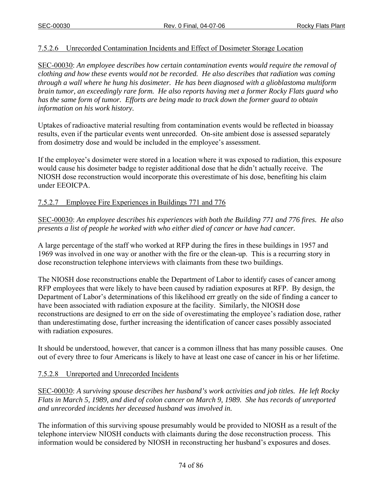#### 7.5.2.6 Unrecorded Contamination Incidents and Effect of Dosimeter Storage Location

SEC-00030: *An employee describes how certain contamination events would require the removal of clothing and how these events would not be recorded. He also describes that radiation was coming through a wall where he hung his dosimeter. He has been diagnosed with a glioblastoma multiform brain tumor, an exceedingly rare form. He also reports having met a former Rocky Flats guard who has the same form of tumor. Efforts are being made to track down the former guard to obtain information on his work history.* 

Uptakes of radioactive material resulting from contamination events would be reflected in bioassay results, even if the particular events went unrecorded. On-site ambient dose is assessed separately from dosimetry dose and would be included in the employee's assessment.

If the employee's dosimeter were stored in a location where it was exposed to radiation, this exposure would cause his dosimeter badge to register additional dose that he didn't actually receive. The NIOSH dose reconstruction would incorporate this overestimate of his dose, benefiting his claim under EEOICPA.

#### 7.5.2.7 Employee Fire Experiences in Buildings 771 and 776

SEC-00030: *An employee describes his experiences with both the Building 771 and 776 fires. He also presents a list of people he worked with who either died of cancer or have had cancer.* 

A large percentage of the staff who worked at RFP during the fires in these buildings in 1957 and 1969 was involved in one way or another with the fire or the clean-up. This is a recurring story in dose reconstruction telephone interviews with claimants from these two buildings.

The NIOSH dose reconstructions enable the Department of Labor to identify cases of cancer among RFP employees that were likely to have been caused by radiation exposures at RFP. By design, the Department of Labor's determinations of this likelihood err greatly on the side of finding a cancer to have been associated with radiation exposure at the facility. Similarly, the NIOSH dose reconstructions are designed to err on the side of overestimating the employee's radiation dose, rather than underestimating dose, further increasing the identification of cancer cases possibly associated with radiation exposures.

It should be understood, however, that cancer is a common illness that has many possible causes. One out of every three to four Americans is likely to have at least one case of cancer in his or her lifetime.

## 7.5.2.8 Unreported and Unrecorded Incidents

SEC-00030: *A surviving spouse describes her husband's work activities and job titles. He left Rocky Flats in March 5, 1989, and died of colon cancer on March 9, 1989. She has records of unreported and unrecorded incidents her deceased husband was involved in.* 

The information of this surviving spouse presumably would be provided to NIOSH as a result of the telephone interview NIOSH conducts with claimants during the dose reconstruction process. This information would be considered by NIOSH in reconstructing her husband's exposures and doses.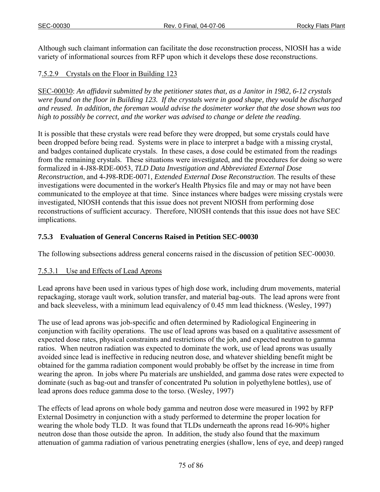Although such claimant information can facilitate the dose reconstruction process, NIOSH has a wide variety of informational sources from RFP upon which it develops these dose reconstructions.

# 7.5.2.9 Crystals on the Floor in Building 123

SEC-00030: *An affidavit submitted by the petitioner states that, as a Janitor in 1982, 6-12 crystals were found on the floor in Building 123. If the crystals were in good shape, they would be discharged and reused. In addition, the foreman would advise the dosimeter worker that the dose shown was too high to possibly be correct, and the worker was advised to change or delete the reading.* 

It is possible that these crystals were read before they were dropped, but some crystals could have been dropped before being read. Systems were in place to interpret a badge with a missing crystal, and badges contained duplicate crystals. In these cases, a dose could be estimated from the readings from the remaining crystals. These situations were investigated, and the procedures for doing so were formalized in 4-J88-RDE-0053, *TLD Data Investigation and Abbreviated External Dose Reconstruction*, and 4-J98-RDE-0071, *Extended External Dose Reconstruction*. The results of these investigations were documented in the worker's Health Physics file and may or may not have been communicated to the employee at that time. Since instances where badges were missing crystals were investigated, NIOSH contends that this issue does not prevent NIOSH from performing dose reconstructions of sufficient accuracy. Therefore, NIOSH contends that this issue does not have SEC implications.

## **7.5.3 Evaluation of General Concerns Raised in Petition SEC-00030**

The following subsections address general concerns raised in the discussion of petition SEC-00030.

## 7.5.3.1 Use and Effects of Lead Aprons

Lead aprons have been used in various types of high dose work, including drum movements, material repackaging, storage vault work, solution transfer, and material bag-outs. The lead aprons were front and back sleeveless, with a minimum lead equivalency of 0.45 mm lead thickness. (Wesley, 1997)

The use of lead aprons was job-specific and often determined by Radiological Engineering in conjunction with facility operations. The use of lead aprons was based on a qualitative assessment of expected dose rates, physical constraints and restrictions of the job, and expected neutron to gamma ratios. When neutron radiation was expected to dominate the work, use of lead aprons was usually avoided since lead is ineffective in reducing neutron dose, and whatever shielding benefit might be obtained for the gamma radiation component would probably be offset by the increase in time from wearing the apron. In jobs where Pu materials are unshielded, and gamma dose rates were expected to dominate (such as bag-out and transfer of concentrated Pu solution in polyethylene bottles), use of lead aprons does reduce gamma dose to the torso. (Wesley, 1997)

The effects of lead aprons on whole body gamma and neutron dose were measured in 1992 by RFP External Dosimetry in conjunction with a study performed to determine the proper location for wearing the whole body TLD. It was found that TLDs underneath the aprons read 16-90% higher neutron dose than those outside the apron. In addition, the study also found that the maximum attenuation of gamma radiation of various penetrating energies (shallow, lens of eye, and deep) ranged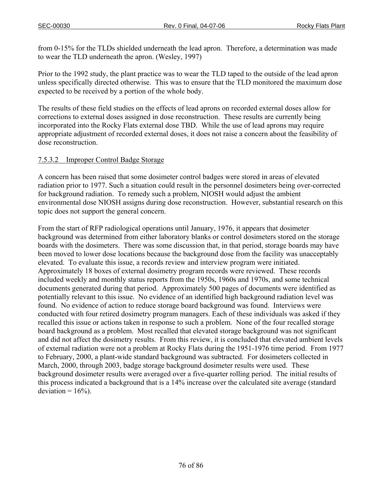from 0-15% for the TLDs shielded underneath the lead apron. Therefore, a determination was made to wear the TLD underneath the apron. (Wesley, 1997)

Prior to the 1992 study, the plant practice was to wear the TLD taped to the outside of the lead apron unless specifically directed otherwise. This was to ensure that the TLD monitored the maximum dose expected to be received by a portion of the whole body.

The results of these field studies on the effects of lead aprons on recorded external doses allow for corrections to external doses assigned in dose reconstruction. These results are currently being incorporated into the Rocky Flats external dose TBD. While the use of lead aprons may require appropriate adjustment of recorded external doses, it does not raise a concern about the feasibility of dose reconstruction.

## 7.5.3.2 Improper Control Badge Storage

A concern has been raised that some dosimeter control badges were stored in areas of elevated radiation prior to 1977. Such a situation could result in the personnel dosimeters being over-corrected for background radiation. To remedy such a problem, NIOSH would adjust the ambient environmental dose NIOSH assigns during dose reconstruction. However, substantial research on this topic does not support the general concern.

From the start of RFP radiological operations until January, 1976, it appears that dosimeter background was determined from either laboratory blanks or control dosimeters stored on the storage boards with the dosimeters. There was some discussion that, in that period, storage boards may have been moved to lower dose locations because the background dose from the facility was unacceptably elevated. To evaluate this issue, a records review and interview program were initiated. Approximately 18 boxes of external dosimetry program records were reviewed. These records included weekly and monthly status reports from the 1950s, 1960s and 1970s, and some technical documents generated during that period. Approximately 500 pages of documents were identified as potentially relevant to this issue. No evidence of an identified high background radiation level was found. No evidence of action to reduce storage board background was found. Interviews were conducted with four retired dosimetry program managers. Each of these individuals was asked if they recalled this issue or actions taken in response to such a problem. None of the four recalled storage board background as a problem. Most recalled that elevated storage background was not significant and did not affect the dosimetry results. From this review, it is concluded that elevated ambient levels of external radiation were not a problem at Rocky Flats during the 1951-1976 time period. From 1977 to February, 2000, a plant-wide standard background was subtracted. For dosimeters collected in March, 2000, through 2003, badge storage background dosimeter results were used. These background dosimeter results were averaged over a five-quarter rolling period. The initial results of this process indicated a background that is a 14% increase over the calculated site average (standard deviation =  $16\%$ ).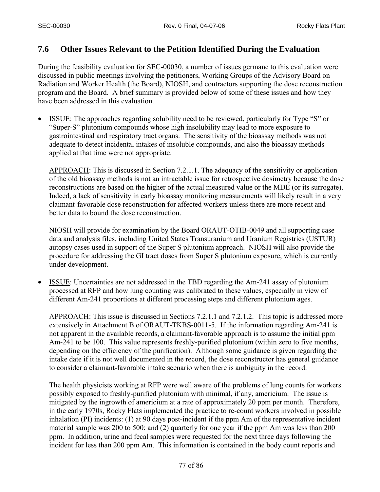# **7.6 Other Issues Relevant to the Petition Identified During the Evaluation**

During the feasibility evaluation for SEC-00030, a number of issues germane to this evaluation were discussed in public meetings involving the petitioners, Working Groups of the Advisory Board on Radiation and Worker Health (the Board), NIOSH, and contractors supporting the dose reconstruction program and the Board. A brief summary is provided below of some of these issues and how they have been addressed in this evaluation.

ISSUE: The approaches regarding solubility need to be reviewed, particularly for Type "S" or "Super-S" plutonium compounds whose high insolubility may lead to more exposure to gastrointestinal and respiratory tract organs. The sensitivity of the bioassay methods was not adequate to detect incidental intakes of insoluble compounds, and also the bioassay methods applied at that time were not appropriate.

APPROACH: This is discussed in Section 7.2.1.1. The adequacy of the sensitivity or application of the old bioassay methods is not an intractable issue for retrospective dosimetry because the dose reconstructions are based on the higher of the actual measured value or the MDE (or its surrogate). Indeed, a lack of sensitivity in early bioassay monitoring measurements will likely result in a very claimant-favorable dose reconstruction for affected workers unless there are more recent and better data to bound the dose reconstruction.

NIOSH will provide for examination by the Board ORAUT-OTIB-0049 and all supporting case data and analysis files, including United States Transuranium and Uranium Registries (USTUR) autopsy cases used in support of the Super S plutonium approach. NIOSH will also provide the procedure for addressing the GI tract doses from Super S plutonium exposure, which is currently under development.

• ISSUE: Uncertainties are not addressed in the TBD regarding the Am-241 assay of plutonium processed at RFP and how lung counting was calibrated to these values, especially in view of different Am-241 proportions at different processing steps and different plutonium ages.

APPROACH: This issue is discussed in Sections 7.2.1.1 and 7.2.1.2. This topic is addressed more extensively in Attachment B of ORAUT-TKBS-0011-5. If the information regarding Am-241 is not apparent in the available records, a claimant-favorable approach is to assume the initial ppm Am-241 to be 100. This value represents freshly-purified plutonium (within zero to five months, depending on the efficiency of the purification). Although some guidance is given regarding the intake date if it is not well documented in the record, the dose reconstructor has general guidance to consider a claimant-favorable intake scenario when there is ambiguity in the record.

The health physicists working at RFP were well aware of the problems of lung counts for workers possibly exposed to freshly-purified plutonium with minimal, if any, americium. The issue is mitigated by the ingrowth of americium at a rate of approximately 20 ppm per month. Therefore, in the early 1970s, Rocky Flats implemented the practice to re-count workers involved in possible inhalation (PI) incidents: (1) at 90 days post-incident if the ppm Am of the representative incident material sample was 200 to 500; and (2) quarterly for one year if the ppm Am was less than 200 ppm. In addition, urine and fecal samples were requested for the next three days following the incident for less than 200 ppm Am. This information is contained in the body count reports and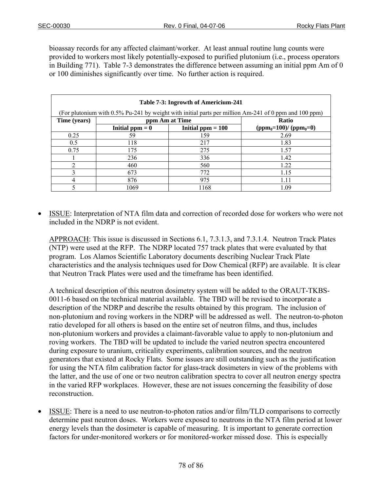in Building 771). Table 7-3 demonstrates the difference between assuming an initial ppm Am of 0 bioassay records for any affected claimant/worker. At least annual routine lung counts were provided to workers most likely potentially-exposed to purified plutonium (i.e., process operators or 100 diminishes significantly over time. No further action is required.

| Table 7-3: Ingrowth of Americium-241                                                                  |                   |                     |                             |  |
|-------------------------------------------------------------------------------------------------------|-------------------|---------------------|-----------------------------|--|
| (For plutonium with 0.5% Pu-241 by weight with initial parts per million Am-241 of 0 ppm and 100 ppm) |                   |                     |                             |  |
| Time (years)                                                                                          | ppm Am at Time    |                     | <b>Ratio</b>                |  |
|                                                                                                       | Initial $ppm = 0$ | Initial $ppm = 100$ | $(ppm_0=100)$ / $(ppm_0=0)$ |  |
| 0.25                                                                                                  | 59                | 159                 | 2.69                        |  |
| 0.5                                                                                                   | 118               | 217                 | 1.83                        |  |
| 0.75                                                                                                  | 175               | 275                 | 1.57                        |  |
|                                                                                                       | 236               | 336                 | 1.42                        |  |
| 2                                                                                                     | 460               | 560                 | 1.22                        |  |
| 3                                                                                                     | 673               | 772                 | 1.15                        |  |
| 4                                                                                                     | 876               | 975                 | 111                         |  |
|                                                                                                       | 1069              | 1168                | 1.09                        |  |

• ISSUE: Interpretation of NTA film data and correction of recorded dose for workers who were not included in the NDRP is not evident.

 characteristics and the analysis techniques used for Dow Chemical (RFP) are available. It is clear APPROACH: This issue is discussed in Sections 6.1, 7.3.1.3, and 7.3.1.4. Neutron Track Plates (NTP) were used at the RFP. The NDRP located 757 track plates that were evaluated by that program. Los Alamos Scientific Laboratory documents describing Nuclear Track Plate that Neutron Track Plates were used and the timeframe has been identified.

A technical description of this neutron dosimetry system will be added to the ORAUT-TKBS-0011-6 based on the technical material available. The TBD will be revised to incorporate a description of the NDRP and describe the results obtained by this program. The inclusion of non-plutonium and roving workers in the NDRP will be addressed as well. The neutron-to-photon ratio developed for all others is based on the entire set of neutron films, and thus, includes non-plutonium workers and provides a claimant-favorable value to apply to non-plutonium and roving workers. The TBD will be updated to include the varied neutron spectra encountered during exposure to uranium, criticality experiments, calibration sources, and the neutron generators that existed at Rocky Flats. Some issues are still outstanding such as the justification for using the NTA film calibration factor for glass-track dosimeters in view of the problems with the latter, and the use of one or two neutron calibration spectra to cover all neutron energy spectra in the varied RFP workplaces. However, these are not issues concerning the feasibility of dose reconstruction.

• ISSUE: There is a need to use neutron-to-photon ratios and/or film/TLD comparisons to correctly determine past neutron doses. Workers were exposed to neutrons in the NTA film period at lower energy levels than the dosimeter is capable of measuring. It is important to generate correction factors for under-monitored workers or for monitored-worker missed dose. This is especially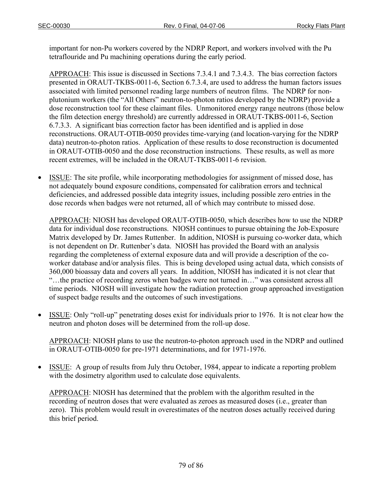important for non-Pu workers covered by the NDRP Report, and workers involved with the Pu tetraflouride and Pu machining operations during the early period.

APPROACH: This issue is discussed in Sections 7.3.4.1 and 7.3.4.3. The bias correction factors presented in ORAUT-TKBS-0011-6, Section 6.7.3.4, are used to address the human factors issues associated with limited personnel reading large numbers of neutron films. The NDRP for nonplutonium workers (the "All Others" neutron-to-photon ratios developed by the NDRP) provide a dose reconstruction tool for these claimant files. Unmonitored energy range neutrons (those below the film detection energy threshold) are currently addressed in ORAUT-TKBS-0011-6, Section 6.7.3.3. A significant bias correction factor has been identified and is applied in dose reconstructions. ORAUT-OTIB-0050 provides time-varying (and location-varying for the NDRP data) neutron-to-photon ratios. Application of these results to dose reconstruction is documented in ORAUT-OTIB-0050 and the dose reconstruction instructions. These results, as well as more recent extremes, will be included in the ORAUT-TKBS-0011-6 revision.

• ISSUE: The site profile, while incorporating methodologies for assignment of missed dose, has not adequately bound exposure conditions, compensated for calibration errors and technical deficiencies, and addressed possible data integrity issues, including possible zero entries in the dose records when badges were not returned, all of which may contribute to missed dose.

APPROACH: NIOSH has developed ORAUT-OTIB-0050, which describes how to use the NDRP data for individual dose reconstructions. NIOSH continues to pursue obtaining the Job-Exposure Matrix developed by Dr. James Ruttenber. In addition, NIOSH is pursuing co-worker data, which is not dependent on Dr. Ruttenber's data. NIOSH has provided the Board with an analysis regarding the completeness of external exposure data and will provide a description of the coworker database and/or analysis files. This is being developed using actual data, which consists of 360,000 bioassay data and covers all years. In addition, NIOSH has indicated it is not clear that "…the practice of recording zeros when badges were not turned in…" was consistent across all time periods. NIOSH will investigate how the radiation protection group approached investigation of suspect badge results and the outcomes of such investigations.

• ISSUE: Only "roll-up" penetrating doses exist for individuals prior to 1976. It is not clear how the neutron and photon doses will be determined from the roll-up dose.

APPROACH: NIOSH plans to use the neutron-to-photon approach used in the NDRP and outlined in ORAUT-OTIB-0050 for pre-1971 determinations, and for 1971-1976.

• ISSUE: A group of results from July thru October, 1984, appear to indicate a reporting problem with the dosimetry algorithm used to calculate dose equivalents.

APPROACH: NIOSH has determined that the problem with the algorithm resulted in the recording of neutron doses that were evaluated as zeroes as measured doses (i.e., greater than zero). This problem would result in overestimates of the neutron doses actually received during this brief period.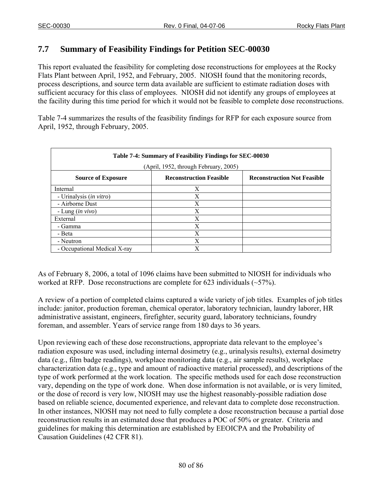# **7.7 Summary of Feasibility Findings for Petition SEC-00030**

This report evaluated the feasibility for completing dose reconstructions for employees at the Rocky Flats Plant between April, 1952, and February, 2005. NIOSH found that the monitoring records, process descriptions, and source term data available are sufficient to estimate radiation doses with sufficient accuracy for this class of employees. NIOSH did not identify any groups of employees at the facility during this time period for which it would not be feasible to complete dose reconstructions.

Table 7-4 summarizes the results of the feasibility findings for RFP for each exposure source from April, 1952, through February, 2005.

| Table 7-4: Summary of Feasibility Findings for SEC-00030<br>(April, 1952, through February, 2005) |                                |                                    |  |  |
|---------------------------------------------------------------------------------------------------|--------------------------------|------------------------------------|--|--|
| <b>Source of Exposure</b>                                                                         | <b>Reconstruction Feasible</b> | <b>Reconstruction Not Feasible</b> |  |  |
| Internal                                                                                          | X                              |                                    |  |  |
| - Urinalysis <i>(in vitro)</i>                                                                    | X                              |                                    |  |  |
| - Airborne Dust                                                                                   | X                              |                                    |  |  |
| - Lung $(in \, vivo)$                                                                             | Х                              |                                    |  |  |
| External                                                                                          | X                              |                                    |  |  |
| - Gamma                                                                                           | X                              |                                    |  |  |
| - Beta                                                                                            | X                              |                                    |  |  |
| - Neutron                                                                                         | X                              |                                    |  |  |
| - Occupational Medical X-ray                                                                      | X                              |                                    |  |  |

As of February 8, 2006, a total of 1096 claims have been submitted to NIOSH for individuals who worked at RFP. Dose reconstructions are complete for 623 individuals  $(\sim 57\%)$ .

A review of a portion of completed claims captured a wide variety of job titles. Examples of job titles include: janitor, production foreman, chemical operator, laboratory technician, laundry laborer, HR administrative assistant, engineers, firefighter, security guard, laboratory technicians, foundry foreman, and assembler. Years of service range from 180 days to 36 years.

Upon reviewing each of these dose reconstructions, appropriate data relevant to the employee's radiation exposure was used, including internal dosimetry (e.g., urinalysis results), external dosimetry data (e.g., film badge readings), workplace monitoring data (e.g., air sample results), workplace characterization data (e.g., type and amount of radioactive material processed), and descriptions of the type of work performed at the work location. The specific methods used for each dose reconstruction vary, depending on the type of work done. When dose information is not available, or is very limited, or the dose of record is very low, NIOSH may use the highest reasonably-possible radiation dose based on reliable science, documented experience, and relevant data to complete dose reconstruction. In other instances, NIOSH may not need to fully complete a dose reconstruction because a partial dose reconstruction results in an estimated dose that produces a POC of 50% or greater. Criteria and guidelines for making this determination are established by EEOICPA and the Probability of Causation Guidelines (42 CFR 81).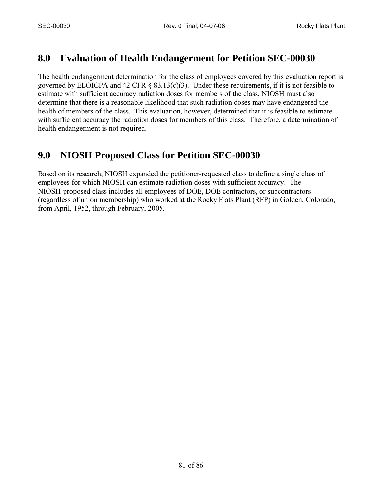# **8.0 Evaluation of Health Endangerment for Petition SEC-00030**

The health endangerment determination for the class of employees covered by this evaluation report is governed by EEOICPA and 42 CFR  $\S$  83.13(c)(3). Under these requirements, if it is not feasible to estimate with sufficient accuracy radiation doses for members of the class, NIOSH must also determine that there is a reasonable likelihood that such radiation doses may have endangered the health of members of the class. This evaluation, however, determined that it is feasible to estimate with sufficient accuracy the radiation doses for members of this class. Therefore, a determination of health endangerment is not required.

# **9.0 NIOSH Proposed Class for Petition SEC-00030**

Based on its research, NIOSH expanded the petitioner-requested class to define a single class of employees for which NIOSH can estimate radiation doses with sufficient accuracy. The NIOSH-proposed class includes all employees of DOE, DOE contractors, or subcontractors (regardless of union membership) who worked at the Rocky Flats Plant (RFP) in Golden, Colorado, from April, 1952, through February, 2005.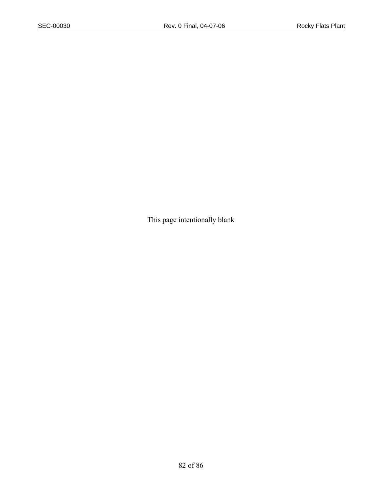This page intentionally blank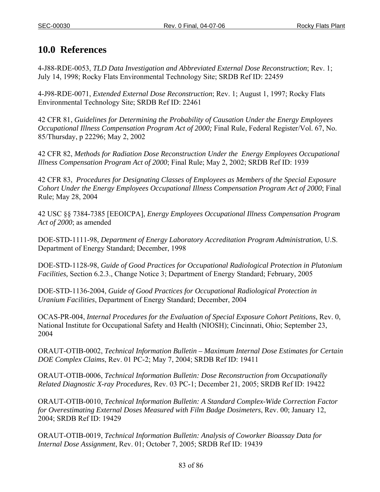# **10.0 References**

4-J88-RDE-0053, *TLD Data Investigation and Abbreviated External Dose Reconstruction*; Rev. 1; July 14, 1998; Rocky Flats Environmental Technology Site; SRDB Ref ID: 22459

4-J98-RDE-0071, *Extended External Dose Reconstruction*; Rev. 1; August 1, 1997; Rocky Flats Environmental Technology Site; SRDB Ref ID: 22461

42 CFR 81, *Guidelines for Determining the Probability of Causation Under the Energy Employees Occupational Illness Compensation Program Act of 2000;* Final Rule, Federal Register/Vol. 67, No. 85/Thursday, p 22296; May 2, 2002

42 CFR 82, *Methods for Radiation Dose Reconstruction Under the Energy Employees Occupational Illness Compensation Program Act of 2000*; Final Rule; May 2, 2002; SRDB Ref ID: 1939

42 CFR 83, *Procedures for Designating Classes of Employees as Members of the Special Exposure Cohort Under the Energy Employees Occupational Illness Compensation Program Act of 2000*; Final Rule; May 28, 2004

42 USC §§ 7384-7385 [EEOICPA], *Energy Employees Occupational Illness Compensation Program Act of 2000*; as amended

DOE-STD-1111-98, *Department of Energy Laboratory Accreditation Program Administration*, U.S. Department of Energy Standard; December, 1998

DOE-STD-1128-98, *Guide of Good Practices for Occupational Radiological Protection in Plutonium Facilities,* Section 6.2.3., Change Notice 3; Department of Energy Standard; February, 2005

DOE-STD-1136-2004, *Guide of Good Practices for Occupational Radiological Protection in Uranium Facilities*, Department of Energy Standard; December, 2004

OCAS-PR-004, *Internal Procedures for the Evaluation of Special Exposure Cohort Petitions*, Rev. 0, National Institute for Occupational Safety and Health (NIOSH); Cincinnati, Ohio; September 23, 2004

ORAUT-OTIB-0002, *Technical Information Bulletin – Maximum Internal Dose Estimates for Certain DOE Complex Claims*, Rev. 01 PC-2; May 7, 2004; SRDB Ref ID: 19411

ORAUT-OTIB-0006, *Technical Information Bulletin: Dose Reconstruction from Occupationally Related Diagnostic X-ray Procedures,* Rev. 03 PC-1; December 21, 2005; SRDB Ref ID: 19422

ORAUT-OTIB-0010, *Technical Information Bulletin: A Standard Complex-Wide Correction Factor for Overestimating External Doses Measured with Film Badge Dosimeters*, Rev. 00; January 12, 2004; SRDB Ref ID: 19429

ORAUT-OTIB-0019, *Technical Information Bulletin: Analysis of Coworker Bioassay Data for Internal Dose Assignment*, Rev. 01; October 7, 2005; SRDB Ref ID: 19439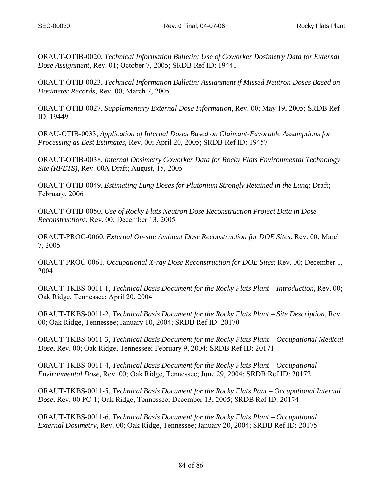ORAUT-OTIB-0020, *Technical Information Bulletin: Use of Coworker Dosimetry Data for External Dose Assignment*, Rev. 01; October 7, 2005; SRDB Ref ID: 19441

ORAUT-OTIB-0023, *Technical Information Bulletin: Assignment if Missed Neutron Doses Based on Dosimeter Records*, Rev. 00; March 7, 2005

ORAUT-OTIB-0027, *Supplementary External Dose Information*, Rev. 00; May 19, 2005; SRDB Ref ID: 19449

ORAU-OTIB-0033, *Application of Internal Doses Based on Claimant-Favorable Assumptions for Processing as Best Estimates,* Rev. 00; April 20, 2005; SRDB Ref ID: 19457

ORAUT-OTIB-0038, *Internal Dosimetry Coworker Data for Rocky Flats Environmental Technology Site (RFETS)*, Rev. 00A Draft; August, 15, 2005

ORAUT-OTIB-0049, *Estimating Lung Doses for Plutonium Strongly Retained in the Lung*; Draft; February, 2006

ORAUT-OTIB-0050, *Use of Rocky Flats Neutron Dose Reconstruction Project Data in Dose Reconstructions*, Rev. 00; December 13, 2005

ORAUT-PROC-0060, *External On-site Ambient Dose Reconstruction for DOE Sites*; Rev. 00; March 7, 2005

ORAUT-PROC-0061, *Occupational X-ray Dose Reconstruction for DOE Sites*; Rev. 00; December 1, 2004

ORAUT-TKBS-0011-1, *Technical Basis Document for the Rocky Flats Plant – Introduction*, Rev. 00; Oak Ridge, Tennessee; April 20, 2004

ORAUT-TKBS-0011-2, *Technical Basis Document for the Rocky Flats Plant – Site Description*, Rev. 00; Oak Ridge, Tennessee; January 10, 2004; SRDB Ref ID: 20170

ORAUT-TKBS-0011-3, *Technical Basis Document for the Rocky Flats Plant – Occupational Medical Dose*, Rev. 00; Oak Ridge, Tennessee; February 9, 2004; SRDB Ref ID: 20171

ORAUT-TKBS-0011-4, *Technical Basis Document for the Rocky Flats Plant – Occupational Environmental Dose,* Rev. 00; Oak Ridge, Tennessee; June 29, 2004; SRDB Ref ID: 20172

ORAUT-TKBS-0011-5, *Technical Basis Document for the Rocky Flats Pant – Occupational Internal Dose*, Rev. 00 PC-1; Oak Ridge, Tennessee; December 13, 2005; SRDB Ref ID: 20174

ORAUT-TKBS-0011-6, *Technical Basis Document for the Rocky Flats Plant – Occupational External Dosimetry*, Rev. 00; Oak Ridge, Tennessee; January 20, 2004; SRDB Ref ID: 20175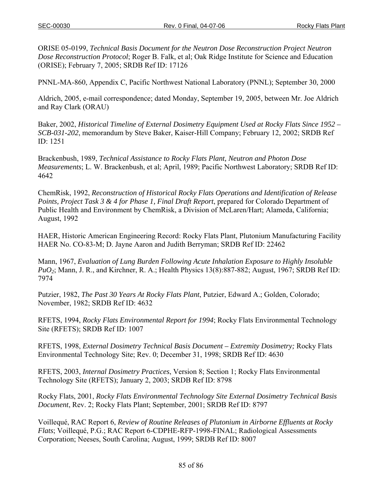ORISE 05-0199, *Technical Basis Document for the Neutron Dose Reconstruction Project Neutron Dose Reconstruction Protocol*; Roger B. Falk, et al; Oak Ridge Institute for Science and Education (ORISE); February 7, 2005; SRDB Ref ID: 17126

PNNL-MA-860, Appendix C, Pacific Northwest National Laboratory (PNNL); September 30, 2000

Aldrich, 2005, e-mail correspondence; dated Monday, September 19, 2005, between Mr. Joe Aldrich and Ray Clark (ORAU)

Baker, 2002, *Historical Timeline of External Dosimetry Equipment Used at Rocky Flats Since 1952 – SCB-031-202*, memorandum by Steve Baker, Kaiser-Hill Company; February 12, 2002; SRDB Ref ID: 1251

Brackenbush, 1989, *Technical Assistance to Rocky Flats Plant, Neutron and Photon Dose Measurements*; L. W. Brackenbush, et al; April, 1989; Pacific Northwest Laboratory; SRDB Ref ID: 4642

ChemRisk, 1992, *Reconstruction of Historical Rocky Flats Operations and Identification of Release Points, Project Task 3 & 4 for Phase 1, Final Draft Report*, prepared for Colorado Department of Public Health and Environment by ChemRisk, a Division of McLaren/Hart; Alameda, California; August, 1992

HAER, Historic American Engineering Record: Rocky Flats Plant, Plutonium Manufacturing Facility HAER No. CO-83-M; D. Jayne Aaron and Judith Berryman; SRDB Ref ID: 22462

Mann, 1967, *Evaluation of Lung Burden Following Acute Inhalation Exposure to Highly Insoluble PuO2*; Mann, J. R., and Kirchner, R. A.; Health Physics 13(8):887-882; August, 1967; SRDB Ref ID: 7974

Putzier, 1982, *The Past 30 Years At Rocky Flats Plant*, Putzier, Edward A.; Golden, Colorado; November, 1982; SRDB Ref ID: 4632

RFETS, 1994, *Rocky Flats Environmental Report for 1994*; Rocky Flats Environmental Technology Site (RFETS); SRDB Ref ID: 1007

RFETS, 1998, *External Dosimetry Technical Basis Document – Extremity Dosimetry;* Rocky Flats Environmental Technology Site; Rev. 0; December 31, 1998; SRDB Ref ID: 4630

RFETS, 2003, *Internal Dosimetry Practices*, Version 8; Section 1; Rocky Flats Environmental Technology Site (RFETS); January 2, 2003; SRDB Ref ID: 8798

Rocky Flats, 2001, *Rocky Flats Environmental Technology Site External Dosimetry Technical Basis Document*, Rev. 2; Rocky Flats Plant; September, 2001; SRDB Ref ID: 8797

Voillequé, RAC Report 6, *Review of Routine Releases of Plutonium in Airborne Effluents at Rocky Flats*; Voillequé, P.G.; RAC Report 6-CDPHE-RFP-1998-FINAL; Radiological Assessments Corporation; Neeses, South Carolina; August, 1999; SRDB Ref ID: 8007